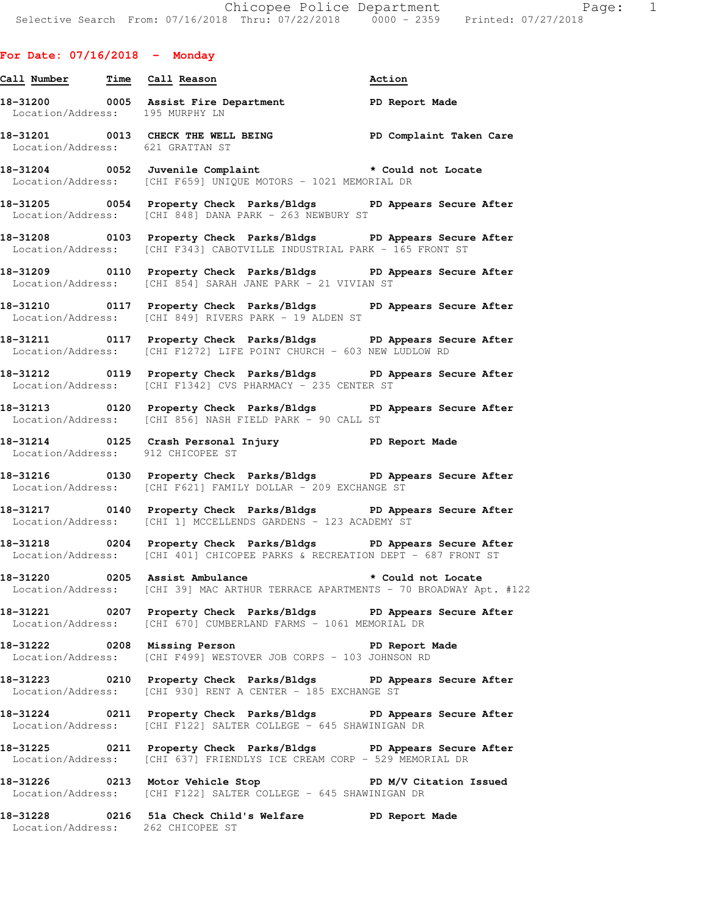| For Date: $07/16/2018$ - Monday   |                                                                                                                                                       |        |
|-----------------------------------|-------------------------------------------------------------------------------------------------------------------------------------------------------|--------|
| Call Number Time Call Reason      |                                                                                                                                                       | Action |
| Location/Address: 195 MURPHY LN   | 18-31200 0005 Assist Fire Department PD Report Made                                                                                                   |        |
| Location/Address: 621 GRATTAN ST  | 18-31201 0013 CHECK THE WELL BEING THE PD Complaint Taken Care                                                                                        |        |
|                                   | 18-31204 0052 Juvenile Complaint <b>the Constant of Seconda</b> to Could not Locate<br>Location/Address: [CHI F659] UNIQUE MOTORS - 1021 MEMORIAL DR  |        |
|                                   | 18-31205 0054 Property Check Parks/Bldgs PD Appears Secure After<br>Location/Address: [CHI 848] DANA PARK - 263 NEWBURY ST                            |        |
|                                   | 18-31208 0103 Property Check Parks/Bldgs PD Appears Secure After<br>Location/Address: [CHI F343] CABOTVILLE INDUSTRIAL PARK - 165 FRONT ST            |        |
|                                   | 18-31209 0110 Property Check Parks/Bldgs PD Appears Secure After<br>Location/Address: [CHI 854] SARAH JANE PARK - 21 VIVIAN ST                        |        |
|                                   | 18-31210 0117 Property Check Parks/Bldgs PD Appears Secure After<br>Location/Address: [CHI 849] RIVERS PARK - 19 ALDEN ST                             |        |
|                                   | 18-31211 117 Property Check Parks/Bldgs PD Appears Secure After<br>Location/Address: [CHI F1272] LIFE POINT CHURCH - 603 NEW LUDLOW RD                |        |
|                                   | 18-31212 18-31212 0119 Property Check Parks/Bldgs 19 PD Appears Secure After<br>Location/Address: [CHI F1342] CVS PHARMACY - 235 CENTER ST            |        |
|                                   | 18-31213 0120 Property Check Parks/Bldgs PD Appears Secure After<br>Location/Address: [CHI 856] NASH FIELD PARK - 90 CALL ST                          |        |
| Location/Address: 912 CHICOPEE ST | 18-31214 18-31214 0125 Crash Personal Injury 1991 PD Report Made                                                                                      |        |
|                                   | 18-31216 		 0130 Property Check Parks/Bldgs 		 PD Appears Secure After<br>Location/Address: [CHI F621] FAMILY DOLLAR - 209 EXCHANGE ST                |        |
|                                   | 18-31217 180 0140 Property Check Parks/Bldgs PD Appears Secure After<br>Location/Address: [CHI 1] MCCELLENDS GARDENS - 123 ACADEMY ST                 |        |
|                                   | 18-31218 		 0204 Property Check Parks/Bldgs 		 PD Appears Secure After<br>Location/Address: [CHI 401] CHICOPEE PARKS & RECREATION DEPT - 687 FRONT ST |        |
|                                   | 18-31220 0205 Assist Ambulance the second to the could not Locate<br>Location/Address: [CHI 39] MAC ARTHUR TERRACE APARTMENTS - 70 BROADWAY Apt. #122 |        |
|                                   | 18-31221 0207 Property Check Parks/Bldgs PD Appears Secure After<br>Location/Address: [CHI 670] CUMBERLAND FARMS - 1061 MEMORIAL DR                   |        |
|                                   | 18-31222 0208 Missing Person New PD Report Made<br>Location/Address: [CHI F499] WESTOVER JOB CORPS - 103 JOHNSON RD                                   |        |
|                                   | 18-31223 0210 Property Check Parks/Bldgs PD Appears Secure After<br>Location/Address: [CHI 930] RENT A CENTER - 185 EXCHANGE ST                       |        |
|                                   | 18-31224 0211 Property Check Parks/Bldgs PD Appears Secure After<br>Location/Address: [CHI F122] SALTER COLLEGE - 645 SHAWINIGAN DR                   |        |
|                                   | 18-31225 0211 Property Check Parks/Bldgs PD Appears Secure After<br>Location/Address: [CHI 637] FRIENDLYS ICE CREAM CORP - 529 MEMORIAL DR            |        |
|                                   | 18-31226 0213 Motor Vehicle Stop New PD M/V Citation Issued<br>Location/Address: [CHI F122] SALTER COLLEGE - 645 SHAWINIGAN DR                        |        |

**18-31228 0216 51a Check Child's Welfare PD Report Made**  Location/Address: 262 CHICOPEE ST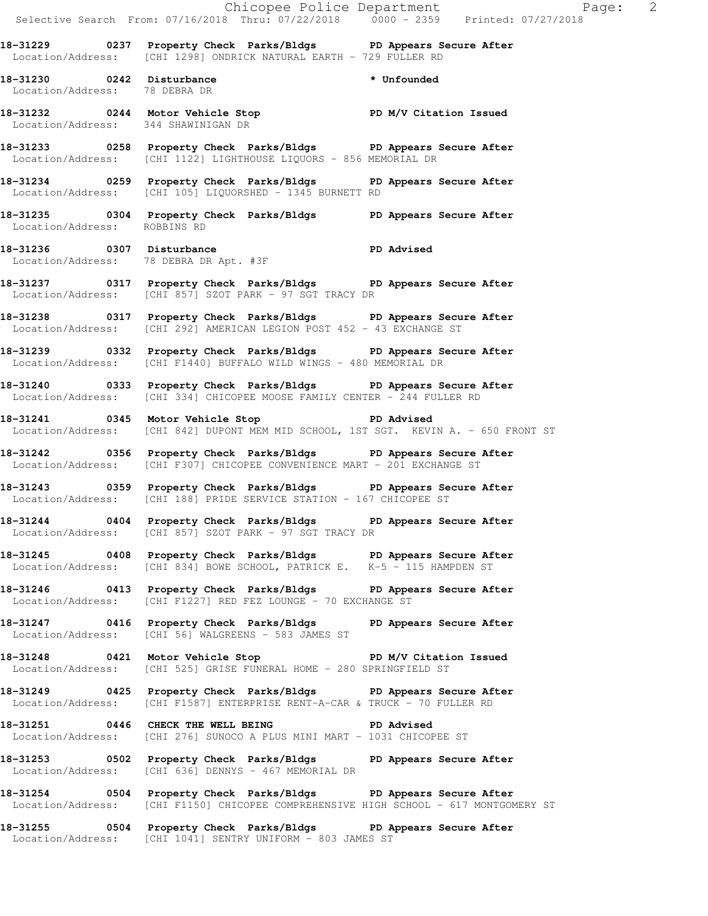|                                     |                                                                                                                                                          | Chicopee Police Department<br>Selective Search From: 07/16/2018 Thru: 07/22/2018 0000 - 2359 Printed: 07/27/2018 |  |
|-------------------------------------|----------------------------------------------------------------------------------------------------------------------------------------------------------|------------------------------------------------------------------------------------------------------------------|--|
|                                     | 18-31229 0237 Property Check Parks/Bldgs PD Appears Secure After<br>Location/Address: [CHI 1298] ONDRICK NATURAL EARTH - 729 FULLER RD                   |                                                                                                                  |  |
| Location/Address: 78 DEBRA DR       | 18-31230 0242 Disturbance                                                                                                                                | * Unfounded                                                                                                      |  |
| Location/Address: 344 SHAWINIGAN DR | 18-31232 0244 Motor Vehicle Stop PD M/V Citation Issued                                                                                                  |                                                                                                                  |  |
|                                     | 18-31233 0258 Property Check Parks/Bldgs PD Appears Secure After<br>Location/Address: [CHI 1122] LIGHTHOUSE LIQUORS - 856 MEMORIAL DR                    |                                                                                                                  |  |
|                                     | 18-31234 0259 Property Check Parks/Bldgs PD Appears Secure After<br>Location/Address: [CHI 105] LIQUORSHED - 1345 BURNETT RD                             |                                                                                                                  |  |
| Location/Address: ROBBINS RD        | 18-31235 0304 Property Check Parks/Bldgs PD Appears Secure After                                                                                         |                                                                                                                  |  |
|                                     | 18-31236 0307 Disturbance<br>Location/Address: 78 DEBRA DR Apt. #3F<br>19 DEBRA DR Apt. #3F                                                              |                                                                                                                  |  |
|                                     | 18-31237 0317 Property Check Parks/Bldgs PD Appears Secure After<br>Location/Address: [CHI 857] SZOT PARK - 97 SGT TRACY DR                              |                                                                                                                  |  |
|                                     | 18-31238 0317 Property Check Parks/Bldgs PD Appears Secure After<br>Location/Address: [CHI 292] AMERICAN LEGION POST 452 - 43 EXCHANGE ST                |                                                                                                                  |  |
|                                     | 18-31239 		 0332 Property Check Parks/Bldgs 		 PD Appears Secure After<br>Location/Address: [CHI F1440] BUFFALO WILD WINGS - 480 MEMORIAL DR             |                                                                                                                  |  |
|                                     | 18-31240 0333 Property Check Parks/Bldgs PD Appears Secure After<br>Location/Address: [CHI 334] CHICOPEE MOOSE FAMILY CENTER - 244 FULLER RD             |                                                                                                                  |  |
|                                     | 18-31241 0345 Motor Vehicle Stop 50 PD Advised<br>Location/Address: [CHI 842] DUPONT MEM MID SCHOOL, 1ST SGT. KEVIN A. - 650 FRONT ST                    |                                                                                                                  |  |
|                                     | 18-31242 0356 Property Check Parks/Bldgs PD Appears Secure After<br>Location/Address: [CHI F307] CHICOPEE CONVENIENCE MART - 201 EXCHANGE ST             |                                                                                                                  |  |
|                                     | 18-31243 0359 Property Check Parks/Bldgs PD Appears Secure After<br>Location/Address: [CHI 188] PRIDE SERVICE STATION - 167 CHICOPEE ST                  |                                                                                                                  |  |
|                                     | 18-31244 0404 Property Check Parks/Bldgs PD Appears Secure After<br>Location/Address: [CHI 857] SZOT PARK - 97 SGT TRACY DR                              |                                                                                                                  |  |
|                                     | 18-31245 0408 Property Check Parks/Bldgs PD Appears Secure After<br>Location/Address: [CHI 834] BOWE SCHOOL, PATRICK E. K-5 - 115 HAMPDEN ST             |                                                                                                                  |  |
|                                     | 18-31246 0413 Property Check Parks/Bldgs PD Appears Secure After<br>Location/Address: [CHI F1227] RED FEZ LOUNGE - 70 EXCHANGE ST                        |                                                                                                                  |  |
|                                     | 18-31247 0416 Property Check Parks/Bldgs PD Appears Secure After<br>Location/Address: [CHI 56] WALGREENS - 583 JAMES ST                                  |                                                                                                                  |  |
|                                     | 18-31248 0421 Motor Vehicle Stop PD M/V Citation Issued<br>Location/Address: [CHI 525] GRISE FUNERAL HOME - 280 SPRINGFIELD ST                           |                                                                                                                  |  |
|                                     | 18-31249 0425 Property Check Parks/Bldgs PD Appears Secure After<br>Location/Address: [CHI F1587] ENTERPRISE RENT-A-CAR & TRUCK - 70 FULLER RD           |                                                                                                                  |  |
|                                     | 18-31251 0446 CHECK THE WELL BEING PD Advised<br>Location/Address: [CHI 276] SUNOCO A PLUS MINI MART - 1031 CHICOPEE ST                                  |                                                                                                                  |  |
|                                     | 18-31253 0502 Property Check Parks/Bldgs PD Appears Secure After<br>Location/Address: [CHI 636] DENNYS - 467 MEMORIAL DR                                 |                                                                                                                  |  |
|                                     | 18-31254 0504 Property Check Parks/Bldgs PD Appears Secure After<br>Location/Address: [CHI F1150] CHICOPEE COMPREHENSIVE HIGH SCHOOL - 617 MONTGOMERY ST |                                                                                                                  |  |

**18-31255 0504 Property Check Parks/Bldgs PD Appears Secure After**  Location/Address: [CHI 1041] SENTRY UNIFORM - 803 JAMES ST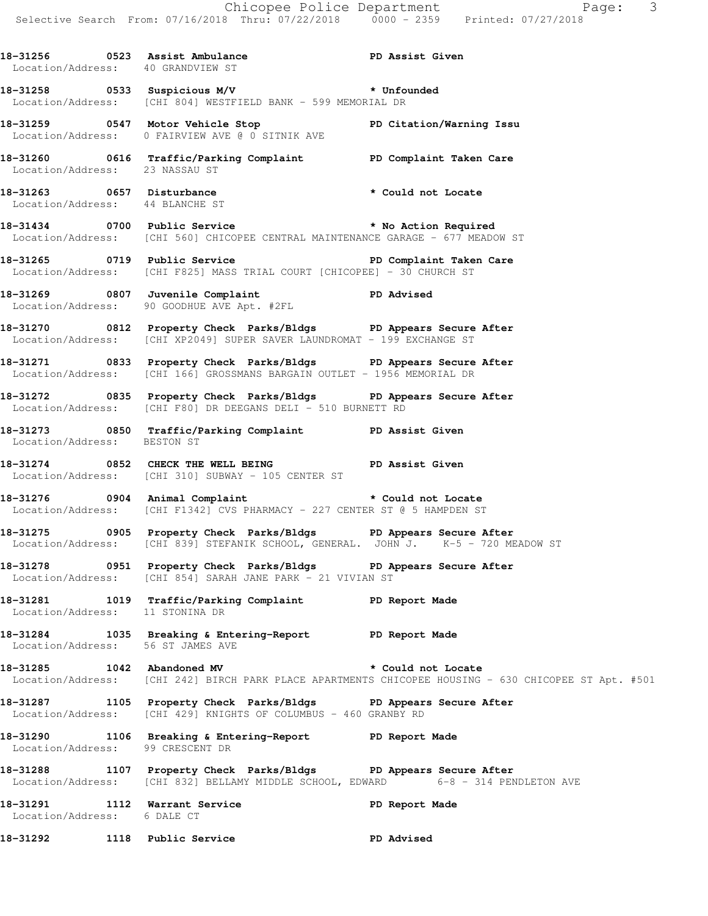| Location/Address: 40 GRANDVIEW ST | 18-31256 0523 Assist Ambulance National PD Assist Given                                                                                               |                                                                                                      |
|-----------------------------------|-------------------------------------------------------------------------------------------------------------------------------------------------------|------------------------------------------------------------------------------------------------------|
|                                   | Location/Address: [CHI 804] WESTFIELD BANK - 599 MEMORIAL DR                                                                                          |                                                                                                      |
|                                   | 18-31259 0547 Motor Vehicle Stop North PD Citation/Warning Issu<br>Location/Address: 0 FAIRVIEW AVE @ 0 SITNIK AVE                                    |                                                                                                      |
| Location/Address: 23 NASSAU ST    | 18-31260 0616 Traffic/Parking Complaint PD Complaint Taken Care                                                                                       |                                                                                                      |
| Location/Address: 44 BLANCHE ST   | 18-31263 0657 Disturbance * Could not Locate                                                                                                          |                                                                                                      |
|                                   | 18-31434 0700 Public Service * No Action Required<br>Location/Address: [CHI 560] CHICOPEE CENTRAL MAINTENANCE GARAGE - 677 MEADOW ST                  |                                                                                                      |
|                                   | 18-31265 0719 Public Service <b>18-31265</b> PD Complaint Taken Care<br>Location/Address: [CHI F825] MASS TRIAL COURT [CHICOPEE] - 30 CHURCH ST       |                                                                                                      |
|                                   | 18-31269 0807 Juvenile Complaint PD Advised<br>Location/Address: 90 GOODHUE AVE Apt. #2FL                                                             |                                                                                                      |
|                                   | 18-31270 0812 Property Check Parks/Bldgs PD Appears Secure After<br>Location/Address: [CHI XP2049] SUPER SAVER LAUNDROMAT - 199 EXCHANGE ST           |                                                                                                      |
|                                   | 18-31271 0833 Property Check Parks/Bldgs PD Appears Secure After<br>Location/Address: [CHI 166] GROSSMANS BARGAIN OUTLET - 1956 MEMORIAL DR           |                                                                                                      |
|                                   | 18-31272 0835 Property Check Parks/Bldgs PD Appears Secure After<br>Location/Address: [CHI F80] DR DEEGANS DELI - 510 BURNETT RD                      |                                                                                                      |
| Location/Address: BESTON ST       | 18-31273 0850 Traffic/Parking Complaint PD Assist Given                                                                                               |                                                                                                      |
|                                   | 18-31274 0852 CHECK THE WELL BEING DERIT PD Assist Given<br>Location/Address: [CHI 310] SUBWAY - 105 CENTER ST                                        |                                                                                                      |
|                                   | 18-31276 0904 Animal Complaint * Could not Locate<br>Location/Address: [CHI F1342] CVS PHARMACY - 227 CENTER ST @ 5 HAMPDEN ST                        |                                                                                                      |
|                                   | 18-31275 0905 Property Check Parks/Bldgs PD Appears Secure After<br>Location/Address: [CHI 839] STEFANIK SCHOOL, GENERAL. JOHN J. K-5 - 720 MEADOW ST |                                                                                                      |
|                                   | 18-31278 0951 Property Check Parks/Bldgs PD Appears Secure After<br>Location/Address: [CHI 854] SARAH JANE PARK - 21 VIVIAN ST                        |                                                                                                      |
|                                   | 18-31281 1019 Traffic/Parking Complaint PD Report Made<br>Location/Address: 11 STONINA DR                                                             |                                                                                                      |
| Location/Address: 56 ST JAMES AVE | 18-31284 1035 Breaking & Entering-Report PD Report Made                                                                                               |                                                                                                      |
|                                   | 18-31285 1042 Abandoned MV 10 to the could not Locate                                                                                                 | Location/Address: [CHI 242] BIRCH PARK PLACE APARTMENTS CHICOPEE HOUSING - 630 CHICOPEE ST Apt. #501 |
|                                   | 18-31287 1105 Property Check Parks/Bldgs PD Appears Secure After<br>Location/Address: [CHI 429] KNIGHTS OF COLUMBUS - 460 GRANBY RD                   |                                                                                                      |
| Location/Address: 99 CRESCENT DR  | 18-31290 1106 Breaking & Entering-Report 12D Report Made                                                                                              |                                                                                                      |
|                                   | 18-31288 1107 Property Check Parks/Bldgs PD Appears Secure After<br>Location/Address: [CHI 832] BELLAMY MIDDLE SCHOOL, EDWARD 6-8 - 314 PENDLETON AVE |                                                                                                      |
| Location/Address: 6 DALE CT       | 18-31291 1112 Warrant Service                                                                                                                         | PD Report Made                                                                                       |
|                                   | 18-31292 1118 Public Service                                                                                                                          | <b>PD Advised</b>                                                                                    |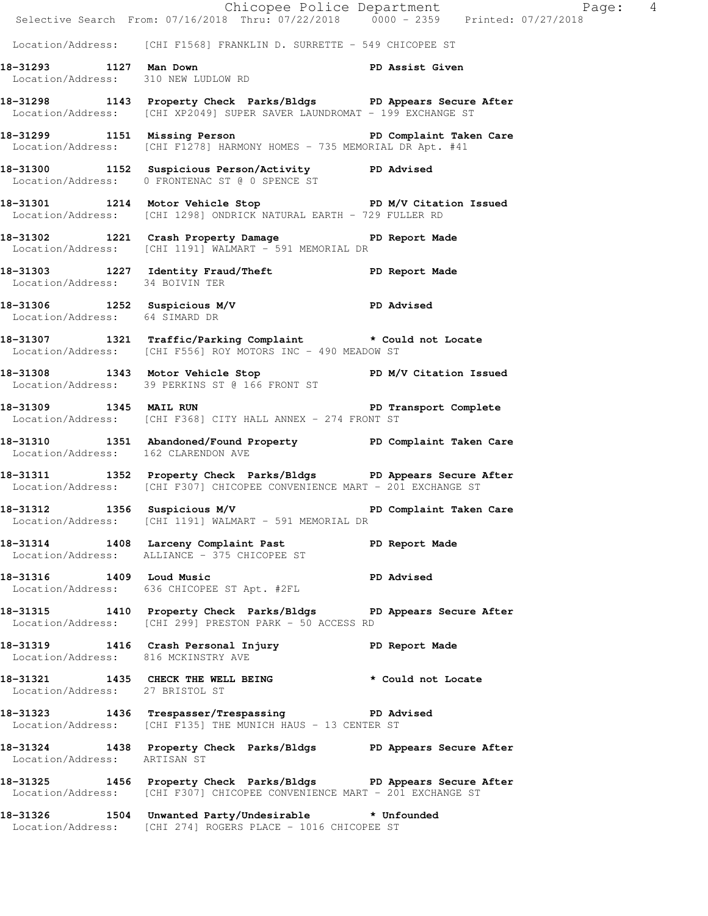|                                     |                                                                                                                                              | Chicopee Police Department<br>Selective Search From: 07/16/2018 Thru: 07/22/2018 0000 - 2359 Printed: 07/27/2018 |  |
|-------------------------------------|----------------------------------------------------------------------------------------------------------------------------------------------|------------------------------------------------------------------------------------------------------------------|--|
|                                     | Location/Address: [CHI F1568] FRANKLIN D. SURRETTE - 549 CHICOPEE ST                                                                         |                                                                                                                  |  |
| 18-31293 1127 Man Down              | 1127 Man Down<br>Location/Address: 310 NEW LUDLOW RD<br>PD Assist Given                                                                      |                                                                                                                  |  |
|                                     | 18-31298 1143 Property Check Parks/Bldgs PD Appears Secure After<br>Location/Address: [CHI XP2049] SUPER SAVER LAUNDROMAT - 199 EXCHANGE ST  |                                                                                                                  |  |
|                                     | 18-31299 1151 Missing Person Number 2016 PD Complaint Taken Care<br>Location/Address: [CHI F1278] HARMONY HOMES - 735 MEMORIAL DR Apt. #41   |                                                                                                                  |  |
|                                     | 18-31300 1152 Suspicious Person/Activity PD Advised<br>Location/Address: 0 FRONTENAC ST @ 0 SPENCE ST                                        |                                                                                                                  |  |
|                                     | 18-31301 1214 Motor Vehicle Stop N/V Citation Issued<br>Location/Address: [CHI 1298] ONDRICK NATURAL EARTH - 729 FULLER RD                   |                                                                                                                  |  |
|                                     | 18-31302 1221 Crash Property Damage PD Report Made Location/Address: [CHI 1191] WALMART - 591 MEMORIAL DR                                    |                                                                                                                  |  |
| Location/Address: 34 BOIVIN TER     | 18-31303 1227 Identity Fraud/Theft 5 PD Report Made                                                                                          |                                                                                                                  |  |
| Location/Address: 64 SIMARD DR      | 18-31306 1252 Suspicious M/V PD Advised<br>Location/Address: 64 SIMARD DR                                                                    |                                                                                                                  |  |
|                                     | 18-31307 1321 Traffic/Parking Complaint * Could not Locate<br>Location/Address: [CHI F556] ROY MOTORS INC - 490 MEADOW ST                    |                                                                                                                  |  |
|                                     | 18-31308 1343 Motor Vehicle Stop PD M/V Citation Issued<br>Location/Address: 39 PERKINS ST @ 166 FRONT ST                                    |                                                                                                                  |  |
|                                     | 18-31309 1345 MAIL RUN 2008 2010 PD Transport Complete<br>Location/Address: [CHI F368] CITY HALL ANNEX - 274 FRONT ST                        |                                                                                                                  |  |
| Location/Address: 162 CLARENDON AVE | 18-31310 1351 Abandoned/Found Property PD Complaint Taken Care                                                                               |                                                                                                                  |  |
|                                     | 18-31311 1352 Property Check Parks/Bldgs PD Appears Secure After<br>Location/Address: [CHI F307] CHICOPEE CONVENIENCE MART - 201 EXCHANGE ST |                                                                                                                  |  |
| 18-31312 1356 Suspicious M/V        | Location/Address: [CHI 1191] WALMART - 591 MEMORIAL DR                                                                                       | PD Complaint Taken Care                                                                                          |  |
|                                     | 18-31314 1408 Larceny Complaint Past PD Report Made<br>Location/Address: ALLIANCE - 375 CHICOPEE ST                                          |                                                                                                                  |  |
|                                     | 18-31316 1409 Loud Music<br>Location/Address: 636 CHICOPEE ST Apt. #2FL                                                                      | PD Advised                                                                                                       |  |
|                                     | 18-31315 1410 Property Check Parks/Bldgs PD Appears Secure After<br>Location/Address: [CHI 299] PRESTON PARK - 50 ACCESS RD                  |                                                                                                                  |  |
| Location/Address: 816 MCKINSTRY AVE | 18-31319 1416 Crash Personal Injury 18-31319 PD Report Made                                                                                  |                                                                                                                  |  |
| Location/Address: 27 BRISTOL ST     | 18-31321 1435 CHECK THE WELL BEING * Could not Locate                                                                                        |                                                                                                                  |  |
|                                     | 18-31323 1436 Trespasser/Trespassing PD Advised<br>Location/Address: [CHI F135] THE MUNICH HAUS - 13 CENTER ST                               |                                                                                                                  |  |
| Location/Address: ARTISAN ST        | 18-31324 1438 Property Check Parks/Bldgs PD Appears Secure After                                                                             |                                                                                                                  |  |
|                                     | 18-31325 1456 Property Check Parks/Bldgs PD Appears Secure After<br>Location/Address: [CHI F307] CHICOPEE CONVENIENCE MART - 201 EXCHANGE ST |                                                                                                                  |  |
|                                     | 18-31326 1504 Unwanted Party/Undesirable * Unfounded<br>Location/Address: [CHI 274] ROGERS PLACE - 1016 CHICOPEE ST                          |                                                                                                                  |  |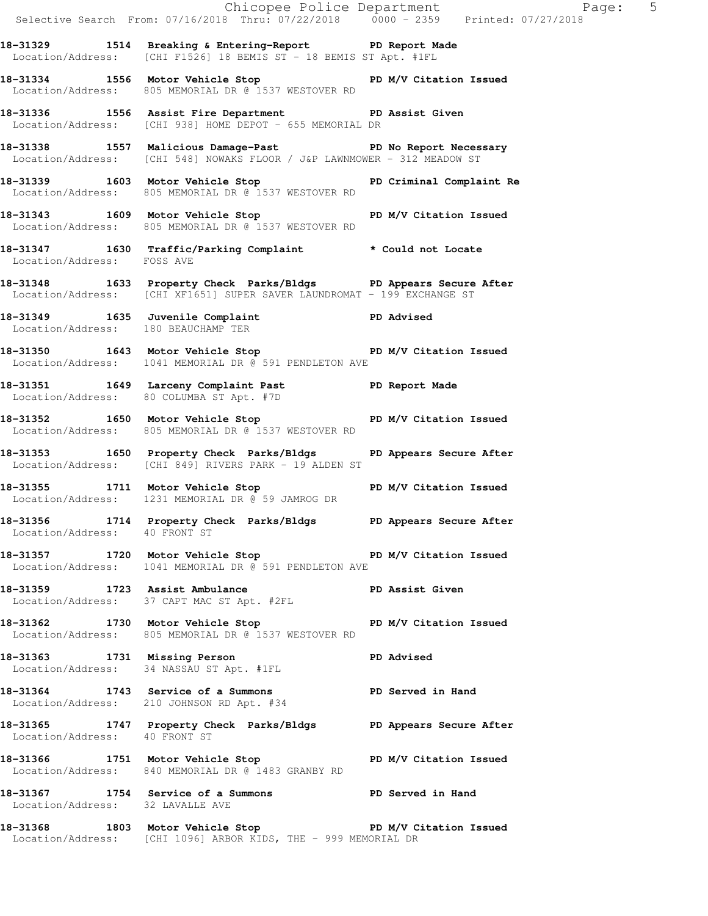Selective Search From: 07/16/2018 Thru: 07/22/2018 0000 - 2359 Printed: 07/27/2018 **18-31329 1514 Breaking & Entering-Report PD Report Made**  Location/Address: [CHI F1526] 18 BEMIS ST - 18 BEMIS ST Apt. #1FL **18-31334 1556 Motor Vehicle Stop PD M/V Citation Issued**  Location/Address: 805 MEMORIAL DR @ 1537 WESTOVER RD **18-31336 1556 Assist Fire Department PD Assist Given**  Location/Address: [CHI 938] HOME DEPOT - 655 MEMORIAL DR **18-31338 1557 Malicious Damage-Past PD No Report Necessary**  Location/Address: [CHI 548] NOWAKS FLOOR / J&P LAWNMOWER - 312 MEADOW ST **18-31339 1603 Motor Vehicle Stop PD Criminal Complaint Re**  Location/Address: 805 MEMORIAL DR @ 1537 WESTOVER RD 18-31343 1609 Motor Vehicle Stop **PD M/V Citation Issued**  Location/Address: 805 MEMORIAL DR @ 1537 WESTOVER RD **18-31347 1630 Traffic/Parking Complaint \* Could not Locate**  Location/Address: FOSS AVE **18-31348 1633 Property Check Parks/Bldgs PD Appears Secure After**  Location/Address: [CHI XF1651] SUPER SAVER LAUNDROMAT - 199 EXCHANGE ST **18-31349 1635 Juvenile Complaint PD Advised**  Location/Address: 180 BEAUCHAMP TER **18-31350 1643 Motor Vehicle Stop PD M/V Citation Issued**  Location/Address: 1041 MEMORIAL DR @ 591 PENDLETON AVE 18-31351 1649 Larceny Complaint Past PD Report Made Location/Address: 80 COLUMBA ST Apt. #7D **18-31352 1650 Motor Vehicle Stop PD M/V Citation Issued**  Location/Address: 805 MEMORIAL DR @ 1537 WESTOVER RD **18-31353 1650 Property Check Parks/Bldgs PD Appears Secure After**  Location/Address: [CHI 849] RIVERS PARK - 19 ALDEN ST **18-31355 1711 Motor Vehicle Stop PD M/V Citation Issued**  Location/Address: 1231 MEMORIAL DR @ 59 JAMROG DR **18-31356 1714 Property Check Parks/Bldgs PD Appears Secure After**  Location/Address: 40 FRONT ST **18-31357 1720 Motor Vehicle Stop PD M/V Citation Issued**  Location/Address: 1041 MEMORIAL DR @ 591 PENDLETON AVE **18-31359 1723 Assist Ambulance PD Assist Given**  Location/Address: 37 CAPT MAC ST Apt. #2FL 18-31362 1730 Motor Vehicle Stop **PD M/V Citation Issued**  Location/Address: 805 MEMORIAL DR @ 1537 WESTOVER RD **18-31363 1731 Missing Person PD Advised**  Location/Address: 34 NASSAU ST Apt. #1FL **18-31364 1743 Service of a Summons PD Served in Hand**  Location/Address: 210 JOHNSON RD Apt. #34 **18-31365 1747 Property Check Parks/Bldgs PD Appears Secure After**  Location/Address: 40 FRONT ST 18-31366 1751 Motor Vehicle Stop **PD M/V Citation Issued**  Location/Address: 840 MEMORIAL DR @ 1483 GRANBY RD **18-31367 1754 Service of a Summons PD Served in Hand**  Location/Address: 32 LAVALLE AVE **18-31368 1803 Motor Vehicle Stop PD M/V Citation Issued**  Location/Address: [CHI 1096] ARBOR KIDS, THE - 999 MEMORIAL DR

Chicopee Police Department Fage: 5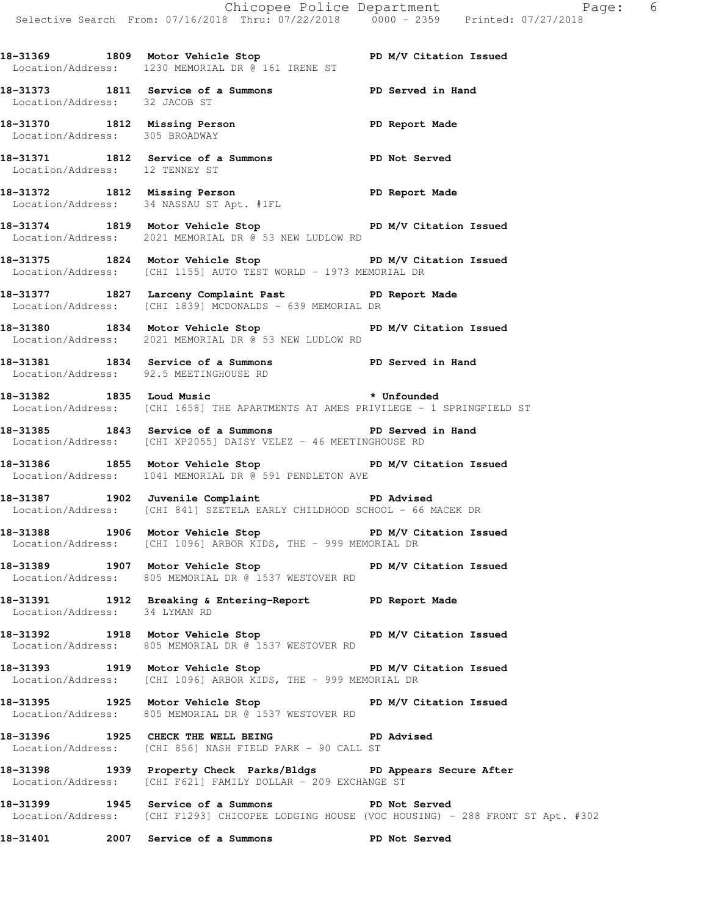**18-31369 1809 Motor Vehicle Stop PD M/V Citation Issued**  Location/Address: 1230 MEMORIAL DR @ 161 IRENE ST **18-31373 1811 Service of a Summons PD Served in Hand**  Location/Address: 32 JACOB ST 18-31370 1812 Missing Person **PD Report Made**  Location/Address: 305 BROADWAY **18-31371 1812 Service of a Summons PD Not Served**  Location/Address: 12 TENNEY ST **18-31372 1812 Missing Person PD Report Made**  Location/Address: 34 NASSAU ST Apt. #1FL **18-31374 1819 Motor Vehicle Stop PD M/V Citation Issued**  Location/Address: 2021 MEMORIAL DR @ 53 NEW LUDLOW RD 18-31375 1824 Motor Vehicle Stop **PD M/V Citation Issued**  Location/Address: [CHI 1155] AUTO TEST WORLD - 1973 MEMORIAL DR **18-31377 1827 Larceny Complaint Past PD Report Made**  Location/Address: [CHI 1839] MCDONALDS - 639 MEMORIAL DR **18-31380 1834 Motor Vehicle Stop PD M/V Citation Issued**  Location/Address: 2021 MEMORIAL DR @ 53 NEW LUDLOW RD **18-31381 1834 Service of a Summons PD Served in Hand**  Location/Address: 92.5 MEETINGHOUSE RD **18-31382 1835 Loud Music \* Unfounded**  Location/Address: [CHI 1658] THE APARTMENTS AT AMES PRIVILEGE - 1 SPRINGFIELD ST **18-31385 1843 Service of a Summons PD Served in Hand**  Location/Address: [CHI XP2055] DAISY VELEZ - 46 MEETINGHOUSE RD **18-31386 1855 Motor Vehicle Stop PD M/V Citation Issued**  Location/Address: 1041 MEMORIAL DR @ 591 PENDLETON AVE **18-31387 1902 Juvenile Complaint PD Advised**  Location/Address: [CHI 841] SZETELA EARLY CHILDHOOD SCHOOL - 66 MACEK DR **18-31388 1906 Motor Vehicle Stop PD M/V Citation Issued**  Location/Address: [CHI 1096] ARBOR KIDS, THE - 999 MEMORIAL DR **18-31389 1907 Motor Vehicle Stop PD M/V Citation Issued**  Location/Address: 805 MEMORIAL DR @ 1537 WESTOVER RD **18-31391 1912 Breaking & Entering-Report PD Report Made**  Location/Address: 34 LYMAN RD **18-31392 1918 Motor Vehicle Stop PD M/V Citation Issued**  Location/Address: 805 MEMORIAL DR @ 1537 WESTOVER RD 18-31393 1919 Motor Vehicle Stop **PD M/V Citation Issued**  Location/Address: [CHI 1096] ARBOR KIDS, THE - 999 MEMORIAL DR **18-31395 1925 Motor Vehicle Stop PD M/V Citation Issued**  Location/Address: 805 MEMORIAL DR @ 1537 WESTOVER RD **18-31396 1925 CHECK THE WELL BEING PD Advised**  Location/Address: [CHI 856] NASH FIELD PARK - 90 CALL ST **18-31398 1939 Property Check Parks/Bldgs PD Appears Secure After**  Location/Address: [CHI F621] FAMILY DOLLAR - 209 EXCHANGE ST **18-31399 1945 Service of a Summons PD Not Served**  Location/Address: [CHI F1293] CHICOPEE LODGING HOUSE (VOC HOUSING) - 288 FRONT ST Apt. #302 **18-31401 2007 Service of a Summons PD Not Served**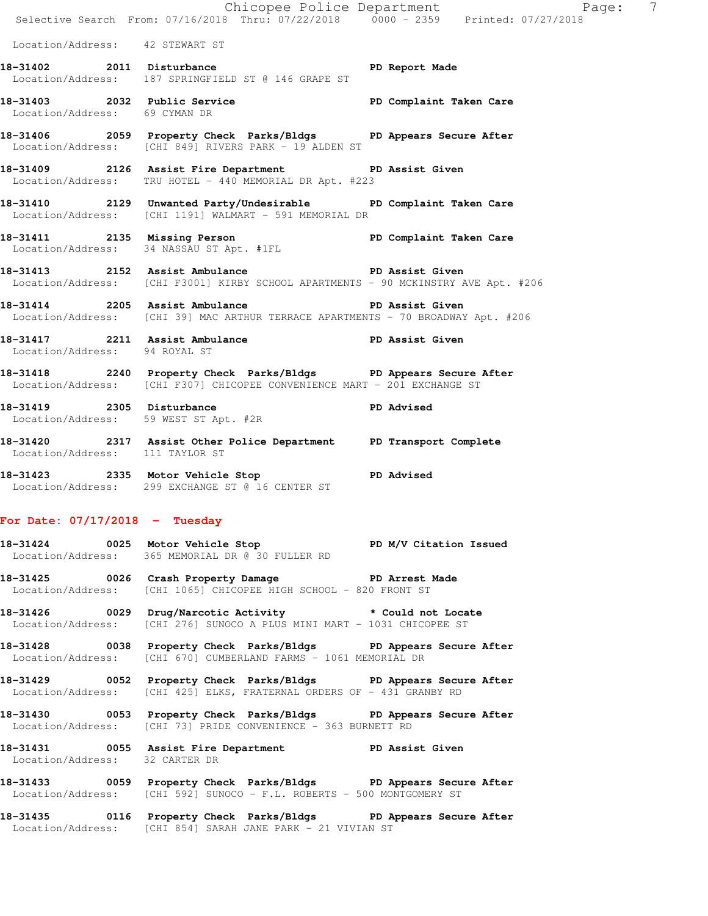Chicopee Police Department Page: 7 Selective Search From: 07/16/2018 Thru: 07/22/2018 0000 - 2359 Printed: 07/27/2018 Location/Address: 42 STEWART ST 18-31402 2011 Disturbance **PD** Report Made Location/Address: 187 SPRINGFIELD ST @ 146 GRAPE ST **18-31403 2032 Public Service PD Complaint Taken Care**  Location/Address: 69 CYMAN DR **18-31406 2059 Property Check Parks/Bldgs PD Appears Secure After**  Location/Address: [CHI 849] RIVERS PARK - 19 ALDEN ST **18-31409 2126 Assist Fire Department PD Assist Given**  Location/Address: TRU HOTEL - 440 MEMORIAL DR Apt. #223 **18-31410 2129 Unwanted Party/Undesirable PD Complaint Taken Care**  Location/Address: [CHI 1191] WALMART - 591 MEMORIAL DR **18-31411 2135 Missing Person PD Complaint Taken Care**  Location/Address: 34 NASSAU ST Apt. #1FL **18-31413 2152 Assist Ambulance PD Assist Given**  Location/Address: [CHI F3001] KIRBY SCHOOL APARTMENTS - 90 MCKINSTRY AVE Apt. #206 18-31414 2205 Assist Ambulance **PD Assist Given** Location/Address: [CHI 39] MAC ARTHUR TERRACE APARTMENTS - 70 BROADWAY Apt. #206 **18-31417 2211 Assist Ambulance PD Assist Given**  Location/Address: 94 ROYAL ST **18-31418 2240 Property Check Parks/Bldgs PD Appears Secure After**  Location/Address: [CHI F307] CHICOPEE CONVENIENCE MART - 201 EXCHANGE ST **18-31419 2305 Disturbance PD Advised**  Location/Address: 59 WEST ST Apt. #2R **18-31420 2317 Assist Other Police Department PD Transport Complete**  Location/Address: 111 TAYLOR ST **18-31423 2335 Motor Vehicle Stop PD Advised**  Location/Address: 299 EXCHANGE ST @ 16 CENTER ST **For Date: 07/17/2018 - Tuesday** 18-31424 0025 Motor Vehicle Stop **PD M/V Citation Issued**  Location/Address: 365 MEMORIAL DR @ 30 FULLER RD **18-31425 0026 Crash Property Damage PD Arrest Made**  Location/Address: [CHI 1065] CHICOPEE HIGH SCHOOL - 820 FRONT ST **18-31426 0029 Drug/Narcotic Activity \* Could not Locate**  Location/Address: [CHI 276] SUNOCO A PLUS MINI MART - 1031 CHICOPEE ST

**18-31428 0038 Property Check Parks/Bldgs PD Appears Secure After**  Location/Address: [CHI 670] CUMBERLAND FARMS - 1061 MEMORIAL DR

**18-31429 0052 Property Check Parks/Bldgs PD Appears Secure After**  Location/Address: [CHI 425] ELKS, FRATERNAL ORDERS OF - 431 GRANBY RD

**18-31430 0053 Property Check Parks/Bldgs PD Appears Secure After**  Location/Address: [CHI 73] PRIDE CONVENIENCE - 363 BURNETT RD

**18-31431 0055 Assist Fire Department PD Assist Given**  Location/Address: 32 CARTER DR

**18-31433 0059 Property Check Parks/Bldgs PD Appears Secure After**  Location/Address: [CHI 592] SUNOCO - F.L. ROBERTS - 500 MONTGOMERY ST

**18-31435 0116 Property Check Parks/Bldgs PD Appears Secure After**  Location/Address: [CHI 854] SARAH JANE PARK - 21 VIVIAN ST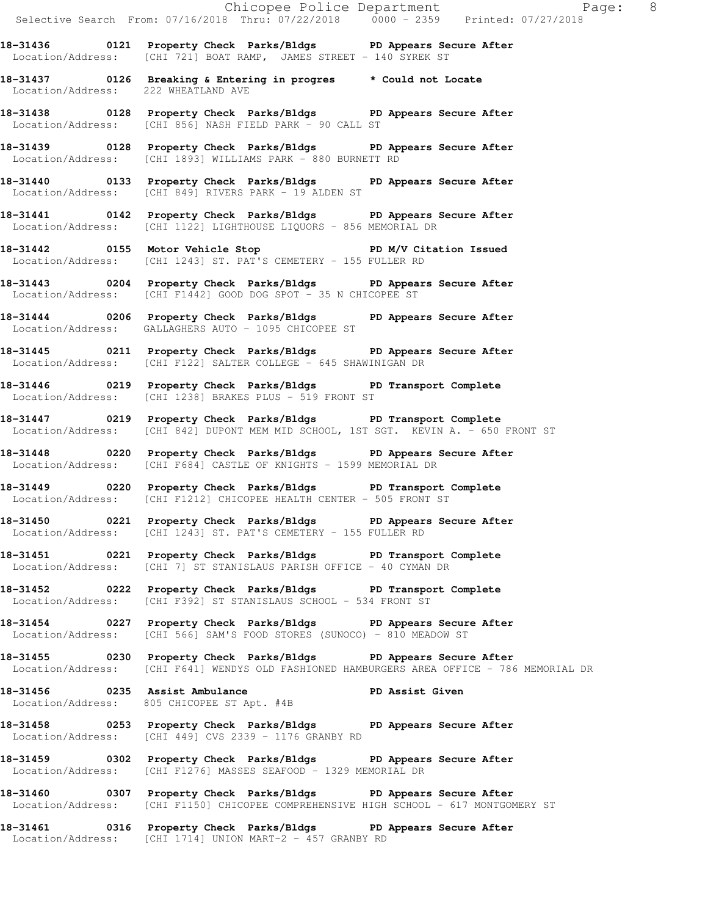Chicopee Police Department Fage: 8 Selective Search From: 07/16/2018 Thru: 07/22/2018 0000 - 2359 Printed: 07/27/2018 **18-31436 0121 Property Check Parks/Bldgs PD Appears Secure After**  Location/Address: [CHI 721] BOAT RAMP, JAMES STREET - 140 SYREK ST **18-31437 0126 Breaking & Entering in progres \* Could not Locate**  Location/Address: 222 WHEATLAND AVE **18-31438 0128 Property Check Parks/Bldgs PD Appears Secure After**  Location/Address: [CHI 856] NASH FIELD PARK - 90 CALL ST **18-31439 0128 Property Check Parks/Bldgs PD Appears Secure After**  Location/Address: [CHI 1893] WILLIAMS PARK - 880 BURNETT RD **18-31440 0133 Property Check Parks/Bldgs PD Appears Secure After**  Location/Address: [CHI 849] RIVERS PARK - 19 ALDEN ST **18-31441 0142 Property Check Parks/Bldgs PD Appears Secure After**  Location/Address: [CHI 1122] LIGHTHOUSE LIQUORS - 856 MEMORIAL DR **18-31442 0155 Motor Vehicle Stop PD M/V Citation Issued**  Location/Address: [CHI 1243] ST. PAT'S CEMETERY - 155 FULLER RD **18-31443 0204 Property Check Parks/Bldgs PD Appears Secure After**  Location/Address: [CHI F1442] GOOD DOG SPOT - 35 N CHICOPEE ST **18-31444 0206 Property Check Parks/Bldgs PD Appears Secure After**  Location/Address: GALLAGHERS AUTO - 1095 CHICOPEE ST **18-31445 0211 Property Check Parks/Bldgs PD Appears Secure After**  Location/Address: [CHI F122] SALTER COLLEGE - 645 SHAWINIGAN DR **18-31446 0219 Property Check Parks/Bldgs PD Transport Complete**  Location/Address: [CHI 1238] BRAKES PLUS - 519 FRONT ST **18-31447 0219 Property Check Parks/Bldgs PD Transport Complete**  Location/Address: [CHI 842] DUPONT MEM MID SCHOOL, 1ST SGT. KEVIN A. - 650 FRONT ST **18-31448 0220 Property Check Parks/Bldgs PD Appears Secure After**  Location/Address: [CHI F684] CASTLE OF KNIGHTS - 1599 MEMORIAL DR **18-31449 0220 Property Check Parks/Bldgs PD Transport Complete**  Location/Address: [CHI F1212] CHICOPEE HEALTH CENTER - 505 FRONT ST **18-31450 0221 Property Check Parks/Bldgs PD Appears Secure After**  Location/Address: [CHI 1243] ST. PAT'S CEMETERY - 155 FULLER RD **18-31451 0221 Property Check Parks/Bldgs PD Transport Complete**  Location/Address: [CHI 7] ST STANISLAUS PARISH OFFICE - 40 CYMAN DR **18-31452 0222 Property Check Parks/Bldgs PD Transport Complete**  Location/Address: [CHI F392] ST STANISLAUS SCHOOL - 534 FRONT ST **18-31454 0227 Property Check Parks/Bldgs PD Appears Secure After**  Location/Address: [CHI 566] SAM'S FOOD STORES (SUNOCO) - 810 MEADOW ST **18-31455 0230 Property Check Parks/Bldgs PD Appears Secure After**  Location/Address: [CHI F641] WENDYS OLD FASHIONED HAMBURGERS AREA OFFICE - 786 MEMORIAL DR 18-31456 **0235** Assist Ambulance **PD Assist Given**  Location/Address: 805 CHICOPEE ST Apt. #4B **18-31458 0253 Property Check Parks/Bldgs PD Appears Secure After**  Location/Address: [CHI 449] CVS 2339 - 1176 GRANBY RD **18-31459 0302 Property Check Parks/Bldgs PD Appears Secure After**  Location/Address: [CHI F1276] MASSES SEAFOOD - 1329 MEMORIAL DR **18-31460 0307 Property Check Parks/Bldgs PD Appears Secure After**  Location/Address: [CHI F1150] CHICOPEE COMPREHENSIVE HIGH SCHOOL - 617 MONTGOMERY ST

**18-31461 0316 Property Check Parks/Bldgs PD Appears Secure After**  Location/Address: [CHI 1714] UNION MART-2 - 457 GRANBY RD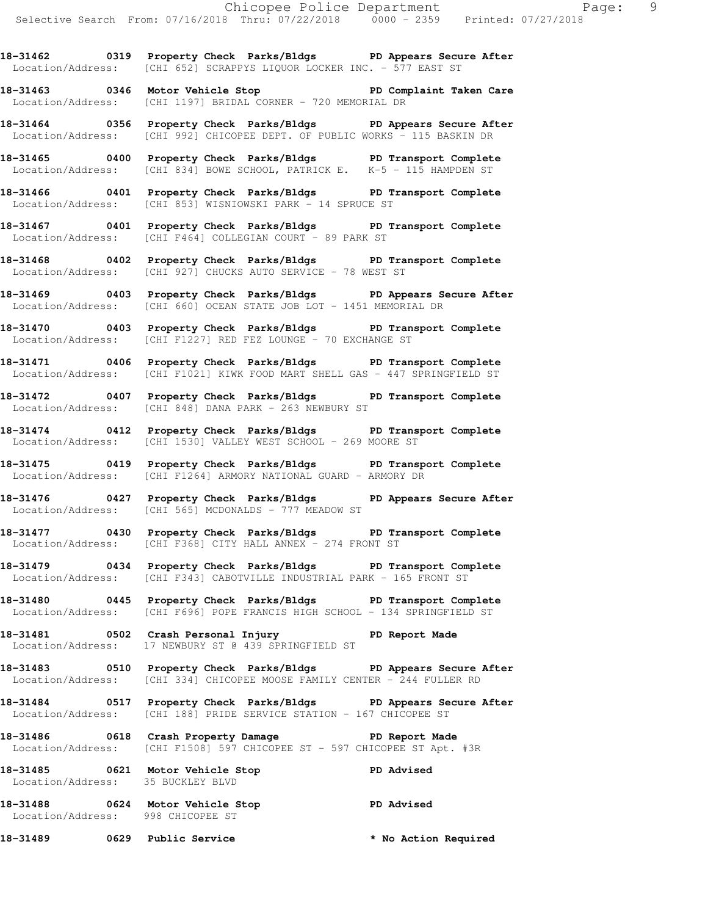**18-31462 0319 Property Check Parks/Bldgs PD Appears Secure After**  Location/Address: [CHI 652] SCRAPPYS LIQUOR LOCKER INC. - 577 EAST ST

**18-31463 0346 Motor Vehicle Stop PD Complaint Taken Care**  Location/Address: [CHI 1197] BRIDAL CORNER - 720 MEMORIAL DR

**18-31464 0356 Property Check Parks/Bldgs PD Appears Secure After**  Location/Address: [CHI 992] CHICOPEE DEPT. OF PUBLIC WORKS - 115 BASKIN DR

**18-31465 0400 Property Check Parks/Bldgs PD Transport Complete**  Location/Address: [CHI 834] BOWE SCHOOL, PATRICK E. K-5 - 115 HAMPDEN ST

**18-31466 0401 Property Check Parks/Bldgs PD Transport Complete**  Location/Address: [CHI 853] WISNIOWSKI PARK - 14 SPRUCE ST

**18-31467 0401 Property Check Parks/Bldgs PD Transport Complete**  Location/Address: [CHI F464] COLLEGIAN COURT - 89 PARK ST

**18-31468 0402 Property Check Parks/Bldgs PD Transport Complete**  Location/Address: [CHI 927] CHUCKS AUTO SERVICE - 78 WEST ST

**18-31469 0403 Property Check Parks/Bldgs PD Appears Secure After**  Location/Address: [CHI 660] OCEAN STATE JOB LOT - 1451 MEMORIAL DR

**18-31470 0403 Property Check Parks/Bldgs PD Transport Complete**  Location/Address: [CHI F1227] RED FEZ LOUNGE - 70 EXCHANGE ST

**18-31471 0406 Property Check Parks/Bldgs PD Transport Complete**  Location/Address: [CHI F1021] KIWK FOOD MART SHELL GAS - 447 SPRINGFIELD ST

**18-31472 0407 Property Check Parks/Bldgs PD Transport Complete**  Location/Address: [CHI 848] DANA PARK - 263 NEWBURY ST

**18-31474 0412 Property Check Parks/Bldgs PD Transport Complete**  Location/Address: [CHI 1530] VALLEY WEST SCHOOL - 269 MOORE ST

**18-31475 0419 Property Check Parks/Bldgs PD Transport Complete**  Location/Address: [CHI F1264] ARMORY NATIONAL GUARD - ARMORY DR

**18-31476 0427 Property Check Parks/Bldgs PD Appears Secure After**  Location/Address: [CHI 565] MCDONALDS - 777 MEADOW ST

**18-31477 0430 Property Check Parks/Bldgs PD Transport Complete**  Location/Address: [CHI F368] CITY HALL ANNEX - 274 FRONT ST

**18-31479 0434 Property Check Parks/Bldgs PD Transport Complete**  Location/Address: [CHI F343] CABOTVILLE INDUSTRIAL PARK - 165 FRONT ST

**18-31480 0445 Property Check Parks/Bldgs PD Transport Complete**  Location/Address: [CHI F696] POPE FRANCIS HIGH SCHOOL - 134 SPRINGFIELD ST

**18-31481 0502 Crash Personal Injury PD Report Made**  Location/Address: 17 NEWBURY ST @ 439 SPRINGFIELD ST

**18-31483 0510 Property Check Parks/Bldgs PD Appears Secure After**  Location/Address: [CHI 334] CHICOPEE MOOSE FAMILY CENTER - 244 FULLER RD

**18-31484 0517 Property Check Parks/Bldgs PD Appears Secure After**  Location/Address: [CHI 188] PRIDE SERVICE STATION - 167 CHICOPEE ST

**18-31486 0618 Crash Property Damage PD Report Made**  Location/Address: [CHI F1508] 597 CHICOPEE ST - 597 CHICOPEE ST Apt. #3R

**18-31485 0621 Motor Vehicle Stop PD Advised**  Location/Address: 35 BUCKLEY BLVD

**18-31488 0624 Motor Vehicle Stop PD Advised**  Location/Address: 998 CHICOPEE ST

**18-31489 0629 Public Service \* No Action Required**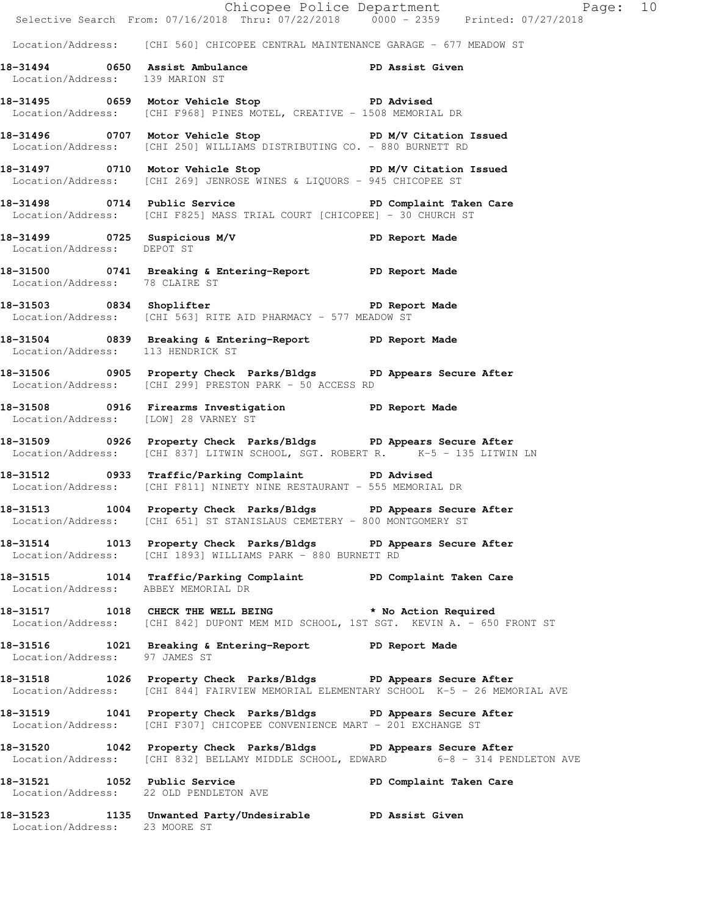|                                      | E<br>Chicopee Police Department<br>Selective Search From: 07/16/2018 Thru: 07/22/2018 0000 - 2359 Printed: 07/27/2018                                        | Page: 10                |  |
|--------------------------------------|--------------------------------------------------------------------------------------------------------------------------------------------------------------|-------------------------|--|
|                                      | Location/Address: [CHI 560] CHICOPEE CENTRAL MAINTENANCE GARAGE - 677 MEADOW ST                                                                              |                         |  |
| Location/Address: 139 MARION ST      | 18-31494 0650 Assist Ambulance New PD Assist Given                                                                                                           |                         |  |
|                                      | 18-31495 0659 Motor Vehicle Stop Noter PD Advised<br>Location/Address: [CHI F968] PINES MOTEL, CREATIVE - 1508 MEMORIAL DR                                   |                         |  |
|                                      | 18-31496 0707 Motor Vehicle Stop 50 PD M/V Citation Issued<br>Location/Address: [CHI 250] WILLIAMS DISTRIBUTING CO. - 880 BURNETT RD                         |                         |  |
|                                      | 18-31497 0710 Motor Vehicle Stop N/V Citation Issued<br>Location/Address: [CHI 269] JENROSE WINES & LIQUORS - 945 CHICOPEE ST                                |                         |  |
|                                      | 18-31498 0714 Public Service New PD Complaint Taken Care<br>Location/Address: [CHI F825] MASS TRIAL COURT [CHICOPEE] - 30 CHURCH ST                          |                         |  |
|                                      | 18-31499 0725 Suspicious M/V PD Report Made<br>Location/Address: DEPOT ST                                                                                    |                         |  |
| Location/Address: 78 CLAIRE ST       | 18-31500 0741 Breaking & Entering-Report TPD Report Made                                                                                                     |                         |  |
|                                      | 18-31503 0834 Shoplifter 2008 PD Report Made<br>Location/Address: [CHI 563] RITE AID PHARMACY - 577 MEADOW ST                                                |                         |  |
| Location/Address: 113 HENDRICK ST    | 18-31504 0839 Breaking & Entering-Report TPD Report Made                                                                                                     |                         |  |
|                                      | 18-31506 0905 Property Check Parks/Bldgs PD Appears Secure After<br>Location/Address: [CHI 299] PRESTON PARK - 50 ACCESS RD                                  |                         |  |
| Location/Address: [LOW] 28 VARNEY ST | 18-31508 0916 Firearms Investigation PD Report Made                                                                                                          |                         |  |
|                                      | 18-31509 0926 Property Check Parks/Bldgs PD Appears Secure After<br>Location/Address: [CHI 837] LITWIN SCHOOL, SGT. ROBERT R. K-5 - 135 LITWIN LN            |                         |  |
|                                      | 18-31512 0933 Traffic/Parking Complaint PD Advised<br>Location/Address: [CHI F811] NINETY NINE RESTAURANT - 555 MEMORIAL DR                                  |                         |  |
|                                      | 18-31513 1004 Property Check Parks/Bldgs PD Appears Secure After<br>Location/Address: [CHI 651] ST STANISLAUS CEMETERY - 800 MONTGOMERY ST                   |                         |  |
|                                      | 18-31514 1013 Property Check Parks/Bldgs PD Appears Secure After<br>Location/Address: [CHI 1893] WILLIAMS PARK - 880 BURNETT RD                              |                         |  |
| Location/Address: ABBEY MEMORIAL DR  | 18-31515 1014 Traffic/Parking Complaint PD Complaint Taken Care                                                                                              |                         |  |
|                                      | 18-31517 1018 CHECK THE WELL BEING * No Action Required<br>Location/Address: [CHI 842] DUPONT MEM MID SCHOOL, 1ST SGT. KEVIN A. - 650 FRONT ST               |                         |  |
| Location/Address: 97 JAMES ST        | 18-31516 1021 Breaking & Entering-Report PD Report Made                                                                                                      |                         |  |
|                                      | 18-31518 1026 Property Check Parks/Bldgs PD Appears Secure After<br>Location/Address: [CHI 844] FAIRVIEW MEMORIAL ELEMENTARY SCHOOL K-5 - 26 MEMORIAL AVE    |                         |  |
|                                      | 18-31519 1041 Property Check Parks/Bldgs PD Appears Secure After<br>Location/Address: [CHI F307] CHICOPEE CONVENIENCE MART - 201 EXCHANGE ST                 |                         |  |
|                                      | 18-31520 1042 Property Check Parks/Bldgs PD Appears Secure After<br>Location/Address: $[CHI 832]$ BELLAMY MIDDLE SCHOOL, EDWARD $-6 - 8 - 314$ PENDLETON AVE |                         |  |
| 18-31521 1052 Public Service         | Location/Address: 22 OLD PENDLETON AVE                                                                                                                       | PD Complaint Taken Care |  |
| Location/Address: 23 MOORE ST        | 18-31523 1135 Unwanted Party/Undesirable PD Assist Given                                                                                                     |                         |  |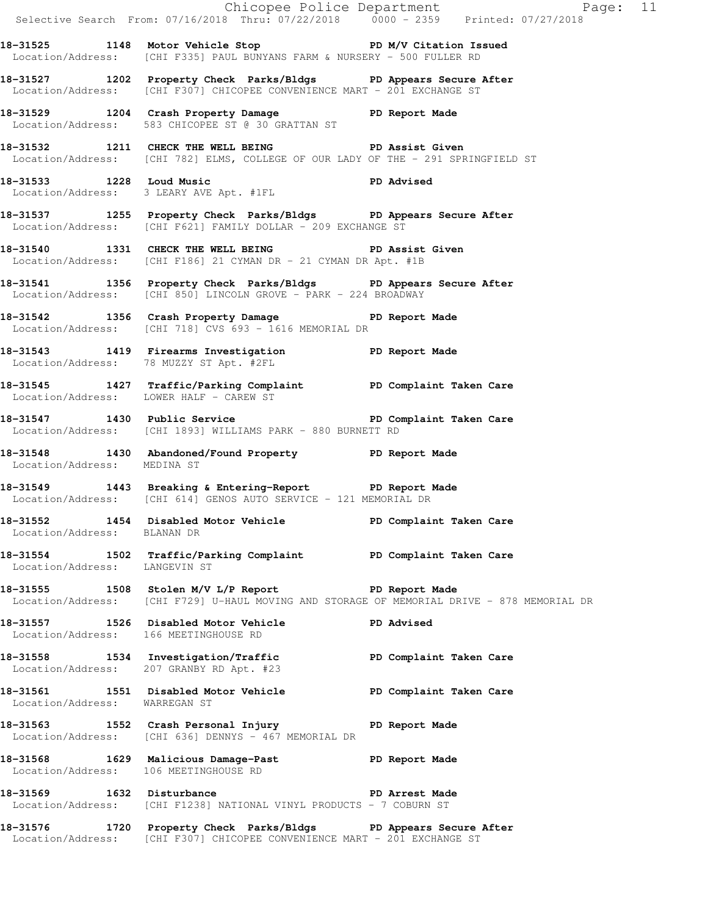|                                       |                                                                                                                                                                                                            | Chicopee Police Department<br>Selective Search From: 07/16/2018 Thru: 07/22/2018 0000 - 2359 Printed: 07/27/2018 |
|---------------------------------------|------------------------------------------------------------------------------------------------------------------------------------------------------------------------------------------------------------|------------------------------------------------------------------------------------------------------------------|
|                                       | 18-31525 1148 Motor Vehicle Stop N/V Citation Issued<br>Location/Address: [CHI F335] PAUL BUNYANS FARM & NURSERY - 500 FULLER RD                                                                           |                                                                                                                  |
|                                       | 18-31527 1202 Property Check Parks/Bldgs PD Appears Secure After<br>Location/Address: [CHI F307] CHICOPEE CONVENIENCE MART - 201 EXCHANGE ST                                                               |                                                                                                                  |
|                                       | 18-31529 1204 Crash Property Damage PD Report Made Location/Address: 583 CHICOPEE ST @ 30 GRATTAN ST                                                                                                       |                                                                                                                  |
|                                       | 18-31532 1211 CHECK THE WELL BEING PD Assist Given<br>Location/Address: [CHI 782] ELMS, COLLEGE OF OUR LADY OF THE - 291 SPRINGFIELD ST                                                                    |                                                                                                                  |
|                                       | 18-31533 1228 Loud Music<br>Location/Address: 3 LEARY AVE Apt. #1FL<br>The Music Space of Advised<br>2 Leary AVE Apt. #1FL<br>2 20 Music Space of Advised<br>2 DD Advised<br>2 20 Music Space of Apt. #1FL |                                                                                                                  |
|                                       | 18-31537 1255 Property Check Parks/Bldgs PD Appears Secure After<br>Location/Address: [CHI F621] FAMILY DOLLAR - 209 EXCHANGE ST                                                                           |                                                                                                                  |
|                                       | 18-31540 1331 CHECK THE WELL BEING PD Assist Given<br>Location/Address: [CHI F186] 21 CYMAN DR - 21 CYMAN DR Apt. #1B                                                                                      |                                                                                                                  |
|                                       | 18-31541 1356 Property Check Parks/Bldgs PD Appears Secure After<br>Location/Address: [CHI 850] LINCOLN GROVE - PARK - 224 BROADWAY                                                                        |                                                                                                                  |
|                                       | 18-31542 1356 Crash Property Damage PD Report Made<br>Location/Address: [CHI 718] CVS 693 - 1616 MEMORIAL DR                                                                                               |                                                                                                                  |
|                                       | 18-31543 1419 Firearms Investigation PD Report Made<br>Location/Address: 78 MUZZY ST Apt. #2FL                                                                                                             |                                                                                                                  |
|                                       | 18-31545 1427 Traffic/Parking Complaint PD Complaint Taken Care<br>Location/Address: LOWER HALF - CAREW ST                                                                                                 |                                                                                                                  |
|                                       | 18-31547 1430 Public Service New PD Complaint Taken Care<br>Location/Address: [CHI 1893] WILLIAMS PARK - 880 BURNETT RD                                                                                    |                                                                                                                  |
| Location/Address: MEDINA ST           | 18-31548 1430 Abandoned/Found Property PD Report Made                                                                                                                                                      |                                                                                                                  |
|                                       | 18-31549 1443 Breaking & Entering-Report PD Report Made<br>Location/Address: [CHI 614] GENOS AUTO SERVICE - 121 MEMORIAL DR                                                                                |                                                                                                                  |
| Location/Address: BLANAN DR           | 18-31552 1454 Disabled Motor Vehicle PD Complaint Taken Care                                                                                                                                               |                                                                                                                  |
| Location/Address: LANGEVIN ST         | 18-31554 1502 Traffic/Parking Complaint PD Complaint Taken Care                                                                                                                                            |                                                                                                                  |
|                                       | 18-31555 1508 Stolen M/V L/P Report 120 PD Report Made                                                                                                                                                     | Location/Address: [CHI F729] U-HAUL MOVING AND STORAGE OF MEMORIAL DRIVE - 878 MEMORIAL DR                       |
| Location/Address: 166 MEETINGHOUSE RD | 18-31557 1526 Disabled Motor Vehicle PD Advised                                                                                                                                                            |                                                                                                                  |
|                                       | 18-31558 1534 Investigation/Traffic ND PD Complaint Taken Care<br>Location/Address: 207 GRANBY RD Apt. #23                                                                                                 |                                                                                                                  |
| Location/Address: WARREGAN ST         | 18-31561 1551 Disabled Motor Vehicle PD Complaint Taken Care                                                                                                                                               |                                                                                                                  |
|                                       | 18-31563 1552 Crash Personal Injury 18-31563<br>Location/Address: [CHI 636] DENNYS - 467 MEMORIAL DR                                                                                                       |                                                                                                                  |
| Location/Address: 106 MEETINGHOUSE RD | 18-31568 1629 Malicious Damage-Past 18-31568 PD Report Made                                                                                                                                                |                                                                                                                  |
|                                       | 18-31569 1632 Disturbance PD Arrest Made<br>Location/Address: [CHI F1238] NATIONAL VINYL PRODUCTS - 7 COBURN ST                                                                                            |                                                                                                                  |
|                                       | 18-31576 1720 Property Check Parks/Bldgs PD Appears Secure After<br>Location/Address: [CHI F307] CHICOPEE CONVENIENCE MART - 201 EXCHANGE ST                                                               |                                                                                                                  |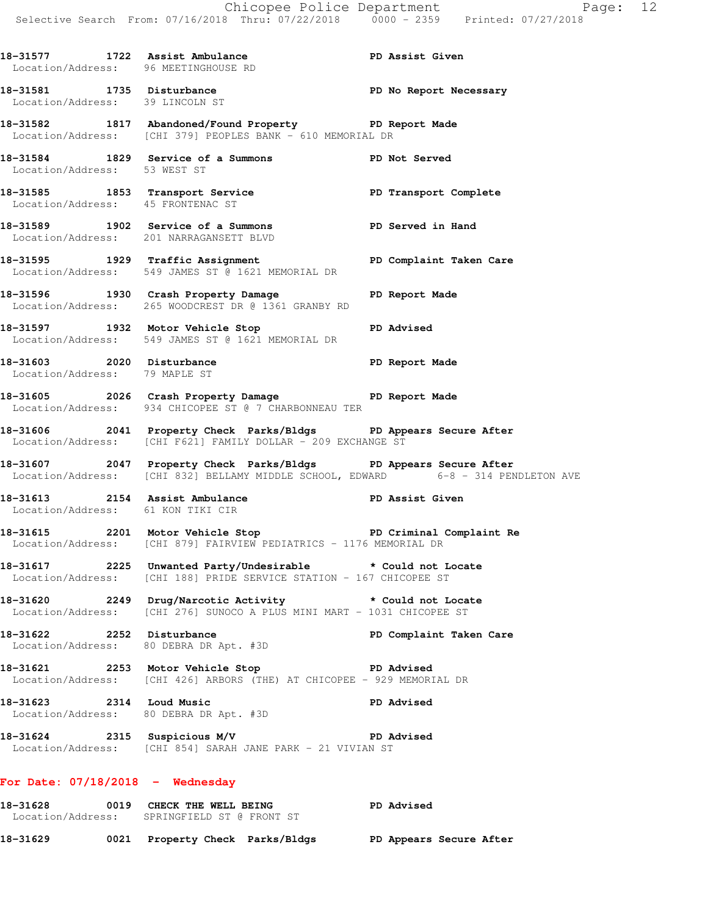| 18–31577 | 1722 Assist Ambulance                | PD Assist Given |
|----------|--------------------------------------|-----------------|
|          | Location/Address: 96 MEETINGHOUSE RD |                 |

**18-31581 1735 Disturbance PD No Report Necessary**  Location/Address: 39 LINCOLN ST **18-31582 1817 Abandoned/Found Property PD Report Made**  Location/Address: [CHI 379] PEOPLES BANK - 610 MEMORIAL DR

**18-31584 1829 Service of a Summons PD Not Served**  Location/Address: 53 WEST ST

18-31585 1853 Transport Service **1853 PD** Transport Complete Location/Address: 45 FRONTENAC ST

**18-31589 1902 Service of a Summons PD Served in Hand**  Location/Address: 201 NARRAGANSETT BLVD

18-31595 **1929** Traffic Assignment **PD Complaint Taken Care** Location/Address: 549 JAMES ST @ 1621 MEMORIAL DR

**18-31596 1930 Crash Property Damage PD Report Made**  Location/Address: 265 WOODCREST DR @ 1361 GRANBY RD

**18-31597 1932 Motor Vehicle Stop PD Advised**  Location/Address: 549 JAMES ST @ 1621 MEMORIAL DR

**18-31603 2020 Disturbance PD Report Made**  Location/Address: 79 MAPLE ST

**18-31605 2026 Crash Property Damage PD Report Made**  Location/Address: 934 CHICOPEE ST @ 7 CHARBONNEAU TER

**18-31606 2041 Property Check Parks/Bldgs PD Appears Secure After**  Location/Address: [CHI F621] FAMILY DOLLAR - 209 EXCHANGE ST

**18-31607 2047 Property Check Parks/Bldgs PD Appears Secure After**  Location/Address: [CHI 832] BELLAMY MIDDLE SCHOOL, EDWARD 6-8 - 314 PENDLETON AVE

**18-31613 2154 Assist Ambulance PD Assist Given**  Location/Address: 61 KON TIKI CIR

**18-31615 2201 Motor Vehicle Stop PD Criminal Complaint Re**  Location/Address: [CHI 879] FAIRVIEW PEDIATRICS - 1176 MEMORIAL DR

**18-31617 2225 Unwanted Party/Undesirable \* Could not Locate**  Location/Address: [CHI 188] PRIDE SERVICE STATION - 167 CHICOPEE ST

**18-31620 2249 Drug/Narcotic Activity \* Could not Locate**  Location/Address: [CHI 276] SUNOCO A PLUS MINI MART - 1031 CHICOPEE ST

**18-31622 2252 Disturbance PD Complaint Taken Care**  Location/Address: 80 DEBRA DR Apt. #3D

**18-31621 2253 Motor Vehicle Stop PD Advised**  Location/Address: [CHI 426] ARBORS (THE) AT CHICOPEE - 929 MEMORIAL DR

**18-31623 2314 Loud Music PD Advised**  Location/Address: 80 DEBRA DR Apt. #3D

**18-31624 2315 Suspicious M/V PD Advised**  Location/Address: [CHI 854] SARAH JANE PARK - 21 VIVIAN ST

## **For Date: 07/18/2018 - Wednesday**

18-31628 **0019 CHECK THE WELL BEING PD Advised**  Location/Address: SPRINGFIELD ST @ FRONT ST **18-31629 0021 Property Check Parks/Bldgs PD Appears Secure After**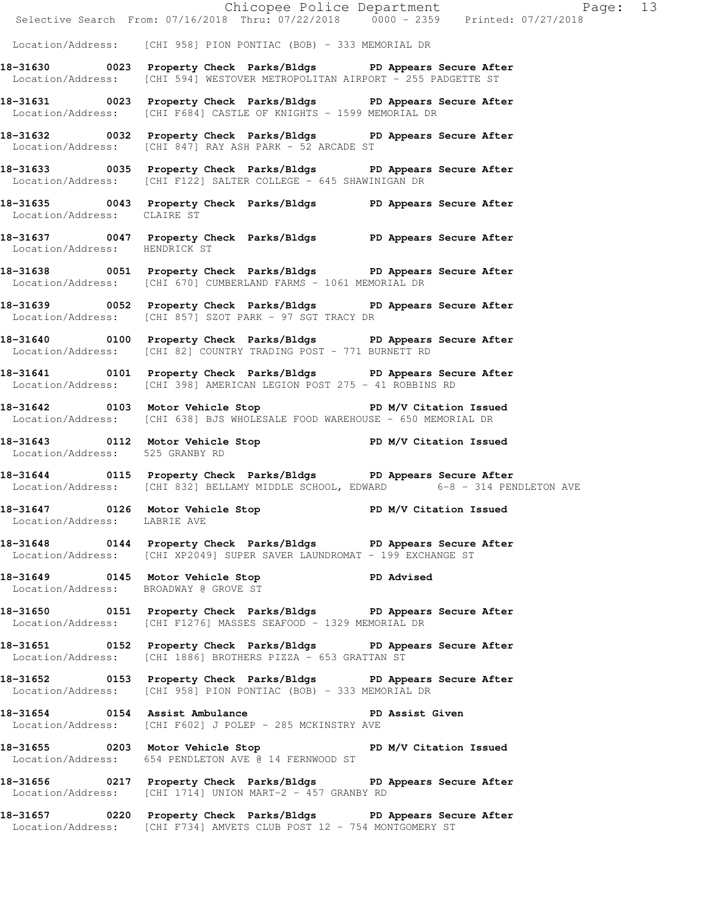|                                 |                                                                                                                                                       | Chicopee Police Department<br>Selective Search From: 07/16/2018 Thru: 07/22/2018 0000 - 2359 Printed: 07/27/2018 |
|---------------------------------|-------------------------------------------------------------------------------------------------------------------------------------------------------|------------------------------------------------------------------------------------------------------------------|
|                                 | Location/Address: [CHI 958] PION PONTIAC (BOB) - 333 MEMORIAL DR                                                                                      |                                                                                                                  |
|                                 | 18-31630 0023 Property Check Parks/Bldgs PD Appears Secure After<br>Location/Address: [CHI 594] WESTOVER METROPOLITAN AIRPORT - 255 PADGETTE ST       |                                                                                                                  |
|                                 | 18-31631 0023 Property Check Parks/Bldgs PD Appears Secure After<br>Location/Address: [CHI F684] CASTLE OF KNIGHTS - 1599 MEMORIAL DR                 |                                                                                                                  |
|                                 | 18-31632 0032 Property Check Parks/Bldgs PD Appears Secure After<br>Location/Address: [CHI 847] RAY ASH PARK - 52 ARCADE ST                           |                                                                                                                  |
|                                 | 18-31633 0035 Property Check Parks/Bldgs PD Appears Secure After<br>Location/Address: [CHI F122] SALTER COLLEGE - 645 SHAWINIGAN DR                   |                                                                                                                  |
| Location/Address: CLAIRE ST     | 18-31635 0043 Property Check Parks/Bldgs PD Appears Secure After                                                                                      |                                                                                                                  |
| Location/Address: HENDRICK ST   | 18-31637 0047 Property Check Parks/Bldgs PD Appears Secure After                                                                                      |                                                                                                                  |
|                                 | 18-31638 0051 Property Check Parks/Bldgs PD Appears Secure After<br>Location/Address: [CHI 670] CUMBERLAND FARMS - 1061 MEMORIAL DR                   |                                                                                                                  |
|                                 | 18-31639 0052 Property Check Parks/Bldgs PD Appears Secure After<br>Location/Address: [CHI 857] SZOT PARK - 97 SGT TRACY DR                           |                                                                                                                  |
|                                 | 18-31640 0100 Property Check Parks/Bldgs PD Appears Secure After<br>Location/Address: [CHI 82] COUNTRY TRADING POST - 771 BURNETT RD                  |                                                                                                                  |
|                                 | 18-31641 0101 Property Check Parks/Bldgs PD Appears Secure After<br>Location/Address: [CHI 398] AMERICAN LEGION POST 275 - 41 ROBBINS RD              |                                                                                                                  |
|                                 | 18-31642 0103 Motor Vehicle Stop PD M/V Citation Issued<br>Location/Address: [CHI 638] BJS WHOLESALE FOOD WAREHOUSE - 650 MEMORIAL DR                 |                                                                                                                  |
| Location/Address: 525 GRANBY RD | 18-31643 0112 Motor Vehicle Stop PD M/V Citation Issued                                                                                               |                                                                                                                  |
|                                 | 18-31644 0115 Property Check Parks/Bldgs PD Appears Secure After<br>Location/Address: [CHI 832] BELLAMY MIDDLE SCHOOL, EDWARD 6-8 - 314 PENDLETON AVE |                                                                                                                  |
| Location/Address: LABRIE AVE    | 18-31647 0126 Motor Vehicle Stop N/V Citation Issued                                                                                                  |                                                                                                                  |
|                                 | 18-31648 0144 Property Check Parks/Bldgs PD Appears Secure After<br>Location/Address: [CHI XP2049] SUPER SAVER LAUNDROMAT - 199 EXCHANGE ST           |                                                                                                                  |
|                                 | 18-31649 0145 Motor Vehicle Stop PD Advised<br>Location/Address: BROADWAY @ GROVE ST                                                                  |                                                                                                                  |
|                                 | 18-31650 0151 Property Check Parks/Bldgs PD Appears Secure After<br>Location/Address: [CHI F1276] MASSES SEAFOOD - 1329 MEMORIAL DR                   |                                                                                                                  |
|                                 | 18-31651 0152 Property Check Parks/Bldgs PD Appears Secure After<br>Location/Address: [CHI 1886] BROTHERS PIZZA - 653 GRATTAN ST                      |                                                                                                                  |
|                                 | 18-31652 0153 Property Check Parks/Bldgs PD Appears Secure After<br>Location/Address: [CHI 958] PION PONTIAC (BOB) - 333 MEMORIAL DR                  |                                                                                                                  |
|                                 | 18-31654 0154 Assist Ambulance No PD Assist Given<br>Location/Address: [CHI F602] J POLEP - 285 MCKINSTRY AVE                                         |                                                                                                                  |
|                                 | 18-31655 0203 Motor Vehicle Stop N/V Citation Issued<br>Location/Address: 654 PENDLETON AVE @ 14 FERNWOOD ST                                          |                                                                                                                  |
|                                 | 18-31656 0217 Property Check Parks/Bldgs PD Appears Secure After<br>Location/Address: [CHI 1714] UNION MART-2 - 457 GRANBY RD                         |                                                                                                                  |
|                                 | 18-31657 0220 Property Check Parks/Bldgs PD Appears Secure After<br>Location/Address: [CHI F734] AMVETS CLUB POST 12 - 754 MONTGOMERY ST              |                                                                                                                  |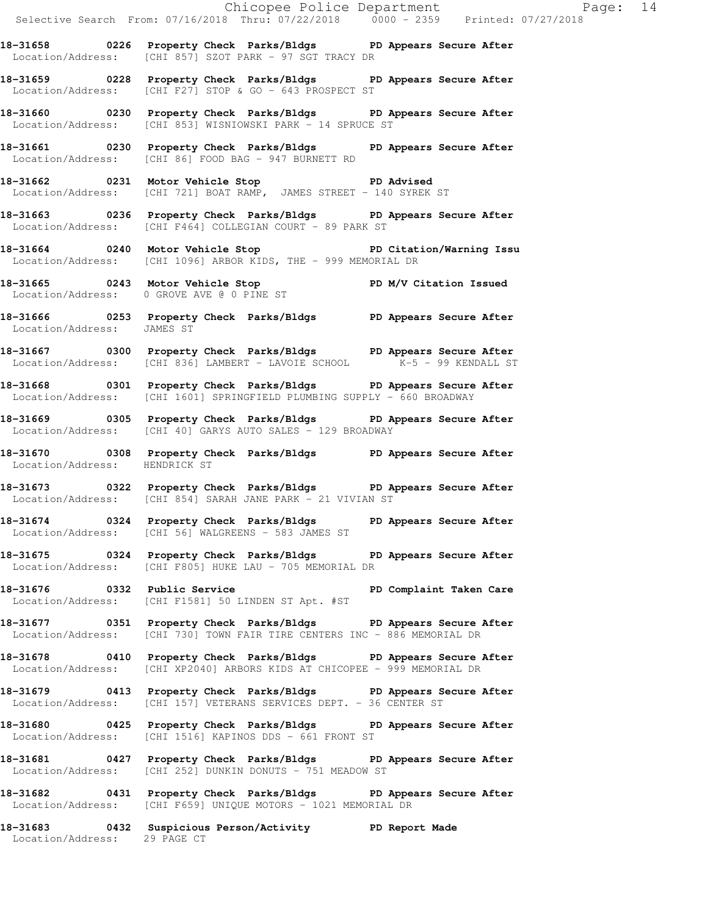Chicopee Police Department Fage: 14 Selective Search From: 07/16/2018 Thru: 07/22/2018 0000 - 2359 Printed: 07/27/2018 **18-31658 0226 Property Check Parks/Bldgs PD Appears Secure After**  Location/Address: [CHI 857] SZOT PARK - 97 SGT TRACY DR **18-31659 0228 Property Check Parks/Bldgs PD Appears Secure After**  Location/Address: [CHI F27] STOP & GO - 643 PROSPECT ST **18-31660 0230 Property Check Parks/Bldgs PD Appears Secure After**  Location/Address: [CHI 853] WISNIOWSKI PARK - 14 SPRUCE ST **18-31661 0230 Property Check Parks/Bldgs PD Appears Secure After**  Location/Address: [CHI 86] FOOD BAG - 947 BURNETT RD **18-31662 0231 Motor Vehicle Stop PD Advised**  Location/Address: [CHI 721] BOAT RAMP, JAMES STREET - 140 SYREK ST **18-31663 0236 Property Check Parks/Bldgs PD Appears Secure After**  Location/Address: [CHI F464] COLLEGIAN COURT - 89 PARK ST **18-31664 0240 Motor Vehicle Stop PD Citation/Warning Issu**  Location/Address: [CHI 1096] ARBOR KIDS, THE - 999 MEMORIAL DR **18-31665 0243 Motor Vehicle Stop PD M/V Citation Issued**  Location/Address: 0 GROVE AVE @ 0 PINE ST **18-31666 0253 Property Check Parks/Bldgs PD Appears Secure After**  Location/Address: JAMES ST **18-31667 0300 Property Check Parks/Bldgs PD Appears Secure After**  Location/Address: [CHI 836] LAMBERT - LAVOIE SCHOOL K-5 - 99 KENDALL ST **18-31668 0301 Property Check Parks/Bldgs PD Appears Secure After**  Location/Address: [CHI 1601] SPRINGFIELD PLUMBING SUPPLY - 660 BROADWAY **18-31669 0305 Property Check Parks/Bldgs PD Appears Secure After**  Location/Address: [CHI 40] GARYS AUTO SALES - 129 BROADWAY **18-31670 0308 Property Check Parks/Bldgs PD Appears Secure After**  Location/Address: HENDRICK ST **18-31673 0322 Property Check Parks/Bldgs PD Appears Secure After**  Location/Address: [CHI 854] SARAH JANE PARK - 21 VIVIAN ST **18-31674 0324 Property Check Parks/Bldgs PD Appears Secure After**  Location/Address: [CHI 56] WALGREENS - 583 JAMES ST **18-31675 0324 Property Check Parks/Bldgs PD Appears Secure After**  Location/Address: [CHI F805] HUKE LAU - 705 MEMORIAL DR **18-31676 0332 Public Service PD Complaint Taken Care**  Location/Address: [CHI F1581] 50 LINDEN ST Apt. #ST **18-31677 0351 Property Check Parks/Bldgs PD Appears Secure After**  Location/Address: [CHI 730] TOWN FAIR TIRE CENTERS INC - 886 MEMORIAL DR **18-31678 0410 Property Check Parks/Bldgs PD Appears Secure After**  Location/Address: [CHI XP2040] ARBORS KIDS AT CHICOPEE - 999 MEMORIAL DR **18-31679 0413 Property Check Parks/Bldgs PD Appears Secure After**  Location/Address: [CHI 157] VETERANS SERVICES DEPT. - 36 CENTER ST **18-31680 0425 Property Check Parks/Bldgs PD Appears Secure After**  Location/Address: [CHI 1516] KAPINOS DDS - 661 FRONT ST **18-31681 0427 Property Check Parks/Bldgs PD Appears Secure After**  Location/Address: [CHI 252] DUNKIN DONUTS - 751 MEADOW ST

**18-31682 0431 Property Check Parks/Bldgs PD Appears Secure After**  Location/Address: [CHI F659] UNIQUE MOTORS - 1021 MEMORIAL DR

**18-31683 0432 Suspicious Person/Activity PD Report Made**  Location/Address: 29 PAGE CT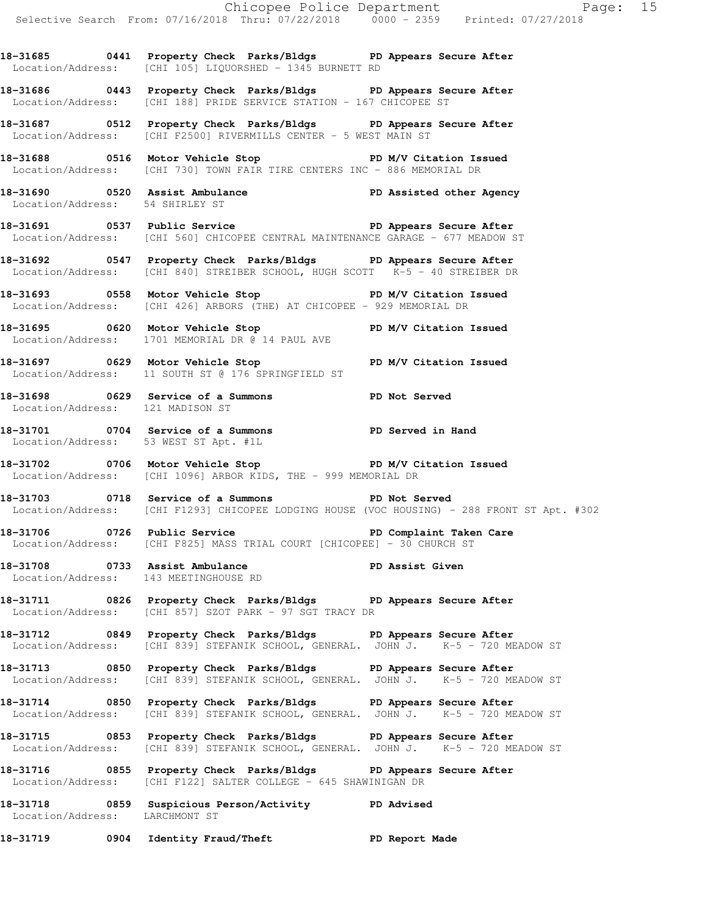**18-31685 0441 Property Check Parks/Bldgs PD Appears Secure After**  Location/Address: [CHI 105] LIQUORSHED - 1345 BURNETT RD

**18-31686 0443 Property Check Parks/Bldgs PD Appears Secure After**  Location/Address: [CHI 188] PRIDE SERVICE STATION - 167 CHICOPEE ST

**18-31687 0512 Property Check Parks/Bldgs PD Appears Secure After**  Location/Address: [CHI F2500] RIVERMILLS CENTER - 5 WEST MAIN ST

18-31688 0516 Motor Vehicle Stop **PD M/V Citation Issued** Location/Address: [CHI 730] TOWN FAIR TIRE CENTERS INC - 886 MEMORIAL DR

**18-31690 0520 Assist Ambulance PD Assisted other Agency**  Location/Address: 54 SHIRLEY ST

18-31691 **0537** Public Service **PD Appears Secure After** Location/Address: [CHI 560] CHICOPEE CENTRAL MAINTENANCE GARAGE - 677 MEADOW ST

**18-31692 0547 Property Check Parks/Bldgs PD Appears Secure After**  Location/Address: [CHI 840] STREIBER SCHOOL, HUGH SCOTT K-5 - 40 STREIBER DR

**18-31693 0558 Motor Vehicle Stop PD M/V Citation Issued**  Location/Address: [CHI 426] ARBORS (THE) AT CHICOPEE - 929 MEMORIAL DR

**18-31695 0620 Motor Vehicle Stop PD M/V Citation Issued**  Location/Address: 1701 MEMORIAL DR @ 14 PAUL AVE

**18-31697 0629 Motor Vehicle Stop PD M/V Citation Issued**  Location/Address: 11 SOUTH ST @ 176 SPRINGFIELD ST

**18-31698 0629 Service of a Summons PD Not Served**  Location/Address: 121 MADISON ST

**18-31701 0704 Service of a Summons PD Served in Hand**  Location/Address: 53 WEST ST Apt. #1L

18-31702 **0706** Motor Vehicle Stop **PD M/V Citation Issued** Location/Address: [CHI 1096] ARBOR KIDS, THE - 999 MEMORIAL DR

**18-31703 0718 Service of a Summons PD Not Served**  Location/Address: [CHI F1293] CHICOPEE LODGING HOUSE (VOC HOUSING) - 288 FRONT ST Apt. #302

18-31706 **0726** Public Service **Property Service** PD Complaint Taken Care Location/Address: [CHI F825] MASS TRIAL COURT [CHICOPEE] - 30 CHURCH ST

**18-31708 0733 Assist Ambulance PD Assist Given**  Location/Address: 143 MEETINGHOUSE RD

**18-31711 0826 Property Check Parks/Bldgs PD Appears Secure After**  Location/Address: [CHI 857] SZOT PARK - 97 SGT TRACY DR

**18-31712 0849 Property Check Parks/Bldgs PD Appears Secure After**  Location/Address: [CHI 839] STEFANIK SCHOOL, GENERAL. JOHN J. K-5 - 720 MEADOW ST

**18-31713 0850 Property Check Parks/Bldgs PD Appears Secure After**  Location/Address: [CHI 839] STEFANIK SCHOOL, GENERAL. JOHN J. K-5 - 720 MEADOW ST

**18-31714 0850 Property Check Parks/Bldgs PD Appears Secure After**  Location/Address: [CHI 839] STEFANIK SCHOOL, GENERAL. JOHN J. K-5 - 720 MEADOW ST

**18-31715 0853 Property Check Parks/Bldgs PD Appears Secure After**  Location/Address: [CHI 839] STEFANIK SCHOOL, GENERAL. JOHN J. K-5 - 720 MEADOW ST

**18-31716 0855 Property Check Parks/Bldgs PD Appears Secure After**  Location/Address: [CHI F122] SALTER COLLEGE - 645 SHAWINIGAN DR

**18-31718 0859 Suspicious Person/Activity PD Advised**  Location/Address: LARCHMONT ST

**18-31719 0904 Identity Fraud/Theft PD Report Made**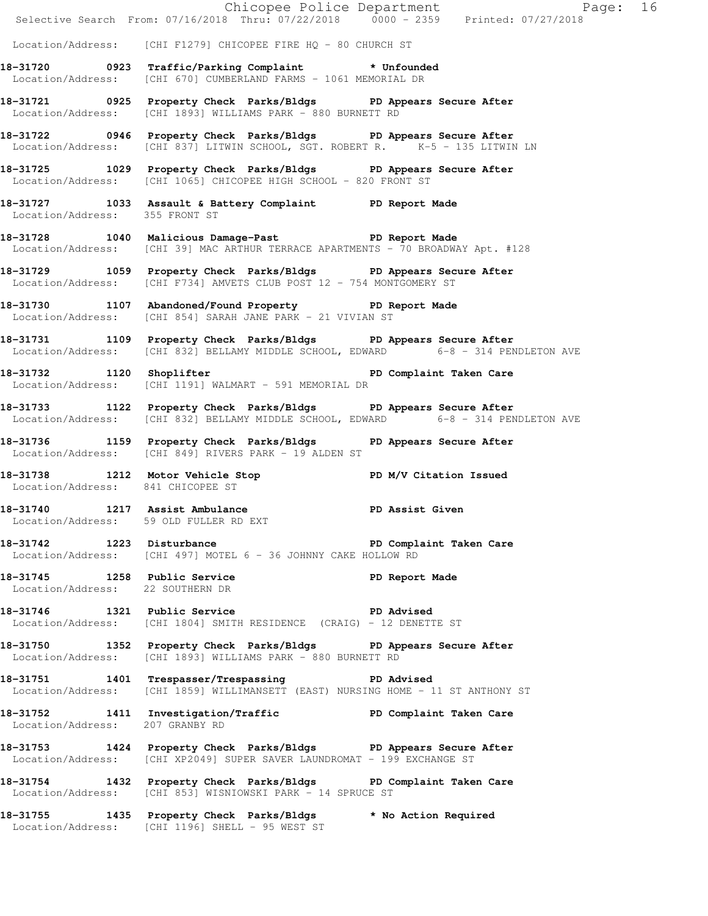|                                   |                                                                                                                                                       | Chicopee Police Department<br>Selective Search From: 07/16/2018 Thru: 07/22/2018 0000 - 2359 Printed: 07/27/2018 |  |
|-----------------------------------|-------------------------------------------------------------------------------------------------------------------------------------------------------|------------------------------------------------------------------------------------------------------------------|--|
|                                   | Location/Address: [CHI F1279] CHICOPEE FIRE HQ - 80 CHURCH ST                                                                                         |                                                                                                                  |  |
|                                   | 18-31720 0923 Traffic/Parking Complaint * Unfounded<br>Location/Address: [CHI 670] CUMBERLAND FARMS - 1061 MEMORIAL DR                                |                                                                                                                  |  |
|                                   | 18-31721 0925 Property Check Parks/Bldgs PD Appears Secure After<br>Location/Address: [CHI 1893] WILLIAMS PARK - 880 BURNETT RD                       |                                                                                                                  |  |
|                                   | 18-31722 0946 Property Check Parks/Bldgs PD Appears Secure After<br>Location/Address: [CHI 837] LITWIN SCHOOL, SGT. ROBERT R. K-5 - 135 LITWIN LN     |                                                                                                                  |  |
|                                   | 18-31725 1029 Property Check Parks/Bldgs PD Appears Secure After<br>Location/Address: [CHI 1065] CHICOPEE HIGH SCHOOL - 820 FRONT ST                  |                                                                                                                  |  |
| Location/Address: 355 FRONT ST    | 18-31727 1033 Assault & Battery Complaint PD Report Made                                                                                              |                                                                                                                  |  |
|                                   | 18-31728 1040 Malicious Damage-Past PD Report Made<br>Location/Address: [CHI 39] MAC ARTHUR TERRACE APARTMENTS - 70 BROADWAY Apt. #128                |                                                                                                                  |  |
|                                   | 18-31729 1059 Property Check Parks/Bldgs PD Appears Secure After<br>Location/Address: [CHI F734] AMVETS CLUB POST 12 - 754 MONTGOMERY ST              |                                                                                                                  |  |
|                                   | 18-31730 1107 Abandoned/Found Property PD Report Made<br>Location/Address: [CHI 854] SARAH JANE PARK - 21 VIVIAN ST                                   |                                                                                                                  |  |
|                                   | 18-31731 1109 Property Check Parks/Bldgs PD Appears Secure After<br>Location/Address: [CHI 832] BELLAMY MIDDLE SCHOOL, EDWARD 6-8 - 314 PENDLETON AVE |                                                                                                                  |  |
|                                   | 18-31732 1120 Shoplifter 200 PD Complaint Taken Care<br>Location/Address: [CHI 1191] WALMART - 591 MEMORIAL DR                                        |                                                                                                                  |  |
|                                   | 18-31733 1122 Property Check Parks/Bldgs PD Appears Secure After<br>Location/Address: [CHI 832] BELLAMY MIDDLE SCHOOL, EDWARD 6-8 - 314 PENDLETON AVE |                                                                                                                  |  |
|                                   | 18-31736 1159 Property Check Parks/Bldgs PD Appears Secure After<br>Location/Address: [CHI 849] RIVERS PARK - 19 ALDEN ST                             |                                                                                                                  |  |
| Location/Address: 841 CHICOPEE ST | 18-31738 1212 Motor Vehicle Stop PD M/V Citation Issued                                                                                               |                                                                                                                  |  |
|                                   | 18-31740 1217 Assist Ambulance New PD Assist Given<br>Location/Address: 59 OLD FULLER RD EXT                                                          |                                                                                                                  |  |
|                                   | 18-31742 1223 Disturbance Nature PD Complaint Taken Care<br>Location/Address: [CHI 497] MOTEL 6 - 36 JOHNNY CAKE HOLLOW RD                            |                                                                                                                  |  |
| Location/Address: 22 SOUTHERN DR  | 18-31745 1258 Public Service                                                                                                                          | PD Report Made                                                                                                   |  |
|                                   | 18-31746 1321 Public Service New PD Advised<br>Location/Address: [CHI 1804] SMITH RESIDENCE (CRAIG) - 12 DENETTE ST                                   |                                                                                                                  |  |
|                                   | 18-31750 1352 Property Check Parks/Bldgs PD Appears Secure After<br>Location/Address: [CHI 1893] WILLIAMS PARK - 880 BURNETT RD                       |                                                                                                                  |  |
|                                   | 18-31751 1401 Trespasser/Trespassing PD Advised<br>Location/Address: [CHI 1859] WILLIMANSETT (EAST) NURSING HOME - 11 ST ANTHONY ST                   |                                                                                                                  |  |
| Location/Address: 207 GRANBY RD   | 18-31752 1411 Investigation/Traffic PD Complaint Taken Care                                                                                           |                                                                                                                  |  |
|                                   | 18-31753 1424 Property Check Parks/Bldgs PD Appears Secure After<br>Location/Address: [CHI XP2049] SUPER SAVER LAUNDROMAT - 199 EXCHANGE ST           |                                                                                                                  |  |
|                                   | 18-31754 1432 Property Check Parks/Bldgs PD Complaint Taken Care<br>Location/Address: [CHI 853] WISNIOWSKI PARK - 14 SPRUCE ST                        |                                                                                                                  |  |
|                                   | 18-31755 1435 Property Check Parks/Bldgs * No Action Required<br>Location/Address: [CHI 1196] SHELL - 95 WEST ST                                      |                                                                                                                  |  |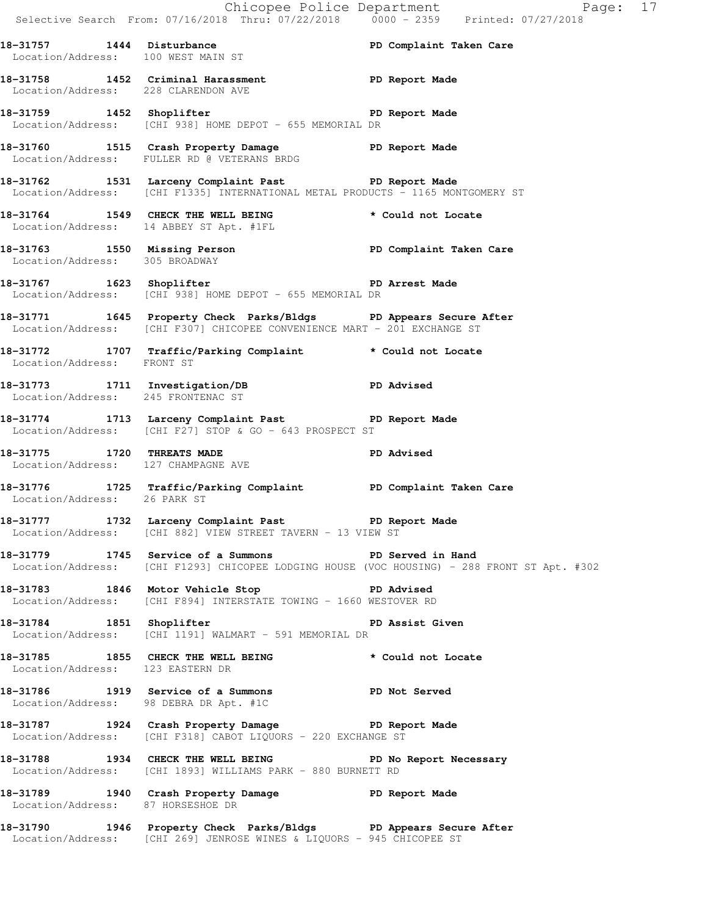|                                                                   | E Chicopee Police Department<br>Selective Search From: 07/16/2018 Thru: 07/22/2018 0000 - 2359 Printed: 07/27/2018                           | Page: 17                                                                                    |  |
|-------------------------------------------------------------------|----------------------------------------------------------------------------------------------------------------------------------------------|---------------------------------------------------------------------------------------------|--|
| Location/Address: 100 WEST MAIN ST                                | 18-31757 1444 Disturbance PD Complaint Taken Care                                                                                            |                                                                                             |  |
| Location/Address: 228 CLARENDON AVE                               | 18-31758 1452 Criminal Harassment Name PD Report Made                                                                                        |                                                                                             |  |
|                                                                   | 18-31759 1452 Shoplifter PD Report Made<br>Location/Address: [CHI 938] HOME DEPOT - 655 MEMORIAL DR                                          |                                                                                             |  |
|                                                                   | 18-31760 1515 Crash Property Damage PD Report Made<br>Location/Address: FULLER RD @ VETERANS BRDG                                            |                                                                                             |  |
|                                                                   | 18-31762 1531 Larceny Complaint Past PD Report Made<br>Location/Address: [CHI F1335] INTERNATIONAL METAL PRODUCTS - 1165 MONTGOMERY ST       |                                                                                             |  |
|                                                                   | 18-31764 1549 CHECK THE WELL BEING<br>Location/Address: 14 ABBEY ST Apt. #1FL                                                                | * Could not Locate                                                                          |  |
| Location/Address: 305 BROADWAY                                    | 18-31763 1550 Missing Person Number of PD Complaint Taken Care                                                                               |                                                                                             |  |
|                                                                   | 18-31767 1623 Shoplifter 18-18 PD Arrest Made<br>Location/Address: [CHI 938] HOME DEPOT - 655 MEMORIAL DR                                    |                                                                                             |  |
|                                                                   | 18-31771 1645 Property Check Parks/Bldgs PD Appears Secure After<br>Location/Address: [CHI F307] CHICOPEE CONVENIENCE MART - 201 EXCHANGE ST |                                                                                             |  |
| Location/Address: FRONT ST                                        | 18-31772 1707 Traffic/Parking Complaint * Could not Locate                                                                                   |                                                                                             |  |
| Location/Address: 245 FRONTENAC ST                                | 18-31773 1711 Investigation/DB PD Advised                                                                                                    |                                                                                             |  |
|                                                                   | 18-31774 1713 Larceny Complaint Past PD Report Made<br>Location/Address: [CHI F27] STOP & GO - 643 PROSPECT ST                               |                                                                                             |  |
| 18-31775 1720 THREATS MADE<br>Location/Address: 127 CHAMPAGNE AVE |                                                                                                                                              | PD Advised                                                                                  |  |
|                                                                   | 18-31776 1725 Traffic/Parking Complaint PD Complaint Taken Care<br>Location/Address: 26 PARK ST                                              |                                                                                             |  |
|                                                                   | 18-31777 1732 Larceny Complaint Past PD Report Made<br>Location/Address: [CHI 882] VIEW STREET TAVERN - 13 VIEW ST                           |                                                                                             |  |
|                                                                   | 18-31779 1745 Service of a Summons TPD Served in Hand                                                                                        | Location/Address: [CHI F1293] CHICOPEE LODGING HOUSE (VOC HOUSING) - 288 FRONT ST Apt. #302 |  |
|                                                                   | 18-31783 1846 Motor Vehicle Stop North PD Advised<br>Location/Address: [CHI F894] INTERSTATE TOWING - 1660 WESTOVER RD                       |                                                                                             |  |
|                                                                   | 18-31784 1851 Shoplifter <b>1888</b> PD Assist Given<br>Location/Address: [CHI 1191] WALMART - 591 MEMORIAL DR                               |                                                                                             |  |
| Location/Address: 123 EASTERN DR                                  | 18-31785 1855 CHECK THE WELL BEING * Could not Locate                                                                                        |                                                                                             |  |
|                                                                   | 18-31786 1919 Service of a Summons TPD Not Served<br>Location/Address: 98 DEBRA DR Apt. #1C                                                  |                                                                                             |  |
|                                                                   | 18-31787 1924 Crash Property Damage Name PD Report Made<br>Location/Address: [CHI F318] CABOT LIQUORS - 220 EXCHANGE ST                      |                                                                                             |  |
|                                                                   | 18-31788 1934 CHECK THE WELL BEING TERRY PD No Report Necessary<br>Location/Address: [CHI 1893] WILLIAMS PARK - 880 BURNETT RD               |                                                                                             |  |
| Location/Address: 87 HORSESHOE DR                                 | 18-31789 1940 Crash Property Damage Naport Made                                                                                              |                                                                                             |  |
|                                                                   | 18-31790 1946 Property Check Parks/Bldgs PD Appears Secure After                                                                             |                                                                                             |  |

Location/Address: [CHI 269] JENROSE WINES & LIQUORS - 945 CHICOPEE ST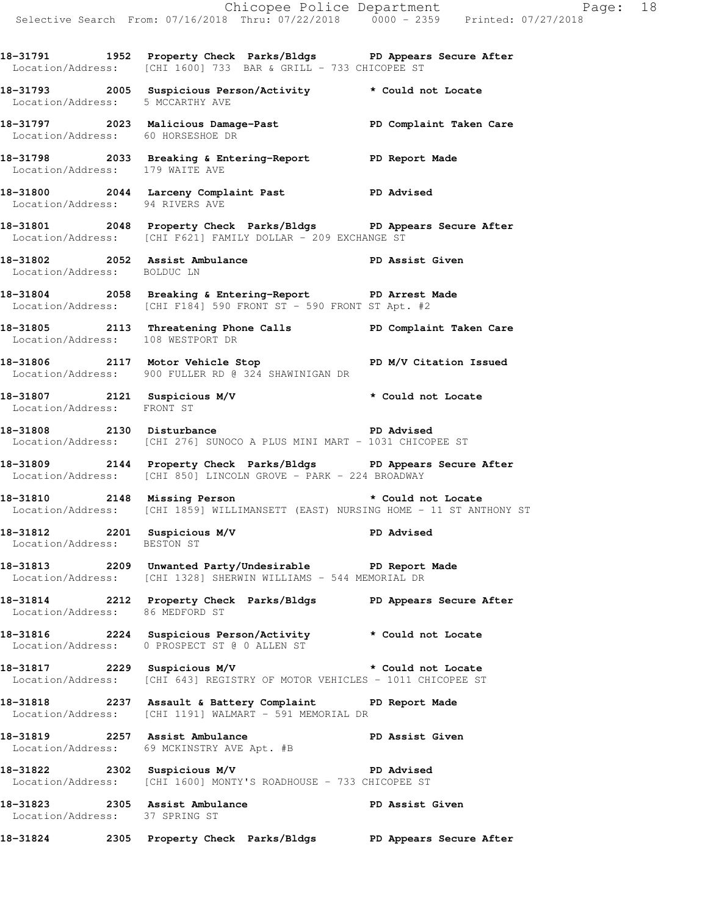Location/Address: [CHI 1600] 733 BAR & GRILL - 733 CHICOPEE ST **18-31793 2005 Suspicious Person/Activity \* Could not Locate**  Location/Address: 5 MCCARTHY AVE **18-31797 2023 Malicious Damage-Past PD Complaint Taken Care**  Location/Address: 60 HORSESHOE DR **18-31798 2033 Breaking & Entering-Report PD Report Made**  Location/Address: 179 WAITE AVE **18-31800 2044 Larceny Complaint Past PD Advised**  Location/Address: 94 RIVERS AVE **18-31801 2048 Property Check Parks/Bldgs PD Appears Secure After**  Location/Address: [CHI F621] FAMILY DOLLAR - 209 EXCHANGE ST **18-31802 2052 Assist Ambulance PD Assist Given**  Location/Address: BOLDUC LN **18-31804 2058 Breaking & Entering-Report PD Arrest Made**  Location/Address: [CHI F184] 590 FRONT ST - 590 FRONT ST Apt. #2 **18-31805 2113 Threatening Phone Calls PD Complaint Taken Care**  Location/Address: 108 WESTPORT DR **18-31806 2117 Motor Vehicle Stop PD M/V Citation Issued**  Location/Address: 900 FULLER RD @ 324 SHAWINIGAN DR **18-31807 2121 Suspicious M/V \* Could not Locate**  Location/Address: FRONT ST **18-31808 2130 Disturbance PD Advised**  Location/Address: [CHI 276] SUNOCO A PLUS MINI MART - 1031 CHICOPEE ST **18-31809 2144 Property Check Parks/Bldgs PD Appears Secure After**  Location/Address: [CHI 850] LINCOLN GROVE - PARK - 224 BROADWAY **18-31810 2148 Missing Person \* Could not Locate**  Location/Address: [CHI 1859] WILLIMANSETT (EAST) NURSING HOME - 11 ST ANTHONY ST **18-31812 2201 Suspicious M/V PD Advised**  Location/Address: BESTON ST **18-31813 2209 Unwanted Party/Undesirable PD Report Made**  Location/Address: [CHI 1328] SHERWIN WILLIAMS - 544 MEMORIAL DR **18-31814 2212 Property Check Parks/Bldgs PD Appears Secure After**  Location/Address: 86 MEDFORD ST **18-31816 2224 Suspicious Person/Activity \* Could not Locate**  Location/Address: 0 PROSPECT ST @ 0 ALLEN ST **18-31817 2229 Suspicious M/V \* Could not Locate**  Location/Address: [CHI 643] REGISTRY OF MOTOR VEHICLES - 1011 CHICOPEE ST **18-31818 2237 Assault & Battery Complaint PD Report Made**  Location/Address: [CHI 1191] WALMART - 591 MEMORIAL DR

**18-31791 1952 Property Check Parks/Bldgs PD Appears Secure After** 

18-31819 **2257** Assist Ambulance **PD Assist Given** Location/Address: 69 MCKINSTRY AVE Apt. #B

**18-31822 2302 Suspicious M/V PD Advised**  Location/Address: [CHI 1600] MONTY'S ROADHOUSE - 733 CHICOPEE ST

18-31823 2305 Assist Ambulance **PD Assist Given** Location/Address: 37 SPRING ST

**18-31824 2305 Property Check Parks/Bldgs PD Appears Secure After**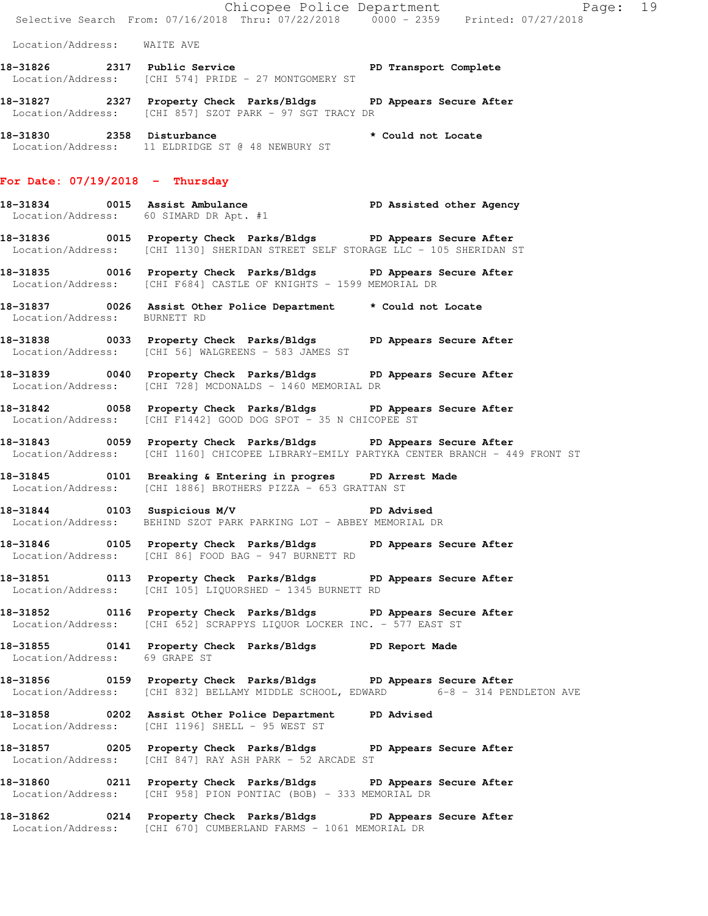Chicopee Police Department Fage: 19 Selective Search From: 07/16/2018 Thru: 07/22/2018 0000 - 2359 Printed: 07/27/2018 Location/Address: WAITE AVE 18-31826 2317 Public Service **Prime PD Transport Complete**  Location/Address: [CHI 574] PRIDE - 27 MONTGOMERY ST **18-31827 2327 Property Check Parks/Bldgs PD Appears Secure After**  Location/Address: [CHI 857] SZOT PARK - 97 SGT TRACY DR **18-31830 2358 Disturbance \* Could not Locate**  Location/Address: 11 ELDRIDGE ST @ 48 NEWBURY ST **For Date: 07/19/2018 - Thursday 18-31834 0015 Assist Ambulance PD Assisted other Agency**  Location/Address: 60 SIMARD DR Apt. #1 **18-31836 0015 Property Check Parks/Bldgs PD Appears Secure After**  Location/Address: [CHI 1130] SHERIDAN STREET SELF STORAGE LLC - 105 SHERIDAN ST **18-31835 0016 Property Check Parks/Bldgs PD Appears Secure After**  Location/Address: [CHI F684] CASTLE OF KNIGHTS - 1599 MEMORIAL DR **18-31837 0026 Assist Other Police Department \* Could not Locate**  Location/Address: BURNETT RD **18-31838 0033 Property Check Parks/Bldgs PD Appears Secure After**  Location/Address: [CHI 56] WALGREENS - 583 JAMES ST **18-31839 0040 Property Check Parks/Bldgs PD Appears Secure After**  Location/Address: [CHI 728] MCDONALDS - 1460 MEMORIAL DR **18-31842 0058 Property Check Parks/Bldgs PD Appears Secure After**  Location/Address: [CHI F1442] GOOD DOG SPOT - 35 N CHICOPEE ST **18-31843 0059 Property Check Parks/Bldgs PD Appears Secure After**  Location/Address: [CHI 1160] CHICOPEE LIBRARY-EMILY PARTYKA CENTER BRANCH - 449 FRONT ST **18-31845 0101 Breaking & Entering in progres PD Arrest Made**  Location/Address: [CHI 1886] BROTHERS PIZZA - 653 GRATTAN ST **18-31844 0103 Suspicious M/V PD Advised** 

**18-31846 0105 Property Check Parks/Bldgs PD Appears Secure After**  Location/Address: [CHI 86] FOOD BAG - 947 BURNETT RD

**18-31851 0113 Property Check Parks/Bldgs PD Appears Secure After**  Location/Address: [CHI 105] LIQUORSHED - 1345 BURNETT RD

**18-31852 0116 Property Check Parks/Bldgs PD Appears Secure After**  Location/Address: [CHI 652] SCRAPPYS LIQUOR LOCKER INC. - 577 EAST ST

**18-31855 0141 Property Check Parks/Bldgs PD Report Made**  Location/Address: 69 GRAPE ST

Location/Address: BEHIND SZOT PARK PARKING LOT - ABBEY MEMORIAL DR

**18-31856 0159 Property Check Parks/Bldgs PD Appears Secure After**  Location/Address: [CHI 832] BELLAMY MIDDLE SCHOOL, EDWARD 6-8 - 314 PENDLETON AVE

**18-31858 0202 Assist Other Police Department PD Advised**  Location/Address: [CHI 1196] SHELL - 95 WEST ST

**18-31857 0205 Property Check Parks/Bldgs PD Appears Secure After**  Location/Address: [CHI 847] RAY ASH PARK - 52 ARCADE ST

**18-31860 0211 Property Check Parks/Bldgs PD Appears Secure After**  Location/Address: [CHI 958] PION PONTIAC (BOB) - 333 MEMORIAL DR

**18-31862 0214 Property Check Parks/Bldgs PD Appears Secure After**  Location/Address: [CHI 670] CUMBERLAND FARMS - 1061 MEMORIAL DR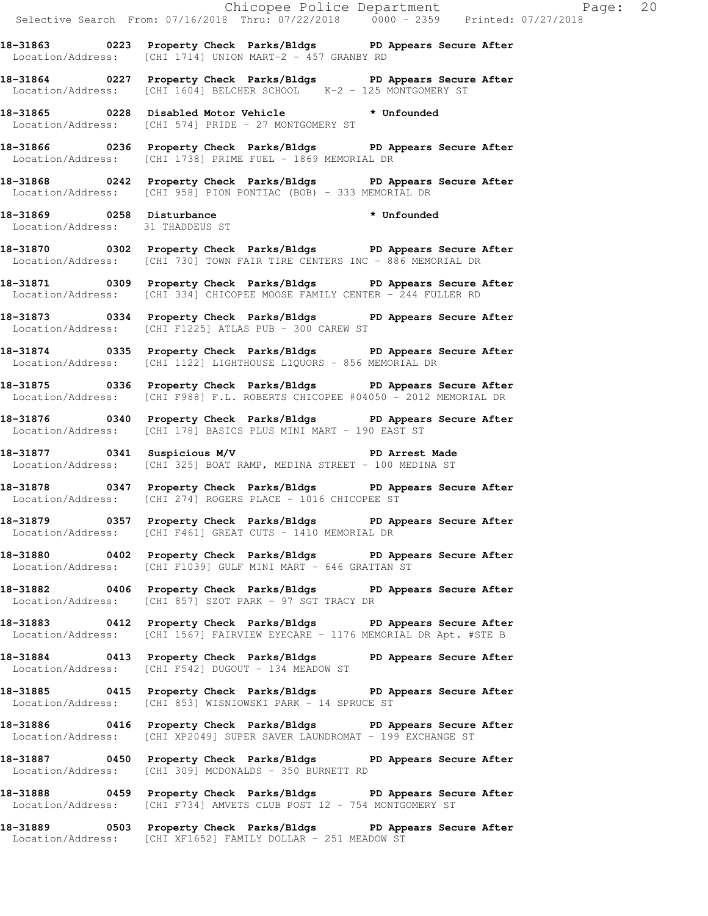|                                  | Chicopee Police Department<br>Selective Search From: 07/16/2018 Thru: 07/22/2018 0000 - 2359 Printed: 07/27/2018                                 |  |
|----------------------------------|--------------------------------------------------------------------------------------------------------------------------------------------------|--|
|                                  | 18-31863 		 0223 Property Check Parks/Bldgs 		 PD Appears Secure After<br>Location/Address: [CHI 1714] UNION MART-2 - 457 GRANBY RD              |  |
|                                  | 18-31864 0227 Property Check Parks/Bldgs PD Appears Secure After<br>Location/Address: [CHI 1604] BELCHER SCHOOL K-2 - 125 MONTGOMERY ST          |  |
|                                  | 18-31865 0228 Disabled Motor Vehicle * Unfounded<br>Location/Address: [CHI 574] PRIDE - 27 MONTGOMERY ST                                         |  |
|                                  | 18-31866 0236 Property Check Parks/Bldgs PD Appears Secure After<br>Location/Address: [CHI 1738] PRIME FUEL - 1869 MEMORIAL DR                   |  |
|                                  | 18-31868 0242 Property Check Parks/Bldgs PD Appears Secure After<br>Location/Address: [CHI 958] PION PONTIAC (BOB) - 333 MEMORIAL DR             |  |
| Location/Address: 31 THADDEUS ST | 18-31869 0258 Disturbance<br>Lecation (Address: 21 THADDEUS ST<br>* Unfounded                                                                    |  |
|                                  | 18-31870 0302 Property Check Parks/Bldgs PD Appears Secure After<br>Location/Address: [CHI 730] TOWN FAIR TIRE CENTERS INC - 886 MEMORIAL DR     |  |
|                                  | 18-31871 0309 Property Check Parks/Bldgs PD Appears Secure After<br>Location/Address: [CHI 334] CHICOPEE MOOSE FAMILY CENTER - 244 FULLER RD     |  |
|                                  | 18-31873 0334 Property Check Parks/Bldgs PD Appears Secure After<br>Location/Address: [CHI F1225] ATLAS PUB - 300 CAREW ST                       |  |
|                                  | 18-31874 0335 Property Check Parks/Bldgs PD Appears Secure After<br>Location/Address: [CHI 1122] LIGHTHOUSE LIQUORS - 856 MEMORIAL DR            |  |
|                                  | 18-31875 0336 Property Check Parks/Bldgs PD Appears Secure After<br>Location/Address: [CHI F988] F.L. ROBERTS CHICOPEE #04050 - 2012 MEMORIAL DR |  |
|                                  | 18-31876 0340 Property Check Parks/Bldgs PD Appears Secure After<br>Location/Address: [CHI 178] BASICS PLUS MINI MART - 190 EAST ST              |  |
|                                  | 18-31877 0341 Suspicious M/V PD Arrest Made<br>Location/Address: [CHI 325] BOAT RAMP, MEDINA STREET - 100 MEDINA ST                              |  |
|                                  | 18-31878 0347 Property Check Parks/Bldgs PD Appears Secure After<br>Location/Address: [CHI 274] ROGERS PLACE - 1016 CHICOPEE ST                  |  |
|                                  | 18-31879 		 0357 Property Check Parks/Bldgs 		 PD Appears Secure After<br>Location/Address: [CHI F461] GREAT CUTS - 1410 MEMORIAL DR             |  |
|                                  | 18-31880 0402 Property Check Parks/Bldgs PD Appears Secure After<br>Location/Address: [CHI F1039] GULF MINI MART - 646 GRATTAN ST                |  |
|                                  | 18-31882 0406 Property Check Parks/Bldgs PD Appears Secure After<br>Location/Address: [CHI 857] SZOT PARK - 97 SGT TRACY DR                      |  |
|                                  | 18-31883 0412 Property Check Parks/Bldgs PD Appears Secure After<br>Location/Address: [CHI 1567] FAIRVIEW EYECARE - 1176 MEMORIAL DR Apt. #STE B |  |
|                                  | 18-31884 0413 Property Check Parks/Bldgs PD Appears Secure After<br>Location/Address: [CHI F542] DUGOUT - 134 MEADOW ST                          |  |
|                                  | 18-31885 0415 Property Check Parks/Bldgs PD Appears Secure After<br>Location/Address: [CHI 853] WISNIOWSKI PARK - 14 SPRUCE ST                   |  |
|                                  | 18-31886 0416 Property Check Parks/Bldgs PD Appears Secure After<br>Location/Address: [CHI XP2049] SUPER SAVER LAUNDROMAT - 199 EXCHANGE ST      |  |
|                                  | 18-31887 0450 Property Check Parks/Bldgs PD Appears Secure After<br>Location/Address: [CHI 309] MCDONALDS - 350 BURNETT RD                       |  |

**18-31888 0459 Property Check Parks/Bldgs PD Appears Secure After**  Location/Address: [CHI F734] AMVETS CLUB POST 12 - 754 MONTGOMERY ST

**18-31889 0503 Property Check Parks/Bldgs PD Appears Secure After**  Location/Address: [CHI XF1652] FAMILY DOLLAR - 251 MEADOW ST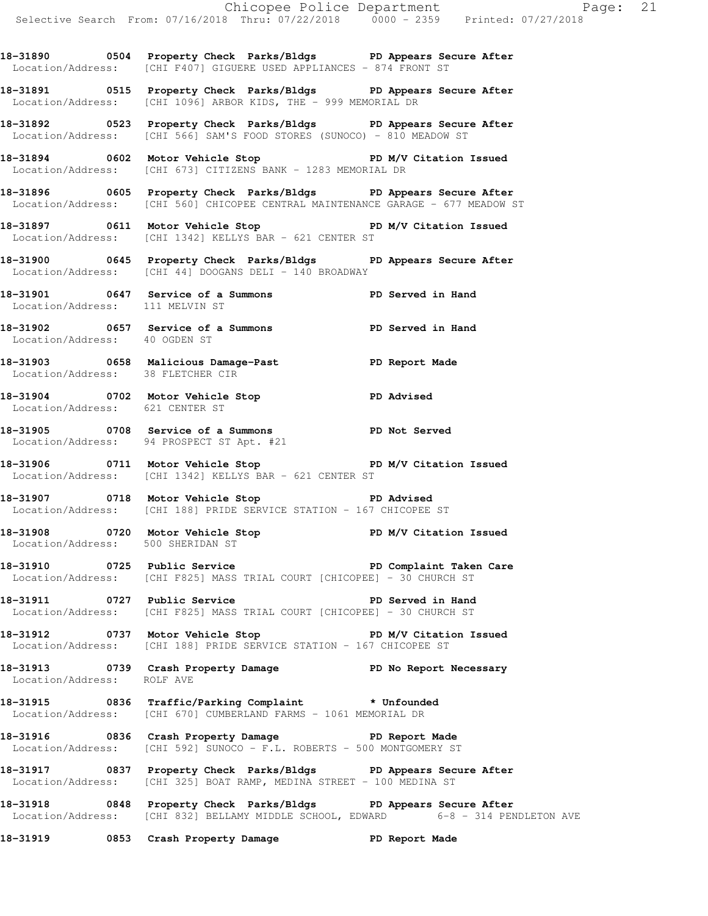**18-31890 0504 Property Check Parks/Bldgs PD Appears Secure After**  Location/Address: [CHI F407] GIGUERE USED APPLIANCES - 874 FRONT ST

**18-31891 0515 Property Check Parks/Bldgs PD Appears Secure After**  Location/Address: [CHI 1096] ARBOR KIDS, THE - 999 MEMORIAL DR

**18-31892 0523 Property Check Parks/Bldgs PD Appears Secure After**  Location/Address: [CHI 566] SAM'S FOOD STORES (SUNOCO) - 810 MEADOW ST

**18-31894 0602 Motor Vehicle Stop PD M/V Citation Issued**  Location/Address: [CHI 673] CITIZENS BANK - 1283 MEMORIAL DR

**18-31896 0605 Property Check Parks/Bldgs PD Appears Secure After**  Location/Address: [CHI 560] CHICOPEE CENTRAL MAINTENANCE GARAGE - 677 MEADOW ST

18-31897 0611 Motor Vehicle Stop **PD M/V Citation Issued** Location/Address: [CHI 1342] KELLYS BAR - 621 CENTER ST

**18-31900 0645 Property Check Parks/Bldgs PD Appears Secure After**  Location/Address: [CHI 44] DOOGANS DELI - 140 BROADWAY

**18-31901 0647 Service of a Summons PD Served in Hand**  Location/Address: 111 MELVIN ST

**18-31902 0657 Service of a Summons PD Served in Hand**  Location/Address: 40 OGDEN ST

**18-31903 0658 Malicious Damage-Past PD Report Made**  Location/Address: 38 FLETCHER CIR

**18-31904 0702 Motor Vehicle Stop PD Advised**  Location/Address: 621 CENTER ST

**18-31905 0708 Service of a Summons PD Not Served**  Location/Address: 94 PROSPECT ST Apt. #21

18-31906 0711 Motor Vehicle Stop **PD M/V Citation Issued** Location/Address: [CHI 1342] KELLYS BAR - 621 CENTER ST

**18-31907 0718 Motor Vehicle Stop PD Advised**  Location/Address: [CHI 188] PRIDE SERVICE STATION - 167 CHICOPEE ST

18-31908 **0720** Motor Vehicle Stop **PD M/V Citation Issued** Location/Address: 500 SHERIDAN ST

**18-31910 0725 Public Service PD Complaint Taken Care**  Location/Address: [CHI F825] MASS TRIAL COURT [CHICOPEE] - 30 CHURCH ST

**18-31911 0727 Public Service PD Served in Hand**  Location/Address: [CHI F825] MASS TRIAL COURT [CHICOPEE] - 30 CHURCH ST

**18-31912 0737 Motor Vehicle Stop PD M/V Citation Issued**  Location/Address: [CHI 188] PRIDE SERVICE STATION - 167 CHICOPEE ST

**18-31913 0739 Crash Property Damage PD No Report Necessary**  Location/Address: ROLF AVE

**18-31915 0836 Traffic/Parking Complaint \* Unfounded**  Location/Address: [CHI 670] CUMBERLAND FARMS - 1061 MEMORIAL DR

**18-31916 0836 Crash Property Damage PD Report Made**  Location/Address: [CHI 592] SUNOCO - F.L. ROBERTS - 500 MONTGOMERY ST

**18-31917 0837 Property Check Parks/Bldgs PD Appears Secure After**  Location/Address: [CHI 325] BOAT RAMP, MEDINA STREET - 100 MEDINA ST

**18-31918 0848 Property Check Parks/Bldgs PD Appears Secure After**  Location/Address: [CHI 832] BELLAMY MIDDLE SCHOOL, EDWARD 6-8 - 314 PENDLETON AVE

**18-31919 0853 Crash Property Damage PD Report Made**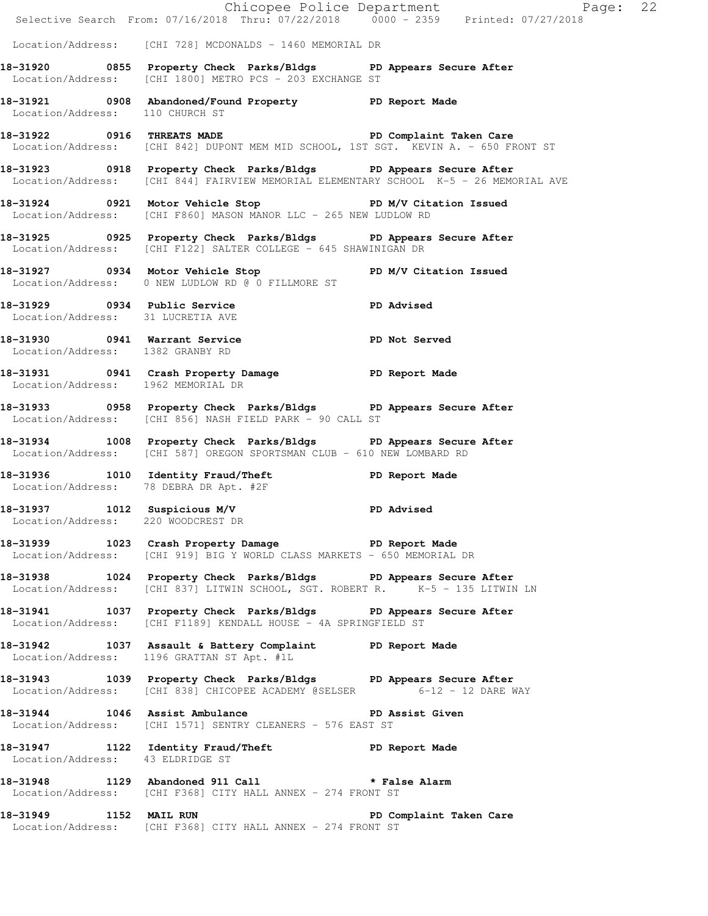|                                        | E Chicopee Police Department<br>Selective Search From: 07/16/2018 Thru: 07/22/2018 0000 - 2359 Printed: 07/27/2018                                        | Page: 22                |
|----------------------------------------|-----------------------------------------------------------------------------------------------------------------------------------------------------------|-------------------------|
|                                        | Location/Address: [CHI 728] MCDONALDS - 1460 MEMORIAL DR                                                                                                  |                         |
|                                        | 18-31920 0855 Property Check Parks/Bldgs PD Appears Secure After<br>Location/Address: [CHI 1800] METRO PCS - 203 EXCHANGE ST                              |                         |
| Location/Address: 110 CHURCH ST        | 18-31921 0908 Abandoned/Found Property PD Report Made                                                                                                     |                         |
| 18-31922 0916 THREATS MADE             | Location/Address: [CHI 842] DUPONT MEM MID SCHOOL, 1ST SGT. KEVIN A. - 650 FRONT ST                                                                       | PD Complaint Taken Care |
|                                        | 18-31923 0918 Property Check Parks/Bldgs PD Appears Secure After<br>Location/Address: [CHI 844] FAIRVIEW MEMORIAL ELEMENTARY SCHOOL K-5 - 26 MEMORIAL AVE |                         |
|                                        | 18-31924 0921 Motor Vehicle Stop N/V Citation Issued<br>Location/Address: [CHI F860] MASON MANOR LLC - 265 NEW LUDLOW RD                                  |                         |
|                                        | 18-31925 0925 Property Check Parks/Bldgs PD Appears Secure After<br>Location/Address: [CHI F122] SALTER COLLEGE - 645 SHAWINIGAN DR                       |                         |
|                                        | 18-31927 0934 Motor Vehicle Stop PD M/V Citation Issued<br>Location/Address: 0 NEW LUDLOW RD @ 0 FILLMORE ST                                              |                         |
| Location/Address: 31 LUCRETIA AVE      | 18-31929 0934 Public Service PD Advised<br>The Contract of LIGETTA AVE                                                                                    |                         |
| Location/Address: 1382 GRANBY RD       | 18-31930 0941 Warrant Service PD Not Served                                                                                                               |                         |
| Location/Address: 1962 MEMORIAL DR     | 18-31931 0941 Crash Property Damage Name PD Report Made                                                                                                   |                         |
|                                        | 18-31933 0958 Property Check Parks/Bldgs PD Appears Secure After<br>Location/Address: [CHI 856] NASH FIELD PARK - 90 CALL ST                              |                         |
|                                        | 18-31934 1008 Property Check Parks/Bldgs PD Appears Secure After<br>Location/Address: [CHI 587] OREGON SPORTSMAN CLUB - 610 NEW LOMBARD RD                |                         |
| Location/Address: 78 DEBRA DR Apt. #2F | 18-31936 1010 Identity Fraud/Theft The PD Report Made                                                                                                     |                         |
| Location/Address: 220 WOODCREST DR     | 18-31937 1012 Suspicious M/V PD Advised                                                                                                                   |                         |
|                                        | 18-31939 1023 Crash Property Damage PD Report Made<br>Location/Address: [CHI 919] BIG Y WORLD CLASS MARKETS - 650 MEMORIAL DR                             |                         |
|                                        | 18-31938 1024 Property Check Parks/Bldgs PD Appears Secure After<br>Location/Address: [CHI 837] LITWIN SCHOOL, SGT. ROBERT R. I K-5 - 135 LITWIN LN       |                         |
|                                        | 18-31941 1037 Property Check Parks/Bldgs PD Appears Secure After<br>Location/Address: [CHI F1189] KENDALL HOUSE - 4A SPRINGFIELD ST                       |                         |
|                                        | 18-31942 1037 Assault & Battery Complaint PD Report Made<br>Location/Address: 1196 GRATTAN ST Apt. #1L                                                    |                         |
|                                        | 18-31943 1039 Property Check Parks/Bldgs PD Appears Secure After<br>Location/Address: [CHI 838] CHICOPEE ACADEMY @SELSER 6-12 - 12 DARE WAY               |                         |
|                                        | 18-31944 1046 Assist Ambulance No PD Assist Given<br>Location/Address: [CHI 1571] SENTRY CLEANERS - 576 EAST ST                                           |                         |
| Location/Address: 43 ELDRIDGE ST       | 18-31947 1122 Identity Fraud/Theft The PD Report Made                                                                                                     |                         |
|                                        | 18-31948 1129 Abandoned 911 Call * False Alarm<br>Location/Address: [CHI F368] CITY HALL ANNEX - 274 FRONT ST                                             |                         |
|                                        | 18-31949 1152 MAIL RUN 2007 PD Complaint Taken Care<br>Location/Address: [CHI F368] CITY HALL ANNEX - 274 FRONT ST                                        |                         |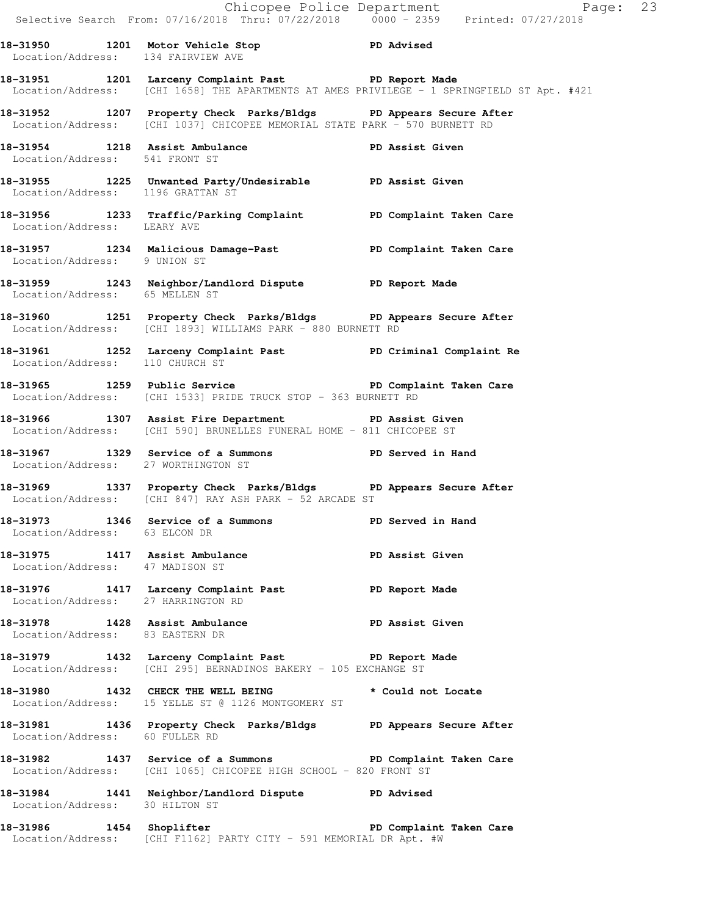|                                     |                                                                                                                                                | Chicopee Police Department<br>Selective Search From: 07/16/2018 Thru: 07/22/2018 0000 - 2359 Printed: 07/27/2018 |  |
|-------------------------------------|------------------------------------------------------------------------------------------------------------------------------------------------|------------------------------------------------------------------------------------------------------------------|--|
| Location/Address: 134 FAIRVIEW AVE  | 18-31950 1201 Motor Vehicle Stop 18-31950 PD Advised                                                                                           |                                                                                                                  |  |
|                                     | 18-31951 1201 Larceny Complaint Past 18-31951 PD Report Made                                                                                   | Location/Address: [CHI 1658] THE APARTMENTS AT AMES PRIVILEGE - 1 SPRINGFIELD ST Apt. #421                       |  |
|                                     | 18-31952 1207 Property Check Parks/Bldgs PD Appears Secure After<br>Location/Address: [CHI 1037] CHICOPEE MEMORIAL STATE PARK - 570 BURNETT RD |                                                                                                                  |  |
|                                     | 18-31954 1218 Assist Ambulance PD Assist Given<br>Location/Address: 541 FRONT ST                                                               |                                                                                                                  |  |
|                                     | 18-31955 1225 Unwanted Party/Undesirable PD Assist Given<br>Location/Address: 1196 GRATTAN ST                                                  |                                                                                                                  |  |
| Location/Address: LEARY AVE         | 18-31956 1233 Traffic/Parking Complaint PD Complaint Taken Care                                                                                |                                                                                                                  |  |
| Location/Address: 9 UNION ST        | 18-31957 1234 Malicious Damage-Past New PD Complaint Taken Care                                                                                |                                                                                                                  |  |
| Location/Address: 65 MELLEN ST      | 18-31959 1243 Neighbor/Landlord Dispute PD Report Made                                                                                         |                                                                                                                  |  |
|                                     | 18-31960 1251 Property Check Parks/Bldgs PD Appears Secure After<br>Location/Address: [CHI 1893] WILLIAMS PARK - 880 BURNETT RD                |                                                                                                                  |  |
| Location/Address: 110 CHURCH ST     | 18-31961 1252 Larceny Complaint Past PD Criminal Complaint Re                                                                                  |                                                                                                                  |  |
|                                     | 18-31965 1259 Public Service <b>18-18 PD</b> Complaint Taken Care<br>Location/Address: [CHI 1533] PRIDE TRUCK STOP - 363 BURNETT RD            |                                                                                                                  |  |
|                                     | 18-31966 1307 Assist Fire Department PD Assist Given<br>Location/Address: [CHI 590] BRUNELLES FUNERAL HOME - 811 CHICOPEE ST                   |                                                                                                                  |  |
| Location/Address: 27 WORTHINGTON ST | 18-31967 1329 Service of a Summons PD Served in Hand                                                                                           |                                                                                                                  |  |
|                                     | 18-31969 1337 Property Check Parks/Bldgs PD Appears Secure After<br>Location/Address: [CHI 847] RAY ASH PARK - 52 ARCADE ST                    |                                                                                                                  |  |
| Location/Address: 63 ELCON DR       | 18-31973 1346 Service of a Summons Tell Served in Hand                                                                                         |                                                                                                                  |  |
| Location/Address: 47 MADISON ST     | 18-31975 1417 Assist Ambulance New PD Assist Given                                                                                             |                                                                                                                  |  |
| Location/Address: 27 HARRINGTON RD  | 18-31976 1417 Larceny Complaint Past PD Report Made                                                                                            |                                                                                                                  |  |
| Location/Address: 83 EASTERN DR     | 18-31978 1428 Assist Ambulance New PD Assist Given                                                                                             |                                                                                                                  |  |
|                                     | 18-31979 1432 Larceny Complaint Past PD Report Made<br>Location/Address: [CHI 295] BERNADINOS BAKERY - 105 EXCHANGE ST                         |                                                                                                                  |  |
|                                     | 18-31980 1432 CHECK THE WELL BEING * Could not Locate<br>Location/Address: 15 YELLE ST @ 1126 MONTGOMERY ST                                    |                                                                                                                  |  |
| Location/Address: 60 FULLER RD      | 18-31981 1436 Property Check Parks/Bldgs PD Appears Secure After                                                                               |                                                                                                                  |  |
|                                     | 18-31982 1437 Service of a Summons New PD Complaint Taken Care<br>Location/Address: [CHI 1065] CHICOPEE HIGH SCHOOL - 820 FRONT ST             |                                                                                                                  |  |
| Location/Address: 30 HILTON ST      | 18-31984 1441 Neighbor/Landlord Dispute PD Advised                                                                                             |                                                                                                                  |  |
|                                     | 18-31986 1454 Shoplifter <b>18-31986</b> PD Complaint Taken Care<br>Location/Address: [CHI F1162] PARTY CITY - 591 MEMORIAL DR Apt. #W         |                                                                                                                  |  |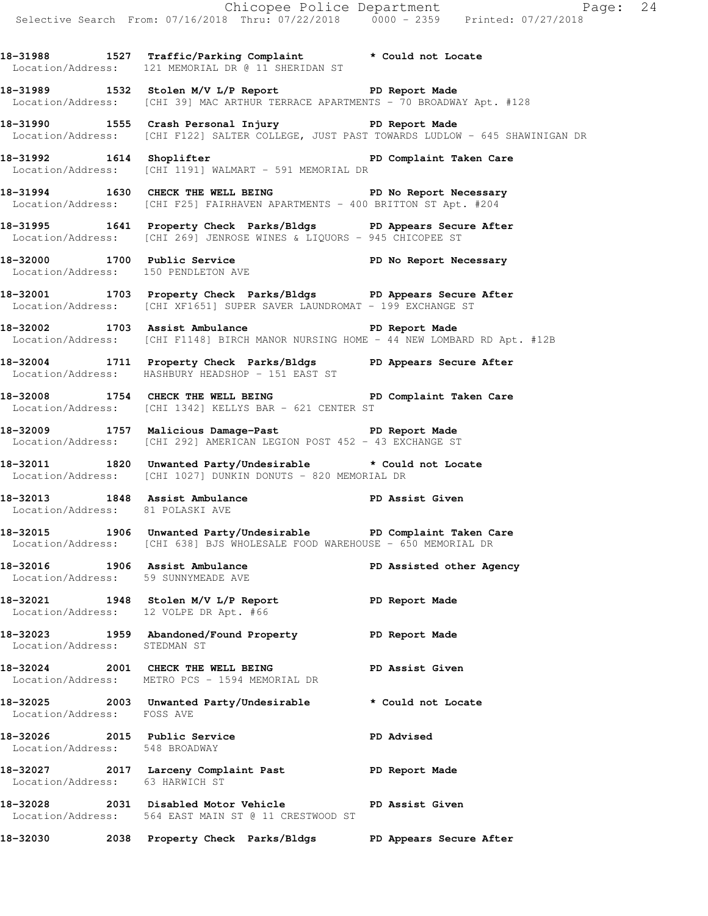|                                                                |                                                                                                                                                             | Chicopee Police Department<br>Selective Search From: 07/16/2018 Thru: 07/22/2018 0000 - 2359 Printed: 07/27/2018 |
|----------------------------------------------------------------|-------------------------------------------------------------------------------------------------------------------------------------------------------------|------------------------------------------------------------------------------------------------------------------|
|                                                                | 18-31988 1527 Traffic/Parking Complaint * Could not Locate<br>Location/Address: 121 MEMORIAL DR @ 11 SHERIDAN ST                                            |                                                                                                                  |
|                                                                | 18-31989 1532 Stolen M/V L/P Report 18-31989 1532 Stolen M/V L/P Report<br>Location/Address: [CHI 39] MAC ARTHUR TERRACE APARTMENTS - 70 BROADWAY Apt. #128 |                                                                                                                  |
|                                                                | 18-31990 1555 Crash Personal Injury 18-31990 PD Report Made<br>Location/Address: [CHI F122] SALTER COLLEGE, JUST PAST TOWARDS LUDLOW - 645 SHAWINIGAN DR    |                                                                                                                  |
|                                                                | 18-31992 1614 Shoplifter 18 PD Complaint Taken Care<br>Location/Address: [CHI 1191] WALMART - 591 MEMORIAL DR                                               |                                                                                                                  |
|                                                                | 18-31994 1630 CHECK THE WELL BEING PD No Report Necessary<br>Location/Address: [CHI F25] FAIRHAVEN APARTMENTS - 400 BRITTON ST Apt. #204                    |                                                                                                                  |
|                                                                | 18-31995 1641 Property Check Parks/Bldgs PD Appears Secure After<br>Location/Address: [CHI 269] JENROSE WINES & LIQUORS - 945 CHICOPEE ST                   |                                                                                                                  |
| Location/Address: 150 PENDLETON AVE                            | 18-32000 1700 Public Service <b>18-18 PD</b> No Report Necessary                                                                                            |                                                                                                                  |
|                                                                | 18-32001 1703 Property Check Parks/Bldgs PD Appears Secure After<br>Location/Address: [CHI XF1651] SUPER SAVER LAUNDROMAT - 199 EXCHANGE ST                 |                                                                                                                  |
|                                                                | 18-32002 1703 Assist Ambulance Neport Made<br>Location/Address: [CHI F1148] BIRCH MANOR NURSING HOME - 44 NEW LOMBARD RD Apt. #12B                          |                                                                                                                  |
|                                                                | 18-32004 1711 Property Check Parks/Bldgs PD Appears Secure After<br>Location/Address: HASHBURY HEADSHOP - 151 EAST ST                                       |                                                                                                                  |
|                                                                | 18-32008 1754 CHECK THE WELL BEING PD Complaint Taken Care<br>Location/Address: [CHI 1342] KELLYS BAR - 621 CENTER ST                                       |                                                                                                                  |
|                                                                | 18-32009 1757 Malicious Damage-Past 1998 PD Report Made<br>Location/Address: [CHI 292] AMERICAN LEGION POST 452 - 43 EXCHANGE ST                            |                                                                                                                  |
|                                                                | 18-32011 1820 Unwanted Party/Undesirable * Could not Locate<br>Location/Address: [CHI 1027] DUNKIN DONUTS - 820 MEMORIAL DR                                 |                                                                                                                  |
| Location/Address: 81 POLASKI AVE                               | 18-32013 1848 Assist Ambulance New PD Assist Given                                                                                                          |                                                                                                                  |
|                                                                | 18-32015 1906 Unwanted Party/Undesirable PD Complaint Taken Care<br>Location/Address: [CHI 638] BJS WHOLESALE FOOD WAREHOUSE - 650 MEMORIAL DR              |                                                                                                                  |
| Location/Address: 59 SUNNYMEADE AVE                            | 18-32016 1906 Assist Ambulance                                                                                                                              | PD Assisted other Agency                                                                                         |
| Location/Address: 12 VOLPE DR Apt. #66                         | 18-32021 1948 Stolen M/V L/P Report 18-32021                                                                                                                |                                                                                                                  |
| Location/Address: STEDMAN ST                                   | 18-32023 1959 Abandoned/Found Property TD Report Made                                                                                                       |                                                                                                                  |
|                                                                | 18-32024 2001 CHECK THE WELL BEING PD Assist Given<br>Location/Address: METRO PCS - 1594 MEMORIAL DR                                                        |                                                                                                                  |
| Location/Address: FOSS AVE                                     | 18-32025 2003 Unwanted Party/Undesirable                                                                                                                    | * Could not Locate                                                                                               |
| 18-32026 2015 Public Service<br>Location/Address: 548 BROADWAY |                                                                                                                                                             | PD Advised                                                                                                       |
| Location/Address: 63 HARWICH ST                                | 18-32027 2017 Larceny Complaint Past PD Report Made                                                                                                         |                                                                                                                  |
|                                                                | 18-32028 2031 Disabled Motor Vehicle<br>Location/Address: 564 EAST MAIN ST @ 11 CRESTWOOD ST                                                                | PD Assist Given                                                                                                  |
|                                                                | 18-32030 2038 Property Check Parks/Bldgs PD Appears Secure After                                                                                            |                                                                                                                  |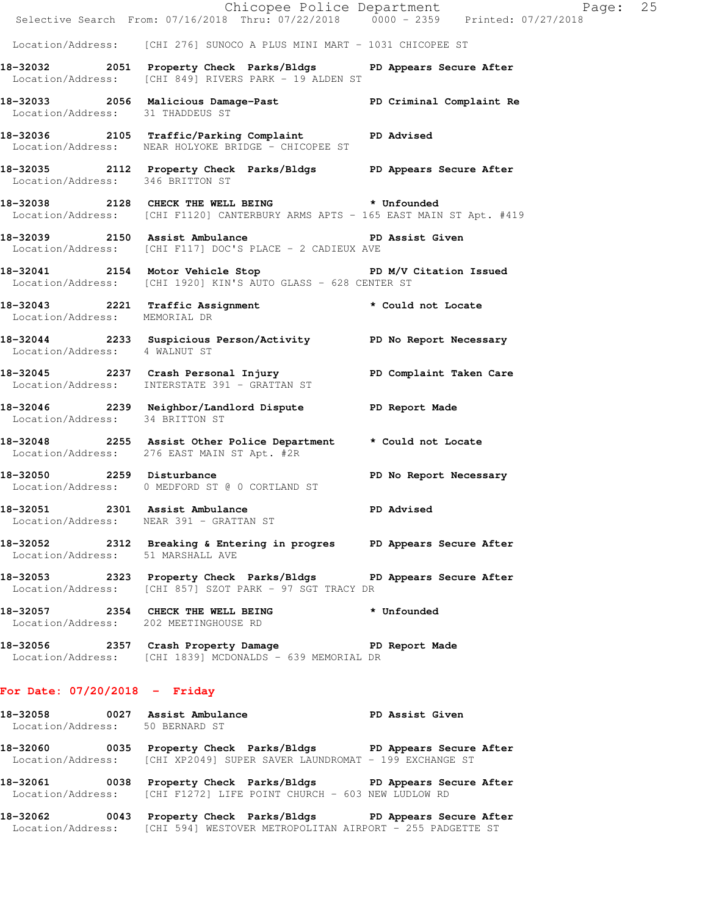|                                                     | Selective Search From: 07/16/2018 Thru: 07/22/2018   0000 - 2359   Printed: 07/27/2018                                            | Chicopee Police Department<br>Page: 25 |  |
|-----------------------------------------------------|-----------------------------------------------------------------------------------------------------------------------------------|----------------------------------------|--|
|                                                     | Location/Address: [CHI 276] SUNOCO A PLUS MINI MART - 1031 CHICOPEE ST                                                            |                                        |  |
|                                                     | 18-32032 2051 Property Check Parks/Bldgs PD Appears Secure After<br>Location/Address: [CHI 849] RIVERS PARK - 19 ALDEN ST         |                                        |  |
| Location/Address: 31 THADDEUS ST                    | 18-32033 2056 Malicious Damage-Past PD Criminal Complaint Re                                                                      |                                        |  |
|                                                     | 18-32036 2105 Traffic/Parking Complaint PD Advised<br>Location/Address: NEAR HOLYOKE BRIDGE - CHICOPEE ST                         |                                        |  |
| Location/Address: 346 BRITTON ST                    | 18-32035 2112 Property Check Parks/Bldgs PD Appears Secure After                                                                  |                                        |  |
|                                                     | 18-32038 2128 CHECK THE WELL BEING * Unfounded<br>Location/Address: [CHI F1120] CANTERBURY ARMS APTS - 165 EAST MAIN ST Apt. #419 |                                        |  |
|                                                     | 18-32039 2150 Assist Ambulance New PD Assist Given<br>Location/Address: [CHI F117] DOC'S PLACE - 2 CADIEUX AVE                    |                                        |  |
|                                                     | 18-32041 2154 Motor Vehicle Stop N/V Citation Issued<br>Location/Address: [CHI 1920] KIN'S AUTO GLASS - 628 CENTER ST             |                                        |  |
| Location/Address: MEMORIAL DR                       | 18-32043 2221 Traffic Assignment that is tould not Locate                                                                         |                                        |  |
| Location/Address: 4 WALNUT ST                       | 18-32044 2233 Suspicious Person/Activity PD No Report Necessary                                                                   |                                        |  |
|                                                     | 18-32045  2237  Crash Personal Injury  PD Complaint Taken Care<br>Location/Address: INTERSTATE 391 - GRATTAN ST                   |                                        |  |
| Location/Address: 34 BRITTON ST                     | 18-32046 2239 Neighbor/Landlord Dispute PD Report Made                                                                            |                                        |  |
|                                                     | 18-32048 2255 Assist Other Police Department * Could not Locate<br>Location/Address: 276 EAST MAIN ST Apt. #2R                    |                                        |  |
| 18-32050 2259 Disturbance                           | Location/Address: 0 MEDFORD ST @ 0 CORTLAND ST                                                                                    | PD No Report Necessary                 |  |
| 18-32051 2301 Assist Ambulance<br>Location/Address: | NEAR 391 - GRATTAN ST                                                                                                             | <b>PD Advised</b>                      |  |
| Location/Address: 51 MARSHALL AVE                   | 18-32052 2312 Breaking & Entering in progres PD Appears Secure After                                                              |                                        |  |
|                                                     | 18-32053 2323 Property Check Parks/Bldgs PD Appears Secure After<br>Location/Address: [CHI 857] SZOT PARK - 97 SGT TRACY DR       |                                        |  |
| Location/Address: 202 MEETINGHOUSE RD               | 18-32057 2354 CHECK THE WELL BEING                                                                                                | * Unfounded                            |  |
|                                                     | 18-32056 2357 Crash Property Damage Neport Made<br>Location/Address: [CHI 1839] MCDONALDS - 639 MEMORIAL DR                       |                                        |  |
| For Date: $07/20/2018$ - Friday                     |                                                                                                                                   |                                        |  |
|                                                     |                                                                                                                                   |                                        |  |

**18-32058 0027 Assist Ambulance PD Assist Given**  Location/Address: 50 BERNARD ST **18-32060 0035 Property Check Parks/Bldgs PD Appears Secure After**  Location/Address: [CHI XP2049] SUPER SAVER LAUNDROMAT - 199 EXCHANGE ST **18-32061 0038 Property Check Parks/Bldgs PD Appears Secure After**  Location/Address: [CHI F1272] LIFE POINT CHURCH - 603 NEW LUDLOW RD

**18-32062 0043 Property Check Parks/Bldgs PD Appears Secure After**  Location/Address: [CHI 594] WESTOVER METROPOLITAN AIRPORT - 255 PADGETTE ST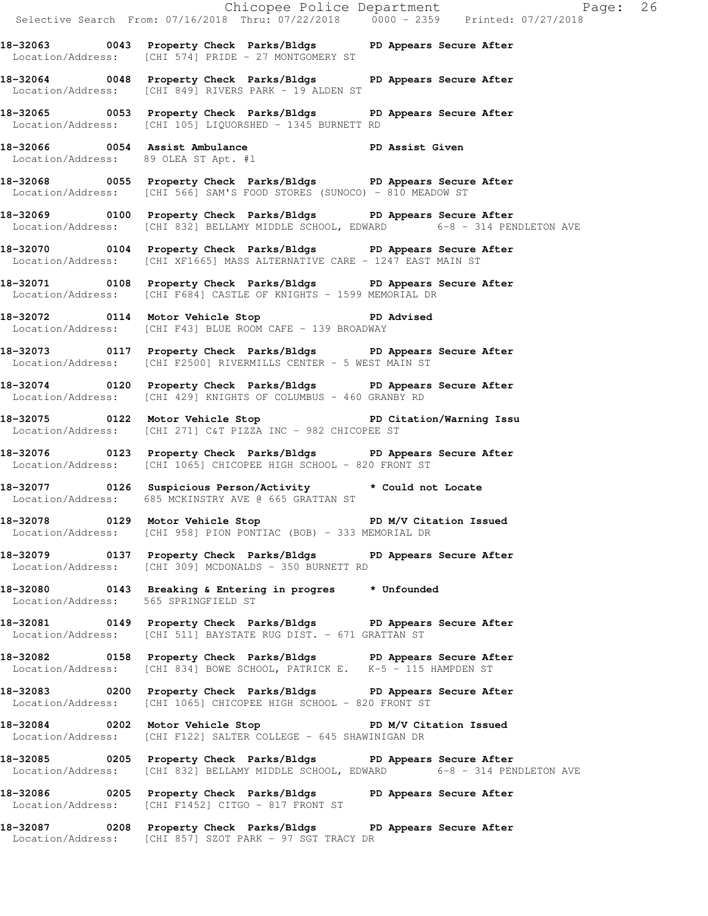Selective Search From: 07/16/2018 Thru: 07/22/2018 0000 - 2359 Printed: 07/27/2018 **18-32063 0043 Property Check Parks/Bldgs PD Appears Secure After**  Location/Address: [CHI 574] PRIDE - 27 MONTGOMERY ST **18-32064 0048 Property Check Parks/Bldgs PD Appears Secure After**  Location/Address: [CHI 849] RIVERS PARK - 19 ALDEN ST **18-32065 0053 Property Check Parks/Bldgs PD Appears Secure After**  Location/Address: [CHI 105] LIQUORSHED - 1345 BURNETT RD **18-32066 0054 Assist Ambulance PD Assist Given**  Location/Address: 89 OLEA ST Apt. #1 **18-32068 0055 Property Check Parks/Bldgs PD Appears Secure After**  Location/Address: [CHI 566] SAM'S FOOD STORES (SUNOCO) - 810 MEADOW ST **18-32069 0100 Property Check Parks/Bldgs PD Appears Secure After**  Location/Address: [CHI 832] BELLAMY MIDDLE SCHOOL, EDWARD 6-8 - 314 PENDLETON AVE **18-32070 0104 Property Check Parks/Bldgs PD Appears Secure After**  Location/Address: [CHI XF1665] MASS ALTERNATIVE CARE - 1247 EAST MAIN ST **18-32071 0108 Property Check Parks/Bldgs PD Appears Secure After**  Location/Address: [CHI F684] CASTLE OF KNIGHTS - 1599 MEMORIAL DR **18-32072 0114 Motor Vehicle Stop PD Advised**  Location/Address: [CHI F43] BLUE ROOM CAFE - 139 BROADWAY **18-32073 0117 Property Check Parks/Bldgs PD Appears Secure After**  Location/Address: [CHI F2500] RIVERMILLS CENTER - 5 WEST MAIN ST **18-32074 0120 Property Check Parks/Bldgs PD Appears Secure After**  Location/Address: [CHI 429] KNIGHTS OF COLUMBUS - 460 GRANBY RD **18-32075 0122 Motor Vehicle Stop PD Citation/Warning Issu**  Location/Address: [CHI 271] C&T PIZZA INC - 982 CHICOPEE ST **18-32076 0123 Property Check Parks/Bldgs PD Appears Secure After**  Location/Address: [CHI 1065] CHICOPEE HIGH SCHOOL - 820 FRONT ST **18-32077 0126 Suspicious Person/Activity \* Could not Locate**  Location/Address: 685 MCKINSTRY AVE @ 665 GRATTAN ST 18-32078 **0129** Motor Vehicle Stop **PD M/V Citation Issued**  Location/Address: [CHI 958] PION PONTIAC (BOB) - 333 MEMORIAL DR **18-32079 0137 Property Check Parks/Bldgs PD Appears Secure After**  Location/Address: [CHI 309] MCDONALDS - 350 BURNETT RD **18-32080 0143 Breaking & Entering in progres \* Unfounded**  Location/Address: 565 SPRINGFIELD ST **18-32081 0149 Property Check Parks/Bldgs PD Appears Secure After**  Location/Address: [CHI 511] BAYSTATE RUG DIST. - 671 GRATTAN ST **18-32082 0158 Property Check Parks/Bldgs PD Appears Secure After**  Location/Address: [CHI 834] BOWE SCHOOL, PATRICK E. K-5 - 115 HAMPDEN ST **18-32083 0200 Property Check Parks/Bldgs PD Appears Secure After**  Location/Address: [CHI 1065] CHICOPEE HIGH SCHOOL - 820 FRONT ST **18-32084 0202 Motor Vehicle Stop PD M/V Citation Issued**  Location/Address: [CHI F122] SALTER COLLEGE - 645 SHAWINIGAN DR **18-32085 0205 Property Check Parks/Bldgs PD Appears Secure After**  Location/Address: [CHI 832] BELLAMY MIDDLE SCHOOL, EDWARD 6-8 - 314 PENDLETON AVE **18-32086 0205 Property Check Parks/Bldgs PD Appears Secure After**  Location/Address: [CHI F1452] CITGO - 817 FRONT ST **18-32087 0208 Property Check Parks/Bldgs PD Appears Secure After**  Location/Address: [CHI 857] SZOT PARK - 97 SGT TRACY DR

Chicopee Police Department Page: 26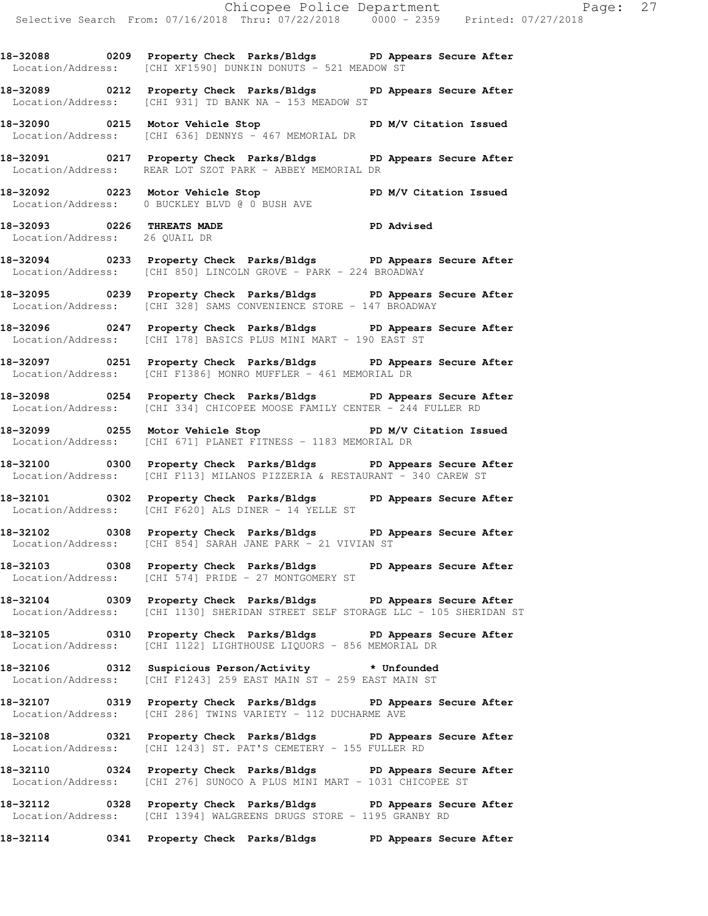**18-32088 0209 Property Check Parks/Bldgs PD Appears Secure After**  Location/Address: [CHI XF1590] DUNKIN DONUTS - 521 MEADOW ST

**18-32089 0212 Property Check Parks/Bldgs PD Appears Secure After**  Location/Address: [CHI 931] TD BANK NA - 153 MEADOW ST

**18-32090 0215 Motor Vehicle Stop PD M/V Citation Issued**  Location/Address: [CHI 636] DENNYS - 467 MEMORIAL DR

**18-32091 0217 Property Check Parks/Bldgs PD Appears Secure After**  Location/Address: REAR LOT SZOT PARK - ABBEY MEMORIAL DR

**18-32092 0223 Motor Vehicle Stop PD M/V Citation Issued**  Location/Address: 0 BUCKLEY BLVD @ 0 BUSH AVE

**18-32093 0226 THREATS MADE PD Advised**  Location/Address: 26 QUAIL DR

**18-32094 0233 Property Check Parks/Bldgs PD Appears Secure After**  Location/Address: [CHI 850] LINCOLN GROVE - PARK - 224 BROADWAY

**18-32095 0239 Property Check Parks/Bldgs PD Appears Secure After**  Location/Address: [CHI 328] SAMS CONVENIENCE STORE - 147 BROADWAY

**18-32096 0247 Property Check Parks/Bldgs PD Appears Secure After**  Location/Address: [CHI 178] BASICS PLUS MINI MART - 190 EAST ST

**18-32097 0251 Property Check Parks/Bldgs PD Appears Secure After**  Location/Address: [CHI F1386] MONRO MUFFLER - 461 MEMORIAL DR

**18-32098 0254 Property Check Parks/Bldgs PD Appears Secure After**  Location/Address: [CHI 334] CHICOPEE MOOSE FAMILY CENTER - 244 FULLER RD

**18-32099 0255 Motor Vehicle Stop PD M/V Citation Issued**  Location/Address: [CHI 671] PLANET FITNESS - 1183 MEMORIAL DR

**18-32100 0300 Property Check Parks/Bldgs PD Appears Secure After**  Location/Address: [CHI F113] MILANOS PIZZERIA & RESTAURANT - 340 CAREW ST

**18-32101 0302 Property Check Parks/Bldgs PD Appears Secure After**  Location/Address: [CHI F620] ALS DINER - 14 YELLE ST

**18-32102 0308 Property Check Parks/Bldgs PD Appears Secure After**  Location/Address: [CHI 854] SARAH JANE PARK - 21 VIVIAN ST

**18-32103 0308 Property Check Parks/Bldgs PD Appears Secure After**  Location/Address: [CHI 574] PRIDE - 27 MONTGOMERY ST

**18-32104 0309 Property Check Parks/Bldgs PD Appears Secure After**  Location/Address: [CHI 1130] SHERIDAN STREET SELF STORAGE LLC - 105 SHERIDAN ST

**18-32105 0310 Property Check Parks/Bldgs PD Appears Secure After**  Location/Address: [CHI 1122] LIGHTHOUSE LIQUORS - 856 MEMORIAL DR

**18-32106 0312 Suspicious Person/Activity \* Unfounded**  Location/Address: [CHI F1243] 259 EAST MAIN ST - 259 EAST MAIN ST

**18-32107 0319 Property Check Parks/Bldgs PD Appears Secure After**  Location/Address: [CHI 286] TWINS VARIETY - 112 DUCHARME AVE

**18-32108 0321 Property Check Parks/Bldgs PD Appears Secure After**  Location/Address: [CHI 1243] ST. PAT'S CEMETERY - 155 FULLER RD

**18-32110 0324 Property Check Parks/Bldgs PD Appears Secure After**  Location/Address: [CHI 276] SUNOCO A PLUS MINI MART - 1031 CHICOPEE ST

**18-32112 0328 Property Check Parks/Bldgs PD Appears Secure After**  Location/Address: [CHI 1394] WALGREENS DRUGS STORE - 1195 GRANBY RD

**18-32114 0341 Property Check Parks/Bldgs PD Appears Secure After**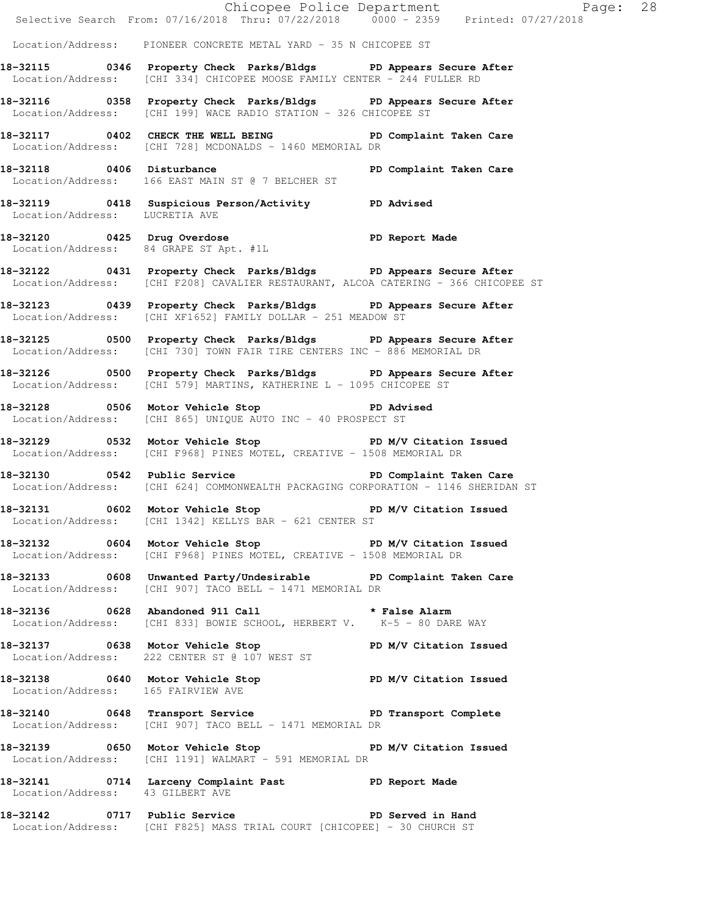|                                    |                                                                                                                                                           | Chicopee Police Department<br>Selective Search From: 07/16/2018 Thru: 07/22/2018 0000 - 2359 Printed: 07/27/2018 |
|------------------------------------|-----------------------------------------------------------------------------------------------------------------------------------------------------------|------------------------------------------------------------------------------------------------------------------|
|                                    | Location/Address: PIONEER CONCRETE METAL YARD - 35 N CHICOPEE ST                                                                                          |                                                                                                                  |
|                                    | 18-32115 0346 Property Check Parks/Bldgs PD Appears Secure After<br>Location/Address: [CHI 334] CHICOPEE MOOSE FAMILY CENTER - 244 FULLER RD              |                                                                                                                  |
|                                    | 18-32116 0358 Property Check Parks/Bldgs PD Appears Secure After<br>Location/Address: [CHI 199] WACE RADIO STATION - 326 CHICOPEE ST                      |                                                                                                                  |
|                                    | 18-32117 0402 CHECK THE WELL BEING PD Complaint Taken Care<br>Location/Address: [CHI 728] MCDONALDS - 1460 MEMORIAL DR                                    |                                                                                                                  |
|                                    | 18-32118 		 0406 Disturbance 		 PD Complaint Taken Care<br>Location/Address: 166 EAST MAIN ST @ 7 BELCHER ST                                              |                                                                                                                  |
| Location/Address: LUCRETIA AVE     | 18-32119 0418 Suspicious Person/Activity PD Advised                                                                                                       |                                                                                                                  |
|                                    | 18-32120 0425 Drug Overdose PD Report Made<br>Location/Address: 84 GRAPE ST Apt. #1L                                                                      |                                                                                                                  |
|                                    | 18-32122 0431 Property Check Parks/Bldgs PD Appears Secure After<br>Location/Address: [CHI F208] CAVALIER RESTAURANT, ALCOA CATERING - 366 CHICOPEE ST    |                                                                                                                  |
|                                    | 18-32123 0439 Property Check Parks/Bldgs PD Appears Secure After<br>Location/Address: [CHI XF1652] FAMILY DOLLAR - 251 MEADOW ST                          |                                                                                                                  |
|                                    | 18-32125 0500 Property Check Parks/Bldgs PD Appears Secure After<br>Location/Address: [CHI 730] TOWN FAIR TIRE CENTERS INC - 886 MEMORIAL DR              |                                                                                                                  |
|                                    | 18-32126 0500 Property Check Parks/Bldgs PD Appears Secure After<br>Location/Address: [CHI 579] MARTINS, KATHERINE L - 1095 CHICOPEE ST                   |                                                                                                                  |
|                                    | 18-32128 0506 Motor Vehicle Stop PD Advised<br>Location/Address: [CHI 865] UNIQUE AUTO INC - 40 PROSPECT ST                                               |                                                                                                                  |
|                                    | 18-32129 		 0532 Motor Vehicle Stop 		 PD M/V Citation Issued<br>Location/Address: [CHI F968] PINES MOTEL, CREATIVE - 1508 MEMORIAL DR                    |                                                                                                                  |
|                                    | 18-32130 0542 Public Service <b>18-32130</b> PD Complaint Taken Care<br>Location/Address: [CHI 624] COMMONWEALTH PACKAGING CORPORATION - 1146 SHERIDAN ST |                                                                                                                  |
|                                    | 18-32131 0602 Motor Vehicle Stop<br>Location/Address: [CHI 1342] KELLYS BAR - 621 CENTER ST                                                               | PD M/V Citation Issued                                                                                           |
|                                    | 18-32132 0604 Motor Vehicle Stop PD M/V Citation Issued<br>Location/Address: [CHI F968] PINES MOTEL, CREATIVE - 1508 MEMORIAL DR                          |                                                                                                                  |
|                                    | 18-32133 0608 Unwanted Party/Undesirable PD Complaint Taken Care<br>Location/Address: [CHI 907] TACO BELL - 1471 MEMORIAL DR                              |                                                                                                                  |
|                                    | 18-32136 0628 Abandoned 911 Call 2011 2016 * False Alarm<br>Location/Address: [CHI 833] BOWIE SCHOOL, HERBERT V. K-5 - 80 DARE WAY                        |                                                                                                                  |
|                                    | 18-32137 0638 Motor Vehicle Stop N/V Citation Issued<br>Location/Address: 222 CENTER ST @ 107 WEST ST                                                     |                                                                                                                  |
| Location/Address: 165 FAIRVIEW AVE | 18-32138 0640 Motor Vehicle Stop PD M/V Citation Issued                                                                                                   |                                                                                                                  |
|                                    | 18-32140 0648 Transport Service New PD Transport Complete<br>Location/Address: [CHI 907] TACO BELL - 1471 MEMORIAL DR                                     |                                                                                                                  |
|                                    | 18-32139 0650 Motor Vehicle Stop 50 PD M/V Citation Issued<br>Location/Address: [CHI 1191] WALMART - 591 MEMORIAL DR                                      |                                                                                                                  |
| Location/Address: 43 GILBERT AVE   | 18-32141 0714 Larceny Complaint Past PD Report Made                                                                                                       |                                                                                                                  |
|                                    | 18-32142 0717 Public Service National PD Served in Hand<br>Location/Address: [CHI F825] MASS TRIAL COURT [CHICOPEE] - 30 CHURCH ST                        |                                                                                                                  |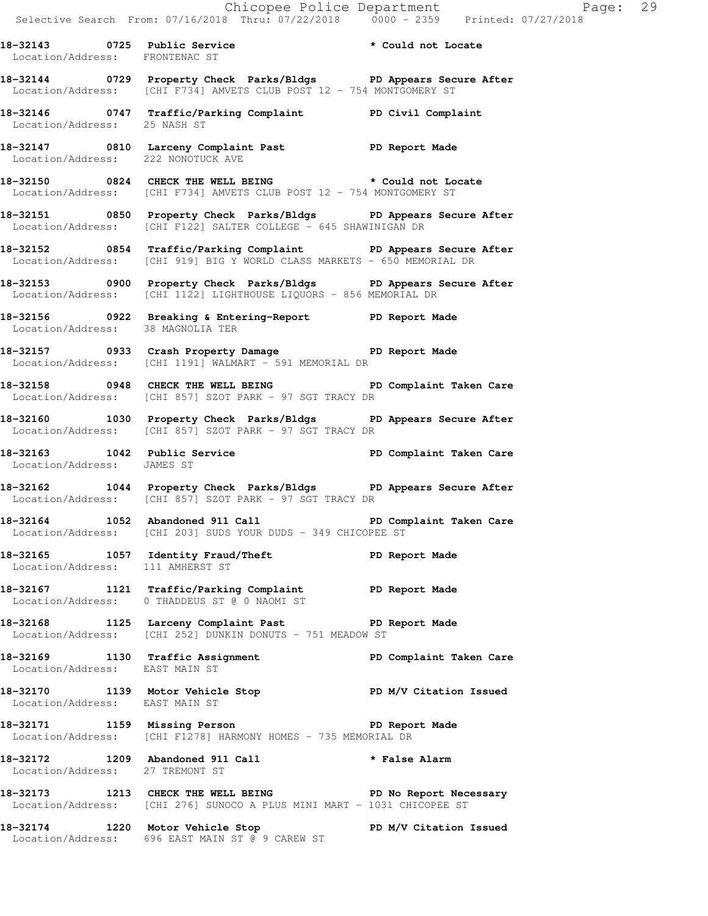**18-32144 0729 Property Check Parks/Bldgs PD Appears Secure After**  Location/Address: [CHI F734] AMVETS CLUB POST 12 - 754 MONTGOMERY ST **18-32146 0747 Traffic/Parking Complaint PD Civil Complaint**  Location/Address: 25 NASH ST **18-32147 0810 Larceny Complaint Past PD Report Made**  Location/Address: 222 NONOTUCK AVE **18-32150 0824 CHECK THE WELL BEING \* Could not Locate**  Location/Address: [CHI F734] AMVETS CLUB POST 12 - 754 MONTGOMERY ST **18-32151 0850 Property Check Parks/Bldgs PD Appears Secure After**  Location/Address: [CHI F122] SALTER COLLEGE - 645 SHAWINIGAN DR **18-32152 0854 Traffic/Parking Complaint PD Appears Secure After**  Location/Address: [CHI 919] BIG Y WORLD CLASS MARKETS - 650 MEMORIAL DR **18-32153 0900 Property Check Parks/Bldgs PD Appears Secure After**  Location/Address: [CHI 1122] LIGHTHOUSE LIQUORS - 856 MEMORIAL DR **18-32156 0922 Breaking & Entering-Report PD Report Made**  Location/Address: 38 MAGNOLIA TER **18-32157 0933 Crash Property Damage PD Report Made**  Location/Address: [CHI 1191] WALMART - 591 MEMORIAL DR **18-32158 0948 CHECK THE WELL BEING PD Complaint Taken Care**  Location/Address: [CHI 857] SZOT PARK - 97 SGT TRACY DR **18-32160 1030 Property Check Parks/Bldgs PD Appears Secure After**  Location/Address: [CHI 857] SZOT PARK - 97 SGT TRACY DR 18-32163 1042 Public Service **PD Complaint Taken Care**  Location/Address: JAMES ST **18-32162 1044 Property Check Parks/Bldgs PD Appears Secure After**  Location/Address: [CHI 857] SZOT PARK - 97 SGT TRACY DR **18-32164 1052 Abandoned 911 Call PD Complaint Taken Care**  Location/Address: [CHI 203] SUDS YOUR DUDS - 349 CHICOPEE ST **18-32165 1057 Identity Fraud/Theft PD Report Made**  Location/Address: 111 AMHERST ST **18-32167 1121 Traffic/Parking Complaint PD Report Made**  Location/Address: 0 THADDEUS ST @ 0 NAOMI ST 18-32168 1125 Larceny Complaint Past PD Report Made Location/Address: [CHI 252] DUNKIN DONUTS - 751 MEADOW ST **18-32169 1130 Traffic Assignment PD Complaint Taken Care**  Location/Address: EAST MAIN ST 18-32170 1139 Motor Vehicle Stop **PD M/V Citation Issued**  Location/Address: EAST MAIN ST **18-32171 1159 Missing Person PD Report Made**  Location/Address: [CHI F1278] HARMONY HOMES - 735 MEMORIAL DR **18-32172 1209 Abandoned 911 Call \* False Alarm**  Location/Address: 27 TREMONT ST **18-32173 1213 CHECK THE WELL BEING PD No Report Necessary**  Location/Address: [CHI 276] SUNOCO A PLUS MINI MART - 1031 CHICOPEE ST

**18-32143 0725 Public Service \* Could not Locate** 

Location/Address: FRONTENAC ST

**18-32174 1220 Motor Vehicle Stop PD M/V Citation Issued**  Location/Address: 696 EAST MAIN ST @ 9 CAREW ST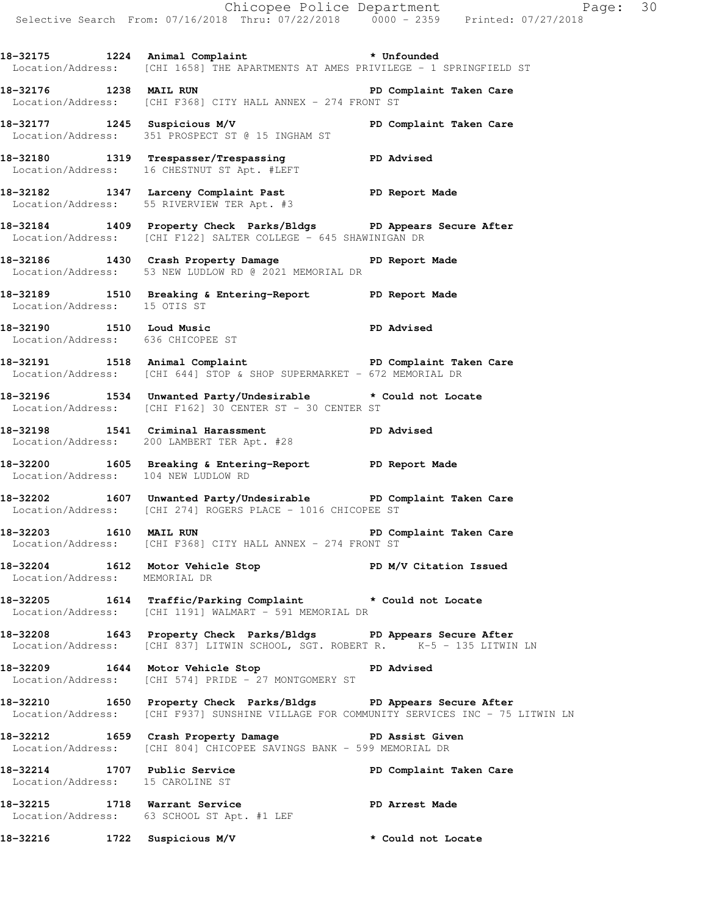**18-32175 1224 Animal Complaint \* Unfounded**  Location/Address: [CHI 1658] THE APARTMENTS AT AMES PRIVILEGE - 1 SPRINGFIELD ST

**18-32176 1238 MAIL RUN PD Complaint Taken Care**  Location/Address: [CHI F368] CITY HALL ANNEX - 274 FRONT ST

**18-32177 1245 Suspicious M/V PD Complaint Taken Care**  Location/Address: 351 PROSPECT ST @ 15 INGHAM ST

**18-32180 1319 Trespasser/Trespassing PD Advised**  Location/Address: 16 CHESTNUT ST Apt. #LEFT

**18-32182 1347 Larceny Complaint Past PD Report Made**  Location/Address: 55 RIVERVIEW TER Apt. #3

**18-32184 1409 Property Check Parks/Bldgs PD Appears Secure After**  Location/Address: [CHI F122] SALTER COLLEGE - 645 SHAWINIGAN DR

**18-32186 1430 Crash Property Damage PD Report Made**  Location/Address: 53 NEW LUDLOW RD @ 2021 MEMORIAL DR

**18-32189 1510 Breaking & Entering-Report PD Report Made**  Location/Address: 15 OTIS ST

**18-32190 1510 Loud Music PD Advised**  Location/Address: 636 CHICOPEE ST

**18-32191 1518 Animal Complaint PD Complaint Taken Care**  Location/Address: [CHI 644] STOP & SHOP SUPERMARKET - 672 MEMORIAL DR

**18-32196 1534 Unwanted Party/Undesirable \* Could not Locate**  Location/Address: [CHI F162] 30 CENTER ST - 30 CENTER ST

**18-32198 1541 Criminal Harassment PD Advised**  Location/Address: 200 LAMBERT TER Apt. #28

**18-32200 1605 Breaking & Entering-Report PD Report Made**  Location/Address: 104 NEW LUDLOW RD

**18-32202 1607 Unwanted Party/Undesirable PD Complaint Taken Care**  Location/Address: [CHI 274] ROGERS PLACE - 1016 CHICOPEE ST

**18-32203 1610 MAIL RUN PD Complaint Taken Care**  Location/Address: [CHI F368] CITY HALL ANNEX - 274 FRONT ST

18-32204 1612 Motor Vehicle Stop **PD M/V Citation Issued** Location/Address: MEMORIAL DR

**18-32205 1614 Traffic/Parking Complaint \* Could not Locate**  Location/Address: [CHI 1191] WALMART - 591 MEMORIAL DR

**18-32208 1643 Property Check Parks/Bldgs PD Appears Secure After**  Location/Address: [CHI 837] LITWIN SCHOOL, SGT. ROBERT R. K-5 - 135 LITWIN LN

**18-32209 1644 Motor Vehicle Stop PD Advised**  Location/Address: [CHI 574] PRIDE - 27 MONTGOMERY ST

**18-32210 1650 Property Check Parks/Bldgs PD Appears Secure After**  Location/Address: [CHI F937] SUNSHINE VILLAGE FOR COMMUNITY SERVICES INC - 75 LITWIN LN

**18-32212 1659 Crash Property Damage PD Assist Given**  Location/Address: [CHI 804] CHICOPEE SAVINGS BANK - 599 MEMORIAL DR

**18-32214 1707 Public Service PD Complaint Taken Care**  Location/Address: 15 CAROLINE ST

**18-32215 1718 Warrant Service PD Arrest Made**  Location/Address: 63 SCHOOL ST Apt. #1 LEF

**18-32216 1722 Suspicious M/V \* Could not Locate**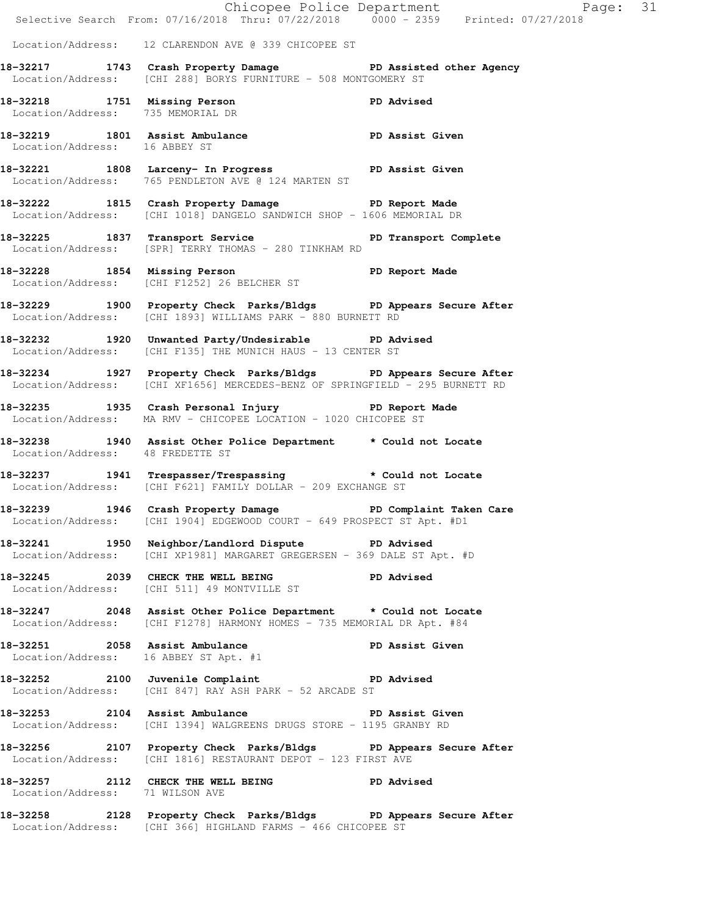|                                   | Selective Search From: 07/16/2018 Thru: 07/22/2018 0000 - 2359 Printed: 07/27/2018                                                               | Chicopee Police Department<br>Page: 31 |  |
|-----------------------------------|--------------------------------------------------------------------------------------------------------------------------------------------------|----------------------------------------|--|
|                                   | Location/Address: 12 CLARENDON AVE @ 339 CHICOPEE ST                                                                                             |                                        |  |
|                                   | 18-32217 1743 Crash Property Damage PD Assisted other Agency<br>Location/Address: [CHI 288] BORYS FURNITURE - 508 MONTGOMERY ST                  |                                        |  |
| Location/Address: 735 MEMORIAL DR | 18-32218 1751 Missing Person New PD Advised                                                                                                      |                                        |  |
| Location/Address: 16 ABBEY ST     | 18-32219 1801 Assist Ambulance No PD Assist Given                                                                                                |                                        |  |
|                                   | 18-32221 1808 Larceny- In Progress 5 PD Assist Given<br>Location/Address: 765 PENDLETON AVE @ 124 MARTEN ST                                      |                                        |  |
|                                   | 18-32222 1815 Crash Property Damage PD Report Made<br>Location/Address: [CHI 1018] DANGELO SANDWICH SHOP - 1606 MEMORIAL DR                      |                                        |  |
|                                   | 18-32225 1837 Transport Service PD Transport Complete<br>Location/Address: [SPR] TERRY THOMAS - 280 TINKHAM RD                                   |                                        |  |
|                                   | 18-32228 1854 Missing Person Neport Made<br>Location/Address: [CHI F1252] 26 BELCHER ST                                                          |                                        |  |
|                                   | 18-32229 1900 Property Check Parks/Bldgs PD Appears Secure After<br>Location/Address: [CHI 1893] WILLIAMS PARK - 880 BURNETT RD                  |                                        |  |
|                                   | 18-32232 1920 Unwanted Party/Undesirable PD Advised<br>Location/Address: [CHI F135] THE MUNICH HAUS - 13 CENTER ST                               |                                        |  |
|                                   | 18-32234 1927 Property Check Parks/Bldgs PD Appears Secure After<br>Location/Address: [CHI XF1656] MERCEDES-BENZ OF SPRINGFIELD - 295 BURNETT RD |                                        |  |
|                                   | 18-32235 1935 Crash Personal Injury 18-32235<br>Location/Address: MA RMV - CHICOPEE LOCATION - 1020 CHICOPEE ST                                  |                                        |  |
| Location/Address: 48 FREDETTE ST  | 18-32238 1940 Assist Other Police Department * Could not Locate                                                                                  |                                        |  |
|                                   | 18-32237 1941 Trespasser/Trespassing * Could not Locate<br>Location/Address: [CHI F621] FAMILY DOLLAR - 209 EXCHANGE ST                          |                                        |  |
|                                   | 18-32239 1946 Crash Property Damage PD Complaint Taken Care<br>Location/Address: [CHI 1904] EDGEWOOD COURT - 649 PROSPECT ST Apt. #D1            |                                        |  |
|                                   | 18-32241 1950 Neighbor/Landlord Dispute PD Advised<br>Location/Address: [CHI XP1981] MARGARET GREGERSEN - 369 DALE ST Apt. #D                    |                                        |  |
|                                   | 18-32245 2039 CHECK THE WELL BEING PD Advised<br>Location/Address: [CHI 511] 49 MONTVILLE ST                                                     |                                        |  |
|                                   | 18-32247 2048 Assist Other Police Department * Could not Locate<br>Location/Address: [CHI F1278] HARMONY HOMES - 735 MEMORIAL DR Apt. #84        |                                        |  |
|                                   | 18-32251 2058 Assist Ambulance PD Assist Given<br>Location/Address: 16 ARREY ST Apt. #1<br>Location/Address: 16 ABBEY ST Apt. #1                 |                                        |  |
|                                   | 18-32252 2100 Juvenile Complaint PD Advised<br>Location/Address: [CHI 847] RAY ASH PARK - 52 ARCADE ST                                           |                                        |  |
|                                   | 18-32253 2104 Assist Ambulance No PD Assist Given<br>Location/Address: [CHI 1394] WALGREENS DRUGS STORE - 1195 GRANBY RD                         |                                        |  |
|                                   | 18-32256 2107 Property Check Parks/Bldgs PD Appears Secure After<br>Location/Address: [CHI 1816] RESTAURANT DEPOT - 123 FIRST AVE                |                                        |  |
| Location/Address: 71 WILSON AVE   | 18-32257 2112 CHECK THE WELL BEING PD Advised                                                                                                    |                                        |  |
|                                   | 18-32258 2128 Property Check Parks/Bldgs PD Appears Secure After<br>Location/Address: [CHI 366] HIGHLAND FARMS - 466 CHICOPEE ST                 |                                        |  |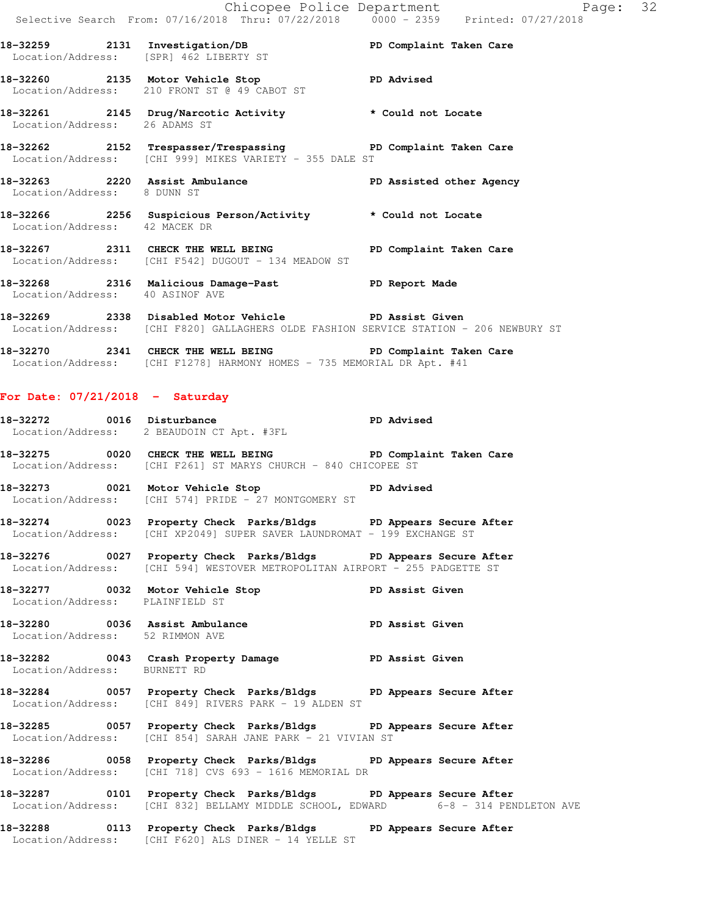|                                   | Chicopee Police Department<br>Selective Search From: 07/16/2018 Thru: 07/22/2018 0000 - 2359 Printed: 07/27/2018                                 | Page: 32        |  |
|-----------------------------------|--------------------------------------------------------------------------------------------------------------------------------------------------|-----------------|--|
|                                   | 18-32259 2131 Investigation/DB PD Complaint Taken Care<br>Location/Address: [SPR] 462 LIBERTY ST                                                 |                 |  |
|                                   | 18-32260 2135 Motor Vehicle Stop CD Advised<br>Location/Address: 210 FRONT ST @ 49 CABOT ST                                                      |                 |  |
| Location/Address: 26 ADAMS ST     | 18-32261 2145 Drug/Narcotic Activity * Could not Locate                                                                                          |                 |  |
|                                   | 18-32262 2152 Trespasser/Trespassing PD Complaint Taken Care<br>Location/Address: [CHI 999] MIKES VARIETY - 355 DALE ST                          |                 |  |
| Location/Address: 8 DUNN ST       | 18-32263 2220 Assist Ambulance New PD Assisted other Agency                                                                                      |                 |  |
| Location/Address: 42 MACEK DR     | 18-32266 2256 Suspicious Person/Activity * Could not Locate                                                                                      |                 |  |
|                                   | 18-32267 2311 CHECK THE WELL BEING PD Complaint Taken Care<br>Location/Address: [CHI F542] DUGOUT - 134 MEADOW ST                                |                 |  |
| Location/Address: 40 ASINOF AVE   | 18-32268 2316 Malicious Damage-Past PD Report Made                                                                                               |                 |  |
|                                   | 18-32269 2338 Disabled Motor Vehicle PD Assist Given<br>Location/Address: [CHI F820] GALLAGHERS OLDE FASHION SERVICE STATION - 206 NEWBURY ST    |                 |  |
|                                   | 18-32270 2341 CHECK THE WELL BEING PD Complaint Taken Care<br>Location/Address: [CHI F1278] HARMONY HOMES - 735 MEMORIAL DR Apt. #41             |                 |  |
| For Date: $07/21/2018$ - Saturday |                                                                                                                                                  |                 |  |
|                                   | 18-32272 0016 Disturbance 2001 PD Advised<br>Location/Address: 2 BEAUDOIN CT Apt. #3FL                                                           |                 |  |
|                                   | 18-32275 0020 CHECK THE WELL BEING PD Complaint Taken Care<br>Location/Address: [CHI F261] ST MARYS CHURCH - 840 CHICOPEE ST                     |                 |  |
|                                   | 18-32273 0021 Motor Vehicle Stop 50 PD Advised<br>Location/Address: [CHI 574] PRIDE - 27 MONTGOMERY ST                                           |                 |  |
|                                   | 18-32274 0023 Property Check Parks/Bldgs PD Appears Secure After<br>Location/Address: [CHI XP2049] SUPER SAVER LAUNDROMAT - 199 EXCHANGE ST      |                 |  |
|                                   | 18-32276 6027 Property Check Parks/Bldgs 6PD Appears Secure After<br>Location/Address: [CHI 594] WESTOVER METROPOLITAN AIRPORT - 255 PADGETTE ST |                 |  |
| Location/Address: PLAINFIELD ST   | 18-32277 0032 Motor Vehicle Stop                                                                                                                 | PD Assist Given |  |
| Location/Address: 52 RIMMON AVE   | 18-32280 0036 Assist Ambulance                                                                                                                   | PD Assist Given |  |
| Location/Address: BURNETT RD      | 18-32282 0043 Crash Property Damage PD Assist Given                                                                                              |                 |  |

**18-32284 0057 Property Check Parks/Bldgs PD Appears Secure After**  Location/Address: [CHI 849] RIVERS PARK - 19 ALDEN ST

**18-32285 0057 Property Check Parks/Bldgs PD Appears Secure After**  Location/Address: [CHI 854] SARAH JANE PARK - 21 VIVIAN ST

**18-32286 0058 Property Check Parks/Bldgs PD Appears Secure After**  Location/Address: [CHI 718] CVS 693 - 1616 MEMORIAL DR

**18-32287 0101 Property Check Parks/Bldgs PD Appears Secure After**  Location/Address: [CHI 832] BELLAMY MIDDLE SCHOOL, EDWARD 6-8 - 314 PENDLETON AVE

**18-32288 0113 Property Check Parks/Bldgs PD Appears Secure After**  Location/Address: [CHI F620] ALS DINER - 14 YELLE ST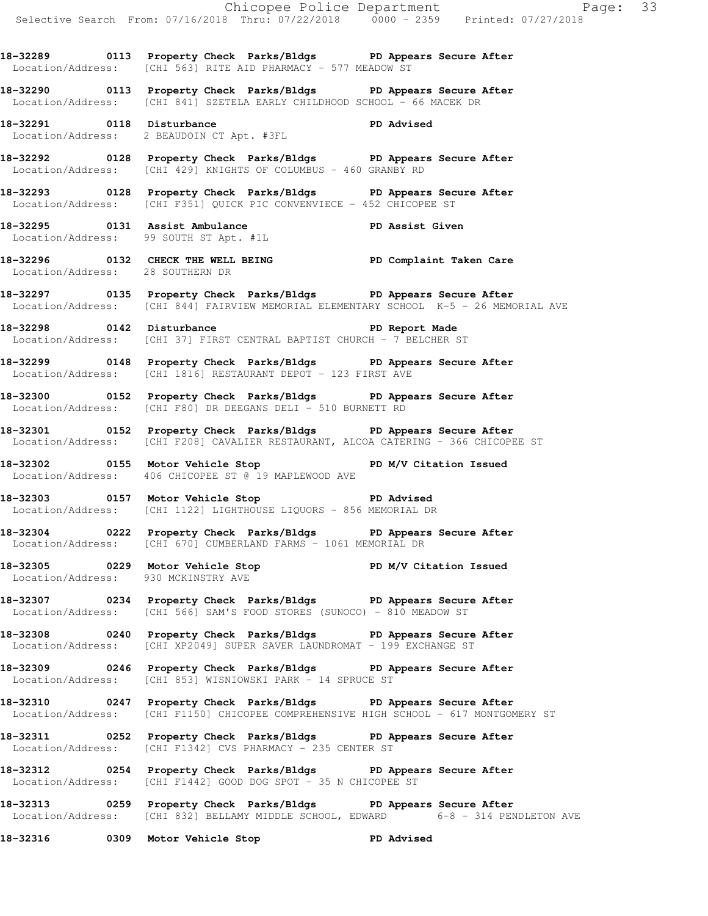**18-32289 0113 Property Check Parks/Bldgs PD Appears Secure After**  Location/Address: [CHI 563] RITE AID PHARMACY - 577 MEADOW ST

**18-32290 0113 Property Check Parks/Bldgs PD Appears Secure After**  Location/Address: [CHI 841] SZETELA EARLY CHILDHOOD SCHOOL - 66 MACEK DR

**18-32291 0118 Disturbance PD Advised**  Location/Address: 2 BEAUDOIN CT Apt. #3FL

**18-32292 0128 Property Check Parks/Bldgs PD Appears Secure After**  Location/Address: [CHI 429] KNIGHTS OF COLUMBUS - 460 GRANBY RD

**18-32293 0128 Property Check Parks/Bldgs PD Appears Secure After**  Location/Address: [CHI F351] QUICK PIC CONVENVIECE - 452 CHICOPEE ST

18-32295 0131 Assist Ambulance **PD Assist Given** Location/Address: 99 SOUTH ST Apt. #1L

**18-32296 0132 CHECK THE WELL BEING PD Complaint Taken Care**  Location/Address: 28 SOUTHERN DR

**18-32297 0135 Property Check Parks/Bldgs PD Appears Secure After**  Location/Address: [CHI 844] FAIRVIEW MEMORIAL ELEMENTARY SCHOOL K-5 - 26 MEMORIAL AVE

**18-32298 0142 Disturbance PD Report Made**  Location/Address: [CHI 37] FIRST CENTRAL BAPTIST CHURCH - 7 BELCHER ST

**18-32299 0148 Property Check Parks/Bldgs PD Appears Secure After**  Location/Address: [CHI 1816] RESTAURANT DEPOT - 123 FIRST AVE

**18-32300 0152 Property Check Parks/Bldgs PD Appears Secure After**  Location/Address: [CHI F80] DR DEEGANS DELI - 510 BURNETT RD

**18-32301 0152 Property Check Parks/Bldgs PD Appears Secure After**  Location/Address: [CHI F208] CAVALIER RESTAURANT, ALCOA CATERING - 366 CHICOPEE ST

18-32302 **0155** Motor Vehicle Stop **PD M/V Citation Issued** Location/Address: 406 CHICOPEE ST @ 19 MAPLEWOOD AVE

**18-32303 0157 Motor Vehicle Stop PD Advised**  Location/Address: [CHI 1122] LIGHTHOUSE LIQUORS - 856 MEMORIAL DR

**18-32304 0222 Property Check Parks/Bldgs PD Appears Secure After**  Location/Address: [CHI 670] CUMBERLAND FARMS - 1061 MEMORIAL DR

**18-32305 0229 Motor Vehicle Stop PD M/V Citation Issued**  Location/Address: 930 MCKINSTRY AVE

**18-32307 0234 Property Check Parks/Bldgs PD Appears Secure After**  Location/Address: [CHI 566] SAM'S FOOD STORES (SUNOCO) - 810 MEADOW ST

**18-32308 0240 Property Check Parks/Bldgs PD Appears Secure After**  Location/Address: [CHI XP2049] SUPER SAVER LAUNDROMAT - 199 EXCHANGE ST

**18-32309 0246 Property Check Parks/Bldgs PD Appears Secure After**  Location/Address: [CHI 853] WISNIOWSKI PARK - 14 SPRUCE ST

**18-32310 0247 Property Check Parks/Bldgs PD Appears Secure After**  Location/Address: [CHI F1150] CHICOPEE COMPREHENSIVE HIGH SCHOOL - 617 MONTGOMERY ST

**18-32311 0252 Property Check Parks/Bldgs PD Appears Secure After**  Location/Address: [CHI F1342] CVS PHARMACY - 235 CENTER ST

**18-32312 0254 Property Check Parks/Bldgs PD Appears Secure After**  Location/Address: [CHI F1442] GOOD DOG SPOT - 35 N CHICOPEE ST

**18-32313 0259 Property Check Parks/Bldgs PD Appears Secure After**  Location/Address: [CHI 832] BELLAMY MIDDLE SCHOOL, EDWARD 6-8 - 314 PENDLETON AVE

**18-32316 0309 Motor Vehicle Stop PD Advised**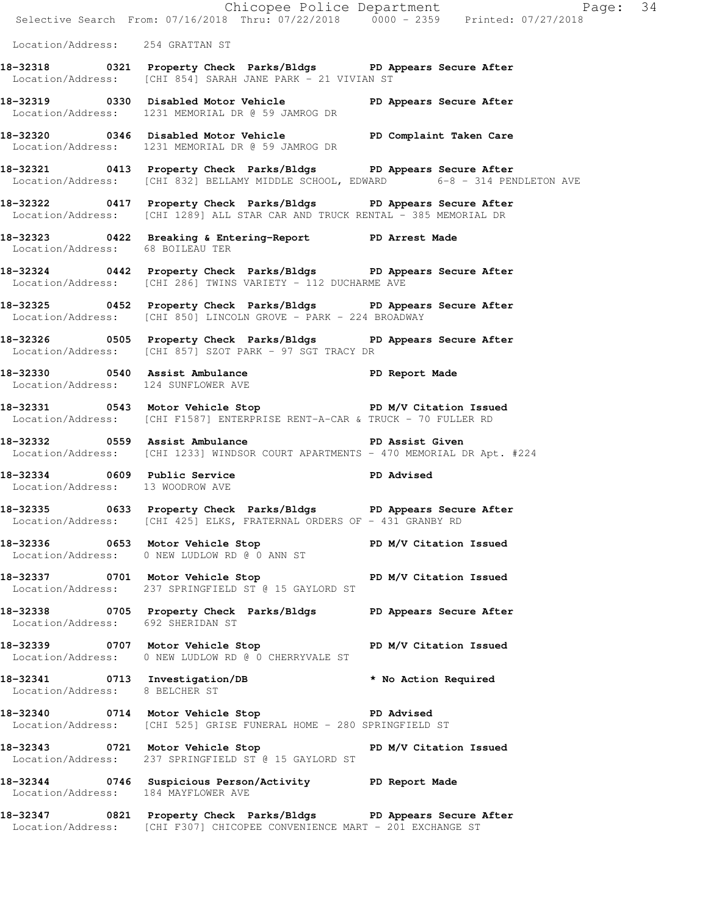|                                     |                                                                                                                                                       | Chicopee Police Department<br>Selective Search From: 07/16/2018 Thru: 07/22/2018 0000 - 2359 Printed: 07/27/2018 |  |
|-------------------------------------|-------------------------------------------------------------------------------------------------------------------------------------------------------|------------------------------------------------------------------------------------------------------------------|--|
|                                     |                                                                                                                                                       |                                                                                                                  |  |
| Location/Address: 254 GRATTAN ST    |                                                                                                                                                       |                                                                                                                  |  |
|                                     | 18-32318 		 0321 Property Check Parks/Bldgs 		 PD Appears Secure After<br>Location/Address: [CHI 854] SARAH JANE PARK - 21 VIVIAN ST                  |                                                                                                                  |  |
|                                     | 18-32319 		 0330 Disabled Motor Vehicle 		 PD Appears Secure After<br>Location/Address: 1231 MEMORIAL DR @ 59 JAMROG DR                               |                                                                                                                  |  |
|                                     | 18-32320 0346 Disabled Motor Vehicle North PD Complaint Taken Care<br>Location/Address: 1231 MEMORIAL DR @ 59 JAMROG DR                               |                                                                                                                  |  |
|                                     | 18-32321 0413 Property Check Parks/Bldgs PD Appears Secure After<br>Location/Address: [CHI 832] BELLAMY MIDDLE SCHOOL, EDWARD 6-8 - 314 PENDLETON AVE |                                                                                                                  |  |
|                                     | 18-32322 0417 Property Check Parks/Bldgs PD Appears Secure After<br>Location/Address: [CHI 1289] ALL STAR CAR AND TRUCK RENTAL - 385 MEMORIAL DR      |                                                                                                                  |  |
|                                     | 18-32323 0422 Breaking & Entering-Report PD Arrest Made<br>Location/Address: 68 BOILEAU TER                                                           |                                                                                                                  |  |
|                                     | 18-32324 0442 Property Check Parks/Bldgs PD Appears Secure After<br>Location/Address: [CHI 286] TWINS VARIETY - 112 DUCHARME AVE                      |                                                                                                                  |  |
|                                     | 18-32325 0452 Property Check Parks/Bldgs PD Appears Secure After<br>Location/Address: [CHI 850] LINCOLN GROVE - PARK - 224 BROADWAY                   |                                                                                                                  |  |
|                                     | 18-32326 0505 Property Check Parks/Bldgs PD Appears Secure After<br>Location/Address: [CHI 857] SZOT PARK - 97 SGT TRACY DR                           |                                                                                                                  |  |
|                                     | 18-32330 0540 Assist Ambulance National PD Report Made<br>Location/Address: 124 SUNFLOWER AVE                                                         |                                                                                                                  |  |
|                                     | 18-32331 0543 Motor Vehicle Stop N/V Citation Issued<br>Location/Address: [CHI F1587] ENTERPRISE RENT-A-CAR & TRUCK - 70 FULLER RD                    |                                                                                                                  |  |
| 18-32332 0559 Assist Ambulance      | Location/Address: [CHI 1233] WINDSOR COURT APARTMENTS - 470 MEMORIAL DR Apt. #224                                                                     | PD Assist Given                                                                                                  |  |
| Location/Address: 13 WOODROW AVE    | 18-32334 0609 Public Service New PD Advised                                                                                                           |                                                                                                                  |  |
|                                     | 18-32335 0633 Property Check Parks/Bldgs PD Appears Secure After<br>Location/Address: [CHI 425] ELKS, FRATERNAL ORDERS OF - 431 GRANBY RD             |                                                                                                                  |  |
|                                     | 18-32336 0653 Motor Vehicle Stop N/V Citation Issued<br>Location/Address: 0 NEW LUDLOW RD @ 0 ANN ST                                                  |                                                                                                                  |  |
|                                     | 18-32337 0701 Motor Vehicle Stop N/V Citation Issued<br>Location/Address: 237 SPRINGFIELD ST @ 15 GAYLORD ST                                          |                                                                                                                  |  |
| Location/Address: 692 SHERIDAN ST   | 18-32338 0705 Property Check Parks/Bldgs PD Appears Secure After                                                                                      |                                                                                                                  |  |
|                                     | 18-32339 0707 Motor Vehicle Stop North PD M/V Citation Issued<br>Location/Address: 0 NEW LUDLOW RD @ 0 CHERRYVALE ST                                  |                                                                                                                  |  |
| Location/Address: 8 BELCHER ST      | 18-32341 0713 Investigation/DB * No Action Required                                                                                                   |                                                                                                                  |  |
|                                     | 18-32340 0714 Motor Vehicle Stop New PD Advised<br>Location/Address: [CHI 525] GRISE FUNERAL HOME - 280 SPRINGFIELD ST                                |                                                                                                                  |  |
|                                     | 18-32343 0721 Motor Vehicle Stop N/V Citation Issued<br>Location/Address: 237 SPRINGFIELD ST @ 15 GAYLORD ST                                          |                                                                                                                  |  |
| Location/Address: 184 MAYFLOWER AVE | 18-32344 0746 Suspicious Person/Activity PD Report Made                                                                                               |                                                                                                                  |  |
|                                     | 18-32347 0821 Property Check Parks/Bldgs PD Appears Secure After<br>Location/Address: [CHI F307] CHICOPEE CONVENIENCE MART - 201 EXCHANGE ST          |                                                                                                                  |  |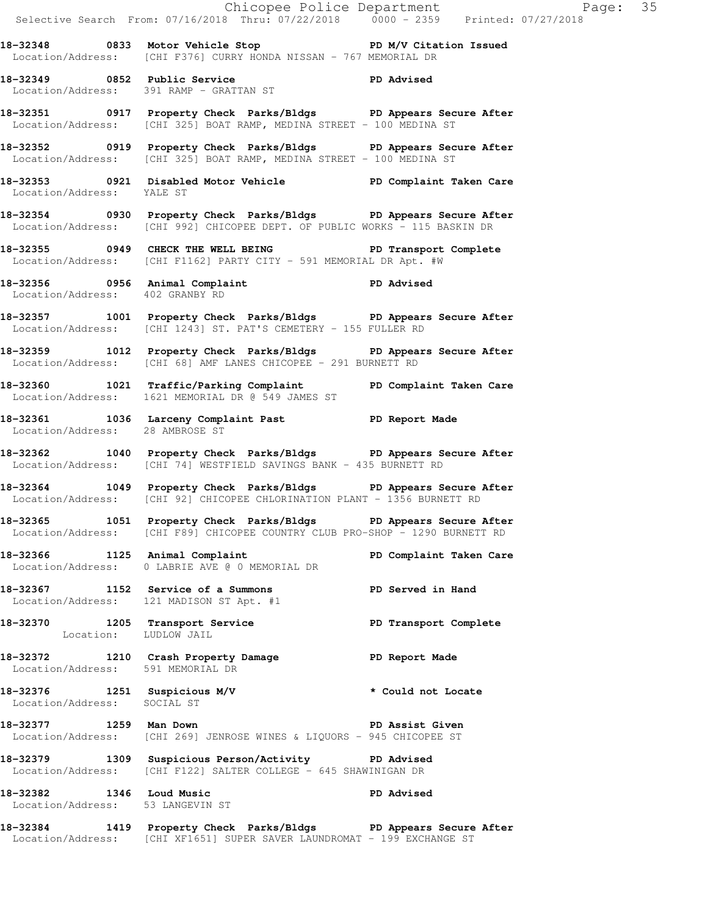|                                                              | Chicopee Police Department<br>Selective Search From: 07/16/2018 Thru: 07/22/2018 0000 - 2359 Printed: 07/27/2018                                 |                         |  |
|--------------------------------------------------------------|--------------------------------------------------------------------------------------------------------------------------------------------------|-------------------------|--|
|                                                              | 18-32348 		 0833 Motor Vehicle Stop 		 PD M/V Citation Issued<br>Location/Address: [CHI F376] CURRY HONDA NISSAN - 767 MEMORIAL DR               |                         |  |
|                                                              | 18-32349 0852 Public Service 20 PD Advised<br>Location/Address: 391 RAMP - GRATTAN ST                                                            |                         |  |
|                                                              | 18-32351 0917 Property Check Parks/Bldgs PD Appears Secure After<br>Location/Address: [CHI 325] BOAT RAMP, MEDINA STREET - 100 MEDINA ST         |                         |  |
|                                                              | 18-32352 0919 Property Check Parks/Bldgs PD Appears Secure After<br>Location/Address: [CHI 325] BOAT RAMP, MEDINA STREET - 100 MEDINA ST         |                         |  |
| Location/Address: YALE ST                                    | 18-32353 0921 Disabled Motor Vehicle North PD Complaint Taken Care                                                                               |                         |  |
|                                                              | 18-32354 0930 Property Check Parks/Bldgs PD Appears Secure After<br>Location/Address: [CHI 992] CHICOPEE DEPT. OF PUBLIC WORKS - 115 BASKIN DR   |                         |  |
|                                                              | 18-32355 0949 CHECK THE WELL BEING FRIME PD Transport Complete<br>Location/Address: [CHI F1162] PARTY CITY - 591 MEMORIAL DR Apt. #W             |                         |  |
| Location/Address: 402 GRANBY RD                              | 18-32356 0956 Animal Complaint Computer PD Advised                                                                                               |                         |  |
|                                                              | 18-32357 1001 Property Check Parks/Bldgs PD Appears Secure After<br>Location/Address: [CHI 1243] ST. PAT'S CEMETERY - 155 FULLER RD              |                         |  |
|                                                              | 18-32359 1012 Property Check Parks/Bldgs PD Appears Secure After<br>Location/Address: [CHI 68] AMF LANES CHICOPEE - 291 BURNETT RD               |                         |  |
|                                                              | 18-32360 1021 Traffic/Parking Complaint PD Complaint Taken Care<br>Location/Address: 1621 MEMORIAL DR @ 549 JAMES ST                             |                         |  |
| Location/Address: 28 AMBROSE ST                              | 18-32361 1036 Larceny Complaint Past PD Report Made                                                                                              |                         |  |
|                                                              | 18-32362 1040 Property Check Parks/Bldgs PD Appears Secure After<br>Location/Address: [CHI 74] WESTFIELD SAVINGS BANK - 435 BURNETT RD           |                         |  |
|                                                              | 18-32364 1049 Property Check Parks/Bldgs PD Appears Secure After<br>Location/Address: [CHI 92] CHICOPEE CHLORINATION PLANT - 1356 BURNETT RD     |                         |  |
|                                                              | 18-32365 1051 Property Check Parks/Bldgs PD Appears Secure After<br>Location/Address: [CHI F89] CHICOPEE COUNTRY CLUB PRO-SHOP - 1290 BURNETT RD |                         |  |
|                                                              | 18-32366 1125 Animal Complaint<br>Location/Address: 0 LABRIE AVE @ 0 MEMORIAL DR                                                                 | PD Complaint Taken Care |  |
|                                                              | 18-32367 1152 Service of a Summons<br>Location/Address: 121 MADISON ST Apt. #1                                                                   | PD Served in Hand       |  |
| Location: LUDLOW JAIL                                        | 18-32370 1205 Transport Service                                                                                                                  | PD Transport Complete   |  |
| Location/Address: 591 MEMORIAL DR                            | 18-32372 1210 Crash Property Damage PD Report Made                                                                                               |                         |  |
| Location/Address: SOCIAL ST                                  | 18-32376 1251 Suspicious M/V                                                                                                                     | * Could not Locate      |  |
| 18-32377 1259 Man Down                                       | Location/Address: [CHI 269] JENROSE WINES & LIQUORS - 945 CHICOPEE ST                                                                            | PD Assist Given         |  |
|                                                              | 18-32379 1309 Suspicious Person/Activity PD Advised<br>Location/Address: [CHI F122] SALTER COLLEGE - 645 SHAWINIGAN DR                           |                         |  |
| 18-32382 1346 Loud Music<br>Location/Address: 53 LANGEVIN ST |                                                                                                                                                  | <b>PD Advised</b>       |  |
|                                                              | 18-32384 1419 Property Check Parks/Bldgs PD Appears Secure After                                                                                 |                         |  |

Location/Address: [CHI XF1651] SUPER SAVER LAUNDROMAT - 199 EXCHANGE ST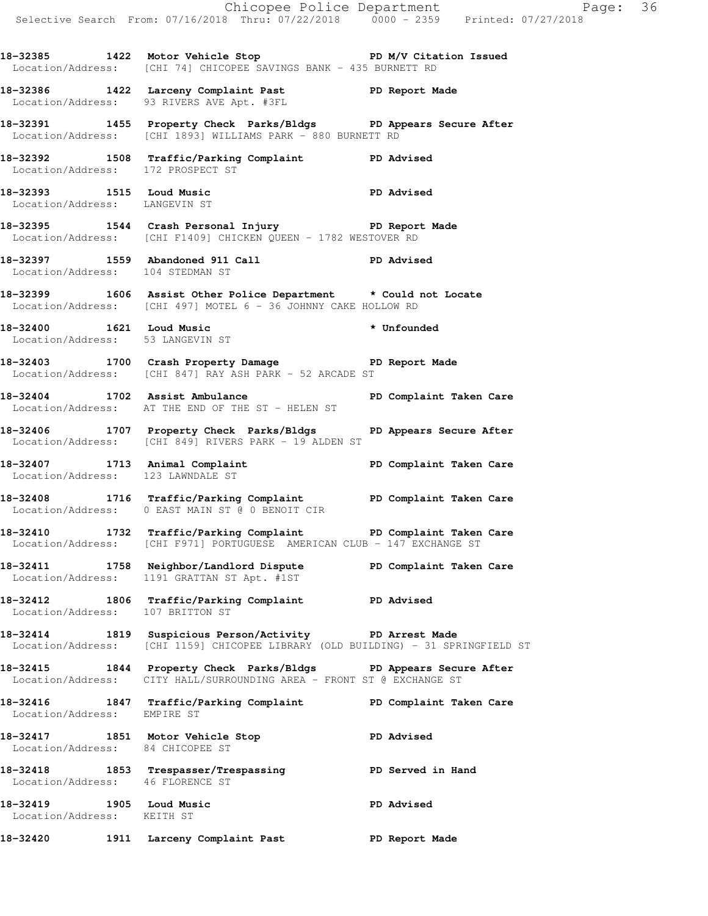|                                                              |                                                                                                                                                                                                                                  | Chicopee Police Department<br>Selective Search From: 07/16/2018 Thru: 07/22/2018 0000 - 2359 Printed: 07/27/2018 |
|--------------------------------------------------------------|----------------------------------------------------------------------------------------------------------------------------------------------------------------------------------------------------------------------------------|------------------------------------------------------------------------------------------------------------------|
|                                                              | 18-32385 1422 Motor Vehicle Stop PD M/V Citation Issued<br>Location/Address: [CHI 74] CHICOPEE SAVINGS BANK - 435 BURNETT RD                                                                                                     |                                                                                                                  |
|                                                              | 18-32386 1422 Larceny Complaint Past PD Report Made<br>Location/Address: 93 RIVERS AVE Apt. #3FL                                                                                                                                 |                                                                                                                  |
|                                                              | 18-32391 1455 Property Check Parks/Bldgs PD Appears Secure After<br>Location/Address: [CHI 1893] WILLIAMS PARK - 880 BURNETT RD                                                                                                  |                                                                                                                  |
| Location/Address: 172 PROSPECT ST                            | 18-32392 1508 Traffic/Parking Complaint PD Advised                                                                                                                                                                               |                                                                                                                  |
| Location/Address: LANGEVIN ST                                | 18-32393 1515 Loud Music<br>Internation (Indiana International International International International International International International International International International International International Interna |                                                                                                                  |
|                                                              | 18-32395 1544 Crash Personal Injury 18-32395<br>Location/Address: [CHI F1409] CHICKEN QUEEN - 1782 WESTOVER RD                                                                                                                   |                                                                                                                  |
| Location/Address: 104 STEDMAN ST                             | 18-32397 1559 Abandoned 911 Call 18-32397 PD Advised                                                                                                                                                                             |                                                                                                                  |
|                                                              | 18-32399 1606 Assist Other Police Department * Could not Locate<br>Location/Address: [CHI 497] MOTEL 6 - 36 JOHNNY CAKE HOLLOW RD                                                                                                |                                                                                                                  |
| 18-32400 1621 Loud Music<br>Location/Address: 53 LANGEVIN ST | * Unfounded                                                                                                                                                                                                                      |                                                                                                                  |
|                                                              | 18-32403 1700 Crash Property Damage PD Report Made<br>Location/Address: [CHI 847] RAY ASH PARK - 52 ARCADE ST                                                                                                                    |                                                                                                                  |
|                                                              | Location/Address: AT THE END OF THE ST - HELEN ST                                                                                                                                                                                |                                                                                                                  |
|                                                              | 18-32406 1707 Property Check Parks/Bldgs PD Appears Secure After<br>Location/Address: [CHI 849] RIVERS PARK - 19 ALDEN ST                                                                                                        |                                                                                                                  |
| Location/Address: 123 LAWNDALE ST                            | 18-32407 1713 Animal Complaint (1990) PD Complaint Taken Care                                                                                                                                                                    |                                                                                                                  |
|                                                              | 18-32408 1716 Traffic/Parking Complaint PD Complaint Taken Care<br>Location/Address: 0 EAST MAIN ST @ 0 BENOIT CIR                                                                                                               |                                                                                                                  |
|                                                              | 18-32410 1732 Traffic/Parking Complaint PD Complaint Taken Care<br>Location/Address: [CHI F971] PORTUGUESE AMERICAN CLUB - 147 EXCHANGE ST                                                                                       |                                                                                                                  |
|                                                              | 18-32411 1758 Neighbor/Landlord Dispute PD Complaint Taken Care<br>Location/Address: 1191 GRATTAN ST Apt. #1ST                                                                                                                   |                                                                                                                  |
| Location/Address: 107 BRITTON ST                             | 18-32412 1806 Traffic/Parking Complaint PD Advised                                                                                                                                                                               |                                                                                                                  |
|                                                              | 18-32414 1819 Suspicious Person/Activity PD Arrest Made<br>Location/Address: [CHI 1159] CHICOPEE LIBRARY (OLD BUILDING) - 31 SPRINGFIELD ST                                                                                      |                                                                                                                  |
|                                                              | 18-32415 1844 Property Check Parks/Bldgs PD Appears Secure After<br>Location/Address: CITY HALL/SURROUNDING AREA - FRONT ST @ EXCHANGE ST                                                                                        |                                                                                                                  |
| Location/Address: EMPIRE ST                                  | 18-32416 1847 Traffic/Parking Complaint PD Complaint Taken Care                                                                                                                                                                  |                                                                                                                  |
| Location/Address: 84 CHICOPEE ST                             | 18-32417 1851 Motor Vehicle Stop                                                                                                                                                                                                 | <b>PD Advised</b>                                                                                                |
| Location/Address: 46 FLORENCE ST                             | 18-32418 1853 Trespasser/Trespassing PD Served in Hand                                                                                                                                                                           |                                                                                                                  |
| 18-32419 1905 Loud Music<br>Location/Address: KEITH ST       |                                                                                                                                                                                                                                  | <b>PD Advised</b>                                                                                                |
| 18-32420                                                     | 1911 Larceny Complaint Past                                                                                                                                                                                                      | PD Report Made                                                                                                   |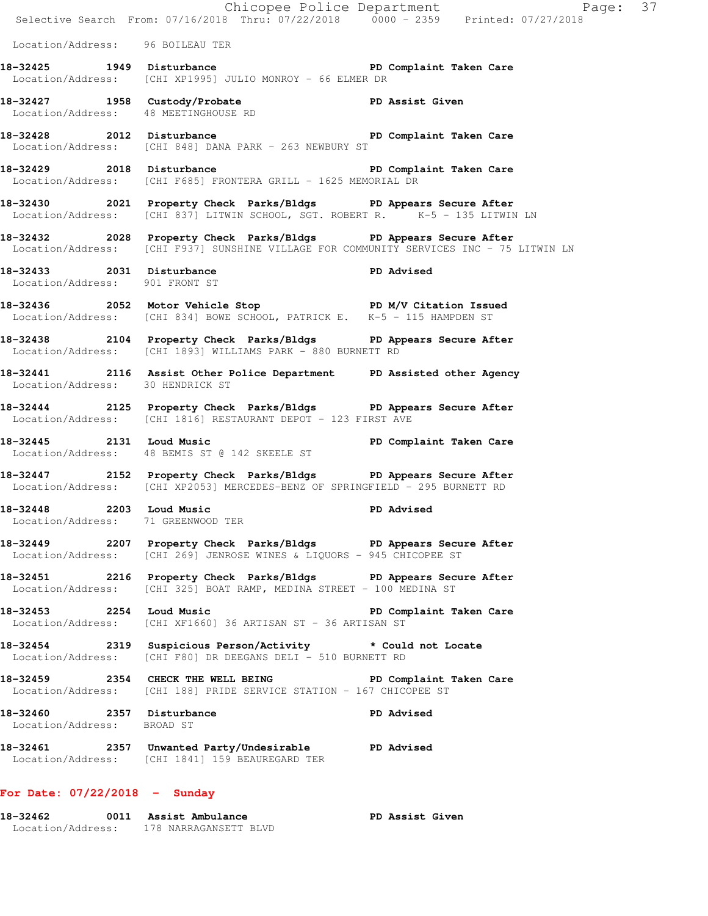|                                                                | E Chicopee Police Department<br>Selective Search From: 07/16/2018 Thru: 07/22/2018 0000 - 2359 Printed: 07/27/2018                                          | Page: 37                |  |
|----------------------------------------------------------------|-------------------------------------------------------------------------------------------------------------------------------------------------------------|-------------------------|--|
| Location/Address: 96 BOILEAU TER                               |                                                                                                                                                             |                         |  |
|                                                                | 18-32425 1949 Disturbance <b>18-18 PD</b> Complaint Taken Care<br>Location/Address: [CHI XP1995] JULIO MONROY - 66 ELMER DR                                 |                         |  |
| Location/Address: 48 MEETINGHOUSE RD                           | 18-32427 1958 Custody/Probate No PD Assist Given                                                                                                            |                         |  |
|                                                                | 18-32428 2012 Disturbance 2012 PD Complaint Taken Care<br>Location/Address: [CHI 848] DANA PARK - 263 NEWBURY ST                                            |                         |  |
|                                                                | 18-32429 2018 Disturbance 20 PD Complaint Taken Care<br>Location/Address: [CHI F685] FRONTERA GRILL - 1625 MEMORIAL DR                                      |                         |  |
|                                                                | 18-32430 2021 Property Check Parks/Bldgs PD Appears Secure After<br>Location/Address: $[CHI 837]$ LITWIN SCHOOL, SGT. ROBERT R. $5 - 135$ LITWIN LN         |                         |  |
|                                                                | 18-32432 2028 Property Check Parks/Bldgs PD Appears Secure After<br>Location/Address: [CHI F937] SUNSHINE VILLAGE FOR COMMUNITY SERVICES INC - 75 LITWIN LN |                         |  |
| Location/Address: 901 FRONT ST                                 | <br> 18-32433 2031 Disturbance PD Advised                                                                                                                   |                         |  |
|                                                                | 18-32436 2052 Motor Vehicle Stop N/V Citation Issued<br>Location/Address: [CHI 834] BOWE SCHOOL, PATRICK E. K-5 - 115 HAMPDEN ST                            |                         |  |
|                                                                | 18-32438 2104 Property Check Parks/Bldgs PD Appears Secure After<br>Location/Address: [CHI 1893] WILLIAMS PARK - 880 BURNETT RD                             |                         |  |
| Location/Address: 30 HENDRICK ST                               | 18-32441 2116 Assist Other Police Department PD Assisted other Agency                                                                                       |                         |  |
|                                                                | 18-32444 2125 Property Check Parks/Bldgs PD Appears Secure After<br>Location/Address: [CHI 1816] RESTAURANT DEPOT - 123 FIRST AVE                           |                         |  |
| 18-32445 2131 Loud Music                                       | Location/Address: 48 BEMIS ST @ 142 SKEELE ST                                                                                                               | PD Complaint Taken Care |  |
|                                                                | 18-32447 2152 Property Check Parks/Bldgs PD Appears Secure After<br>Location/Address: [CHI XP2053] MERCEDES-BENZ OF SPRINGFIELD - 295 BURNETT RD            |                         |  |
| 18-32448 2203 Loud Music<br>Location/Address: 71 GREENWOOD TER |                                                                                                                                                             | <b>PD Advised</b>       |  |
|                                                                | 18-32449 2207 Property Check Parks/Bldgs PD Appears Secure After<br>Location/Address: [CHI 269] JENROSE WINES & LIQUORS - 945 CHICOPEE ST                   |                         |  |
|                                                                | 18-32451 2216 Property Check Parks/Bldgs PD Appears Secure After<br>Location/Address: [CHI 325] BOAT RAMP, MEDINA STREET - 100 MEDINA ST                    |                         |  |
|                                                                | 18-32453 2254 Loud Music<br>Location/Address: [CHI XF1660] 36 ARTISAN ST - 36 ARTISAN ST                                                                    | PD Complaint Taken Care |  |
|                                                                | 18-32454 2319 Suspicious Person/Activity * Could not Locate<br>Location/Address: [CHI F80] DR DEEGANS DELI - 510 BURNETT RD                                 |                         |  |
|                                                                | 18-32459 2354 CHECK THE WELL BEING PD Complaint Taken Care<br>Location/Address: [CHI 188] PRIDE SERVICE STATION - 167 CHICOPEE ST                           |                         |  |
| 18-32460 2357 Disturbance<br>Location/Address: BROAD ST        |                                                                                                                                                             | <b>PD Advised</b>       |  |
|                                                                | 18-32461 2357 Unwanted Party/Undesirable PD Advised<br>Location/Address: [CHI 1841] 159 BEAUREGARD TER                                                      |                         |  |
|                                                                |                                                                                                                                                             |                         |  |

## **For Date: 07/22/2018 - Sunday**

| 18-32462          | 0011 Assist Ambulance | PD Assist Given |
|-------------------|-----------------------|-----------------|
| Location/Address: | 178 NARRAGANSETT BLVD |                 |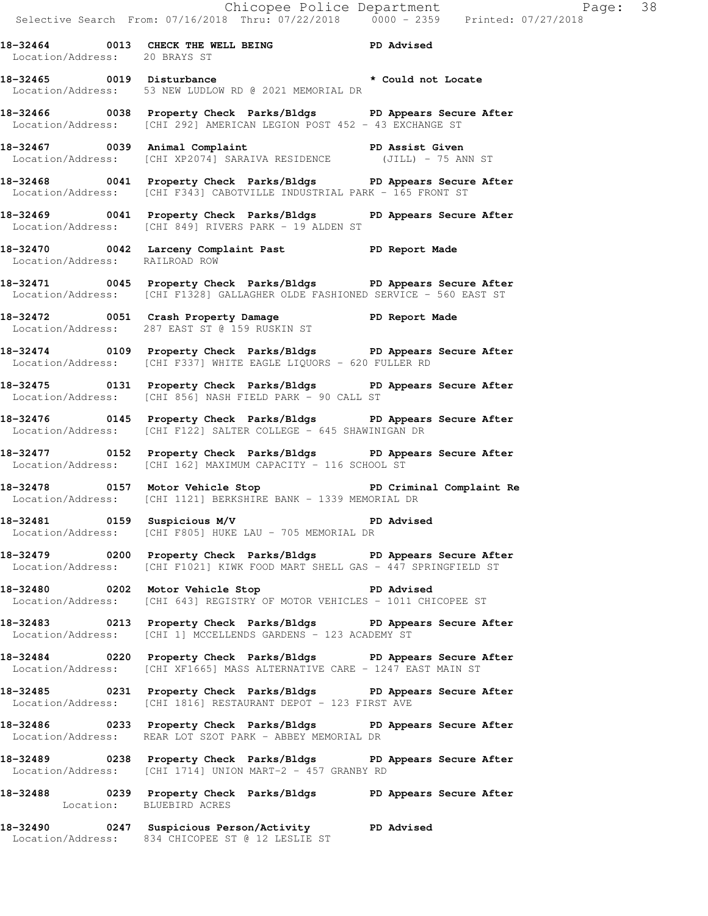Chicopee Police Department Fage: 38 Selective Search From: 07/16/2018 Thru: 07/22/2018 0000 - 2359 Printed: 07/27/2018

**18-32464 0013 CHECK THE WELL BEING PD Advised**  Location/Address: 20 BRAYS ST **18-32465 0019 Disturbance \* Could not Locate**  Location/Address: 53 NEW LUDLOW RD @ 2021 MEMORIAL DR **18-32466 0038 Property Check Parks/Bldgs PD Appears Secure After**  Location/Address: [CHI 292] AMERICAN LEGION POST 452 - 43 EXCHANGE ST **18-32467 0039 Animal Complaint PD Assist Given**  Location/Address: [CHI XP2074] SARAIVA RESIDENCE (JILL) - 75 ANN ST **18-32468 0041 Property Check Parks/Bldgs PD Appears Secure After**  Location/Address: [CHI F343] CABOTVILLE INDUSTRIAL PARK - 165 FRONT ST **18-32469 0041 Property Check Parks/Bldgs PD Appears Secure After**  Location/Address: [CHI 849] RIVERS PARK - 19 ALDEN ST **18-32470 0042 Larceny Complaint Past PD Report Made**  Location/Address: RAILROAD ROW **18-32471 0045 Property Check Parks/Bldgs PD Appears Secure After**  Location/Address: [CHI F1328] GALLAGHER OLDE FASHIONED SERVICE - 560 EAST ST **18-32472 0051 Crash Property Damage PD Report Made**  Location/Address: 287 EAST ST @ 159 RUSKIN ST **18-32474 0109 Property Check Parks/Bldgs PD Appears Secure After**  Location/Address: [CHI F337] WHITE EAGLE LIQUORS - 620 FULLER RD **18-32475 0131 Property Check Parks/Bldgs PD Appears Secure After**  Location/Address: [CHI 856] NASH FIELD PARK - 90 CALL ST **18-32476 0145 Property Check Parks/Bldgs PD Appears Secure After**  Location/Address: [CHI F122] SALTER COLLEGE - 645 SHAWINIGAN DR **18-32477 0152 Property Check Parks/Bldgs PD Appears Secure After**  Location/Address: [CHI 162] MAXIMUM CAPACITY - 116 SCHOOL ST **18-32478 0157 Motor Vehicle Stop PD Criminal Complaint Re**  Location/Address: [CHI 1121] BERKSHIRE BANK - 1339 MEMORIAL DR **18-32481 0159 Suspicious M/V PD Advised**  Location/Address: [CHI F805] HUKE LAU - 705 MEMORIAL DR **18-32479 0200 Property Check Parks/Bldgs PD Appears Secure After**  Location/Address: [CHI F1021] KIWK FOOD MART SHELL GAS - 447 SPRINGFIELD ST **18-32480 0202 Motor Vehicle Stop PD Advised**  Location/Address: [CHI 643] REGISTRY OF MOTOR VEHICLES - 1011 CHICOPEE ST **18-32483 0213 Property Check Parks/Bldgs PD Appears Secure After**  Location/Address: [CHI 1] MCCELLENDS GARDENS - 123 ACADEMY ST **18-32484 0220 Property Check Parks/Bldgs PD Appears Secure After**  Location/Address: [CHI XF1665] MASS ALTERNATIVE CARE - 1247 EAST MAIN ST **18-32485 0231 Property Check Parks/Bldgs PD Appears Secure After**  Location/Address: [CHI 1816] RESTAURANT DEPOT - 123 FIRST AVE **18-32486 0233 Property Check Parks/Bldgs PD Appears Secure After**  Location/Address: REAR LOT SZOT PARK - ABBEY MEMORIAL DR **18-32489 0238 Property Check Parks/Bldgs PD Appears Secure After**  Location/Address: [CHI 1714] UNION MART-2 - 457 GRANBY RD **18-32488 0239 Property Check Parks/Bldgs PD Appears Secure After**  Location: BLUEBIRD ACRES

**18-32490 0247 Suspicious Person/Activity PD Advised**  Location/Address: 834 CHICOPEE ST @ 12 LESLIE ST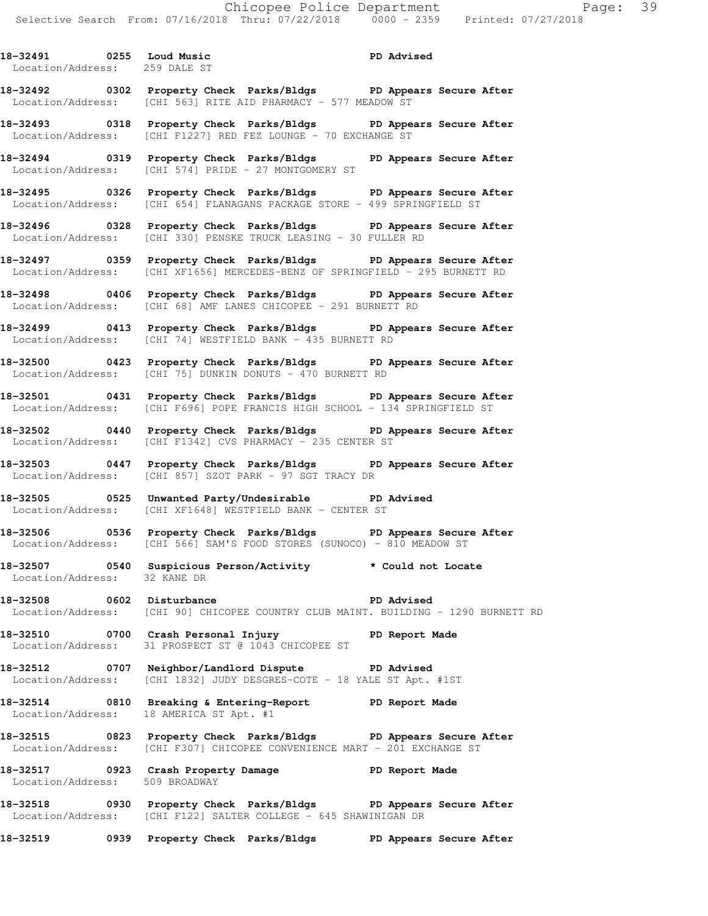Location/Address: 259 DALE ST **18-32492 0302 Property Check Parks/Bldgs PD Appears Secure After**  Location/Address: [CHI 563] RITE AID PHARMACY - 577 MEADOW ST **18-32493 0318 Property Check Parks/Bldgs PD Appears Secure After**  Location/Address: [CHI F1227] RED FEZ LOUNGE - 70 EXCHANGE ST **18-32494 0319 Property Check Parks/Bldgs PD Appears Secure After**  Location/Address: [CHI 574] PRIDE - 27 MONTGOMERY ST **18-32495 0326 Property Check Parks/Bldgs PD Appears Secure After**  Location/Address: [CHI 654] FLANAGANS PACKAGE STORE - 499 SPRINGFIELD ST **18-32496 0328 Property Check Parks/Bldgs PD Appears Secure After**  Location/Address: [CHI 330] PENSKE TRUCK LEASING - 30 FULLER RD **18-32497 0359 Property Check Parks/Bldgs PD Appears Secure After**  Location/Address: [CHI XF1656] MERCEDES-BENZ OF SPRINGFIELD - 295 BURNETT RD **18-32498 0406 Property Check Parks/Bldgs PD Appears Secure After**  Location/Address: [CHI 68] AMF LANES CHICOPEE - 291 BURNETT RD **18-32499 0413 Property Check Parks/Bldgs PD Appears Secure After**  Location/Address: [CHI 74] WESTFIELD BANK - 435 BURNETT RD **18-32500 0423 Property Check Parks/Bldgs PD Appears Secure After**  Location/Address: [CHI 75] DUNKIN DONUTS - 470 BURNETT RD **18-32501 0431 Property Check Parks/Bldgs PD Appears Secure After**  Location/Address: [CHI F696] POPE FRANCIS HIGH SCHOOL - 134 SPRINGFIELD ST **18-32502 0440 Property Check Parks/Bldgs PD Appears Secure After**  Location/Address: [CHI F1342] CVS PHARMACY - 235 CENTER ST **18-32503 0447 Property Check Parks/Bldgs PD Appears Secure After**  Location/Address: [CHI 857] SZOT PARK - 97 SGT TRACY DR **18-32505 0525 Unwanted Party/Undesirable PD Advised**  Location/Address: [CHI XF1648] WESTFIELD BANK - CENTER ST **18-32506 0536 Property Check Parks/Bldgs PD Appears Secure After**  Location/Address: [CHI 566] SAM'S FOOD STORES (SUNOCO) - 810 MEADOW ST **18-32507 0540 Suspicious Person/Activity \* Could not Locate**  Location/Address: 32 KANE DR **18-32508 0602 Disturbance PD Advised**  Location/Address: [CHI 90] CHICOPEE COUNTRY CLUB MAINT. BUILDING - 1290 BURNETT RD

**18-32491 0255 Loud Music PD Advised** 

**18-32510 0700 Crash Personal Injury PD Report Made**  Location/Address: 31 PROSPECT ST @ 1043 CHICOPEE ST

**18-32512 0707 Neighbor/Landlord Dispute PD Advised**  Location/Address: [CHI 1832] JUDY DESGRES-COTE - 18 YALE ST Apt. #1ST

**18-32514 0810 Breaking & Entering-Report PD Report Made**  Location/Address: 18 AMERICA ST Apt. #1

**18-32515 0823 Property Check Parks/Bldgs PD Appears Secure After**  Location/Address: [CHI F307] CHICOPEE CONVENIENCE MART - 201 EXCHANGE ST

**18-32517 0923 Crash Property Damage PD Report Made**  Location/Address: 509 BROADWAY

**18-32518 0930 Property Check Parks/Bldgs PD Appears Secure After**  Location/Address: [CHI F122] SALTER COLLEGE - 645 SHAWINIGAN DR

**18-32519 0939 Property Check Parks/Bldgs PD Appears Secure After**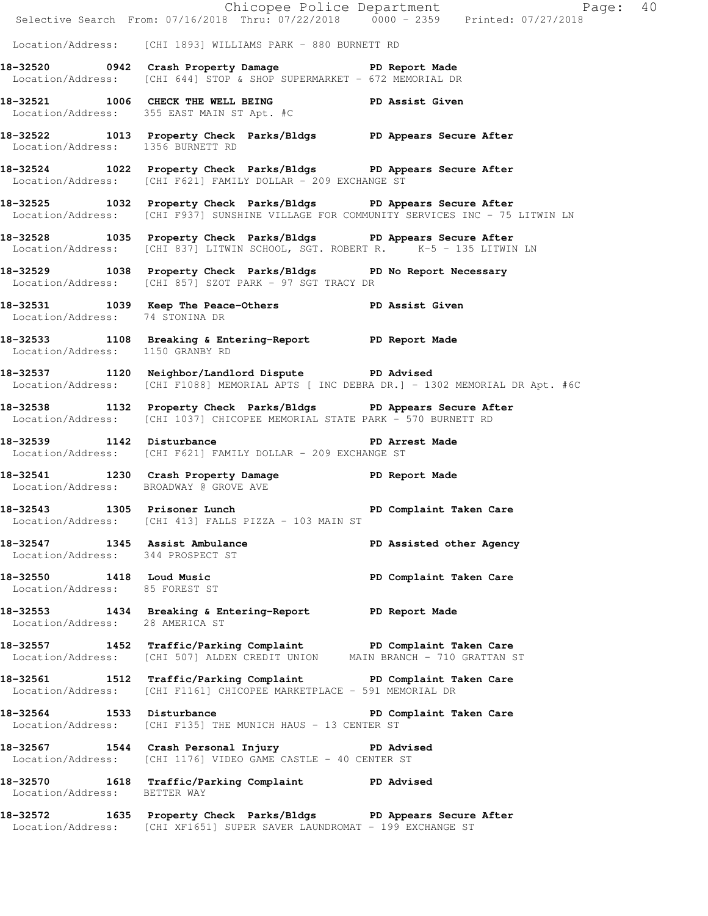|                                                                     |                                                                                                                                                             | Chicopee Police Department<br>Selective Search From: 07/16/2018 Thru: 07/22/2018 0000 - 2359 Printed: 07/27/2018 |  |
|---------------------------------------------------------------------|-------------------------------------------------------------------------------------------------------------------------------------------------------------|------------------------------------------------------------------------------------------------------------------|--|
|                                                                     | Location/Address: [CHI 1893] WILLIAMS PARK - 880 BURNETT RD                                                                                                 |                                                                                                                  |  |
|                                                                     | 18-32520 0942 Crash Property Damage PD Report Made<br>Location/Address: [CHI 644] STOP & SHOP SUPERMARKET - 672 MEMORIAL DR                                 |                                                                                                                  |  |
|                                                                     | 18-32521 1006 CHECK THE WELL BEING PD Assist Given<br>Location/Address: 355 EAST MAIN ST Apt. #C                                                            |                                                                                                                  |  |
| Location/Address: 1356 BURNETT RD                                   | 18-32522 1013 Property Check Parks/Bldgs PD Appears Secure After                                                                                            |                                                                                                                  |  |
|                                                                     | 18-32524 1022 Property Check Parks/Bldgs PD Appears Secure After<br>Location/Address: [CHI F621] FAMILY DOLLAR - 209 EXCHANGE ST                            |                                                                                                                  |  |
|                                                                     | 18-32525 1032 Property Check Parks/Bldgs PD Appears Secure After<br>Location/Address: [CHI F937] SUNSHINE VILLAGE FOR COMMUNITY SERVICES INC - 75 LITWIN LN |                                                                                                                  |  |
|                                                                     | 18-32528 1035 Property Check Parks/Bldgs PD Appears Secure After<br>Location/Address: [CHI 837] LITWIN SCHOOL, SGT. ROBERT R. K-5 - 135 LITWIN LN           |                                                                                                                  |  |
|                                                                     | 18-32529 1038 Property Check Parks/Bldgs PD No Report Necessary<br>Location/Address: [CHI 857] SZOT PARK - 97 SGT TRACY DR                                  |                                                                                                                  |  |
| Location/Address: 74 STONINA DR                                     | 18-32531 1039 Keep The Peace-Others PD Assist Given                                                                                                         |                                                                                                                  |  |
| Location/Address: 1150 GRANBY RD                                    | 18-32533 1108 Breaking & Entering-Report PD Report Made                                                                                                     |                                                                                                                  |  |
|                                                                     | 18-32537 1120 Neighbor/Landlord Dispute PD Advised<br>Location/Address: [CHI F1088] MEMORIAL APTS [ INC DEBRA DR.] - 1302 MEMORIAL DR Apt. #6C              |                                                                                                                  |  |
|                                                                     | 18-32538 1132 Property Check Parks/Bldgs PD Appears Secure After<br>  Location/Address: [CHI 1037] CHICOPEE MEMORIAL STATE PARK - 570 BURNETT RD            |                                                                                                                  |  |
| 18-32539 1142 Disturbance                                           | Location/Address: [CHI F621] FAMILY DOLLAR - 209 EXCHANGE ST                                                                                                | PD Arrest Made                                                                                                   |  |
| Location/Address: BROADWAY @ GROVE AVE                              | 18-32541 1230 Crash Property Damage PD Report Made                                                                                                          |                                                                                                                  |  |
|                                                                     | 18-32543 1305 Prisoner Lunch Number 2016 PD Complaint Taken Care<br>Location/Address: [CHI 413] FALLS PIZZA - 103 MAIN ST                                   |                                                                                                                  |  |
| 18-32547 1345 Assist Ambulance<br>Location/Address: 344 PROSPECT ST |                                                                                                                                                             | PD Assisted other Agency                                                                                         |  |
| 18-32550 1418 Loud Music<br>Location/Address: 85 FOREST ST          |                                                                                                                                                             | PD Complaint Taken Care                                                                                          |  |
| Location/Address: 28 AMERICA ST                                     | 18-32553 1434 Breaking & Entering-Report PD Report Made                                                                                                     |                                                                                                                  |  |
|                                                                     | 18-32557 1452 Traffic/Parking Complaint PD Complaint Taken Care<br>Location/Address: [CHI 507] ALDEN CREDIT UNION MAIN BRANCH - 710 GRATTAN ST              |                                                                                                                  |  |
|                                                                     | 18-32561 1512 Traffic/Parking Complaint PD Complaint Taken Care<br>Location/Address: [CHI F1161] CHICOPEE MARKETPLACE - 591 MEMORIAL DR                     |                                                                                                                  |  |
|                                                                     | 18-32564 1533 Disturbance Natur PD Complaint Taken Care<br>  Location/Address: [CHI F135] THE MUNICH HAUS - 13 CENTER ST                                    |                                                                                                                  |  |
|                                                                     | 18-32567 1544 Crash Personal Injury 18-32567<br>Location/Address: [CHI 1176] VIDEO GAME CASTLE - 40 CENTER ST                                               |                                                                                                                  |  |
| Location/Address: BETTER WAY                                        | 18-32570 1618 Traffic/Parking Complaint PD Advised                                                                                                          |                                                                                                                  |  |
|                                                                     | 18-32572 1635 Property Check Parks/Bldgs PD Appears Secure After<br>Location/Address: [CHI XF1651] SUPER SAVER LAUNDROMAT - 199 EXCHANGE ST                 |                                                                                                                  |  |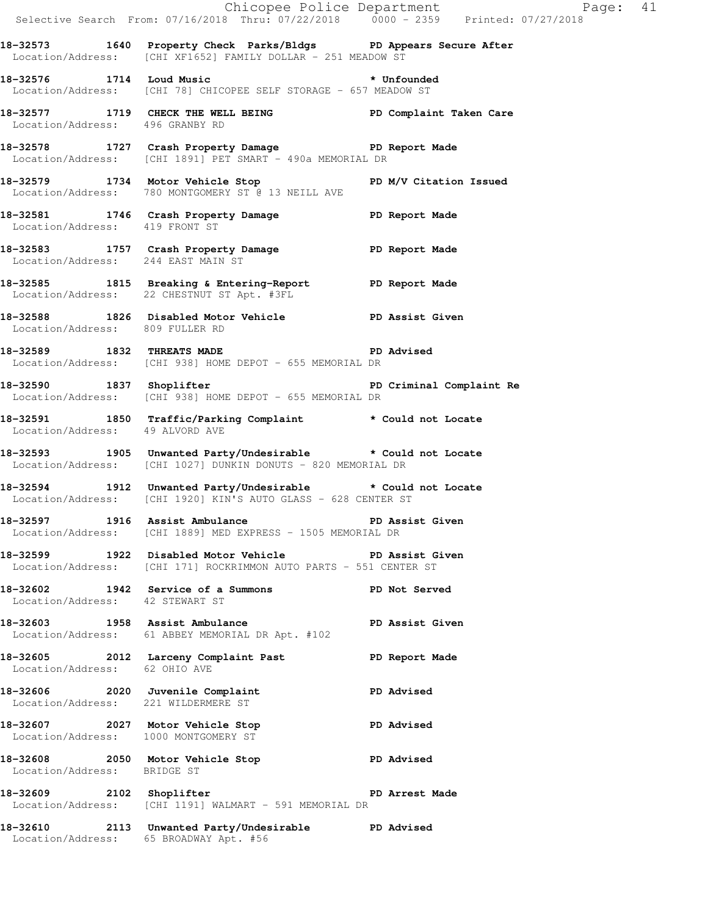| Chicopee Police Department<br>Selective Search From: 07/16/2018 Thru: 07/22/2018 0000 - 2359 Printed: 07/27/2018 |                                                                                                                                                         |                          |
|------------------------------------------------------------------------------------------------------------------|---------------------------------------------------------------------------------------------------------------------------------------------------------|--------------------------|
|                                                                                                                  | 18-32573 1640 Property Check Parks/Bldgs PD Appears Secure After<br>Location/Address: [CHI XF1652] FAMILY DOLLAR - 251 MEADOW ST                        |                          |
|                                                                                                                  | 18-32576 1714 Loud Music <b>that the Contract of America</b> terms of the Unfounded<br>Location/Address: [CHI 78] CHICOPEE SELF STORAGE - 657 MEADOW ST |                          |
| Location/Address: 496 GRANBY RD                                                                                  | 18-32577 1719 CHECK THE WELL BEING THE PERMIT PERMINDENT POST PERMINDENT PARAMETER                                                                      |                          |
|                                                                                                                  | 18-32578 1727 Crash Property Damage PD Report Made<br>Location/Address: [CHI 1891] PET SMART - 490a MEMORIAL DR                                         |                          |
|                                                                                                                  | 18-32579 1734 Motor Vehicle Stop PD M/V Citation Issued<br>Location/Address: 780 MONTGOMERY ST @ 13 NEILL AVE                                           |                          |
| Location/Address: 419 FRONT ST                                                                                   | 18-32581 1746 Crash Property Damage 18 PD Report Made                                                                                                   |                          |
| Location/Address: 244 EAST MAIN ST                                                                               | 18-32583 1757 Crash Property Damage Name PD Report Made                                                                                                 |                          |
|                                                                                                                  | 18-32585 1815 Breaking & Entering-Report The PD Report Made<br>Location/Address: 22 CHESTNUT ST Apt. #3FL                                               |                          |
| Location/Address: 809 FULLER RD                                                                                  | 18-32588 1826 Disabled Motor Vehicle BD Assist Given                                                                                                    |                          |
|                                                                                                                  | 18-32589 1832 THREATS MADE <b>18-32589</b> PD Advised<br>Location/Address: [CHI 938] HOME DEPOT - 655 MEMORIAL DR                                       |                          |
| 18-32590 1837 Shoplifter                                                                                         | Location/Address: [CHI 938] HOME DEPOT - 655 MEMORIAL DR                                                                                                | PD Criminal Complaint Re |
| Location/Address: 49 ALVORD AVE                                                                                  | 18-32591 1850 Traffic/Parking Complaint * Could not Locate                                                                                              |                          |
|                                                                                                                  | 18-32593 1905 Unwanted Party/Undesirable * Could not Locate<br>Location/Address: [CHI 1027] DUNKIN DONUTS - 820 MEMORIAL DR                             |                          |
|                                                                                                                  | 18-32594 1912 Unwanted Party/Undesirable * Could not Locate<br>Location/Address: [CHI 1920] KIN'S AUTO GLASS - 628 CENTER ST                            |                          |
|                                                                                                                  | 18-32597 1916 Assist Ambulance New PD Assist Given<br>Location/Address: [CHI 1889] MED EXPRESS - 1505 MEMORIAL DR                                       |                          |
|                                                                                                                  | 18-32599 1922 Disabled Motor Vehicle North PD Assist Given<br>Location/Address: [CHI 171] ROCKRIMMON AUTO PARTS - 551 CENTER ST                         |                          |
| Location/Address: 42 STEWART ST                                                                                  | 18-32602 1942 Service of a Summons TPD Not Served                                                                                                       |                          |
|                                                                                                                  | 18-32603 1958 Assist Ambulance New PD Assist Given<br>Location/Address: 61 ABBEY MEMORIAL DR Apt. #102                                                  |                          |
| Location/Address: 62 OHIO AVE                                                                                    | 18-32605 2012 Larceny Complaint Past PD Report Made                                                                                                     |                          |
| Location/Address: 221 WILDERMERE ST                                                                              | 18-32606 2020 Juvenile Complaint                                                                                                                        | <b>PD Advised</b>        |
| 18-32607 2027 Motor Vehicle Stop<br>Location/Address: 1000 MONTGOMERY ST                                         |                                                                                                                                                         | <b>PD Advised</b>        |
| Location/Address: BRIDGE ST                                                                                      | 18-32608 2050 Motor Vehicle Stop 32608 PD Advised                                                                                                       |                          |
| 18-32609 2102 Shoplifter                                                                                         | Location/Address: [CHI 1191] WALMART - 591 MEMORIAL DR                                                                                                  | PD Arrest Made           |
| Location/Address: 65 BROADWAY Apt. #56                                                                           | 18-32610 2113 Unwanted Party/Undesirable PD Advised                                                                                                     |                          |